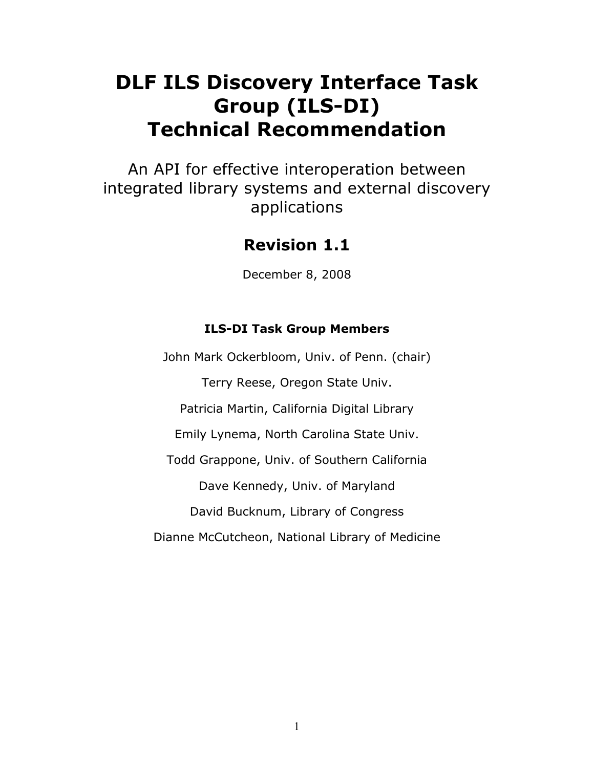# **DLF ILS Discovery Interface Task Group (ILS-DI) Technical Recommendation**

An API for effective interoperation between integrated library systems and external discovery applications

# **Revision 1.1**

December 8, 2008

# **ILS-DI Task Group Members**

John Mark Ockerbloom, Univ. of Penn. (chair) Terry Reese, Oregon State Univ. Patricia Martin, California Digital Library Emily Lynema, North Carolina State Univ. Todd Grappone, Univ. of Southern California Dave Kennedy, Univ. of Maryland David Bucknum, Library of Congress Dianne McCutcheon, National Library of Medicine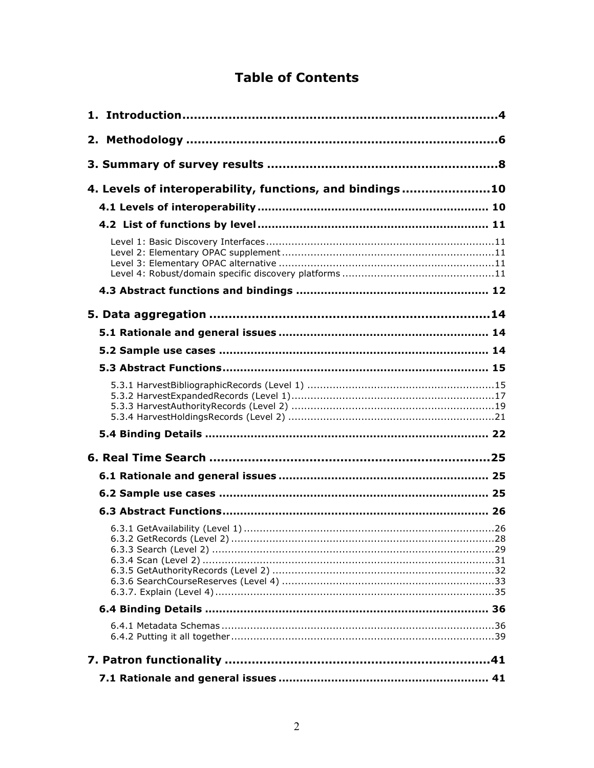# **Table of Contents**

| 4. Levels of interoperability, functions, and bindings10 |
|----------------------------------------------------------|
|                                                          |
|                                                          |
|                                                          |
|                                                          |
|                                                          |
|                                                          |
|                                                          |
|                                                          |
|                                                          |
|                                                          |
|                                                          |
|                                                          |
|                                                          |
|                                                          |
|                                                          |
|                                                          |
|                                                          |
|                                                          |
|                                                          |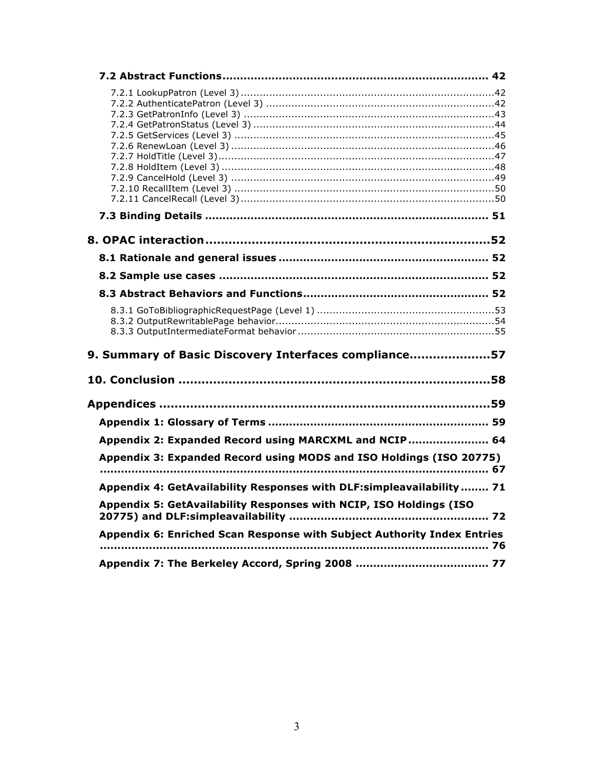| 9. Summary of Basic Discovery Interfaces compliance57                   |  |
|-------------------------------------------------------------------------|--|
|                                                                         |  |
|                                                                         |  |
|                                                                         |  |
| Appendix 2: Expanded Record using MARCXML and NCIP  64                  |  |
| Appendix 3: Expanded Record using MODS and ISO Holdings (ISO 20775)     |  |
| Appendix 4: GetAvailability Responses with DLF:simpleavailability 71    |  |
| Appendix 5: GetAvailability Responses with NCIP, ISO Holdings (ISO      |  |
| Appendix 6: Enriched Scan Response with Subject Authority Index Entries |  |
|                                                                         |  |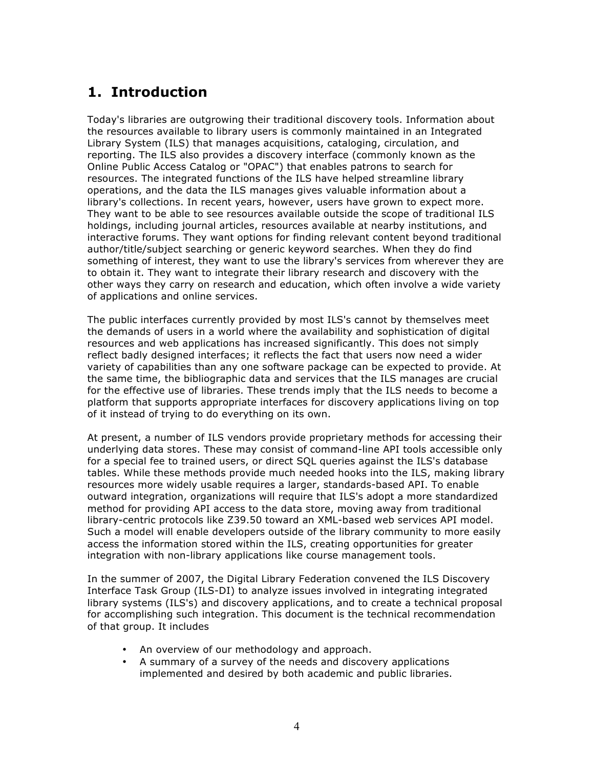# **1. Introduction**

Today's libraries are outgrowing their traditional discovery tools. Information about the resources available to library users is commonly maintained in an Integrated Library System (ILS) that manages acquisitions, cataloging, circulation, and reporting. The ILS also provides a discovery interface (commonly known as the Online Public Access Catalog or "OPAC") that enables patrons to search for resources. The integrated functions of the ILS have helped streamline library operations, and the data the ILS manages gives valuable information about a library's collections. In recent years, however, users have grown to expect more. They want to be able to see resources available outside the scope of traditional ILS holdings, including journal articles, resources available at nearby institutions, and interactive forums. They want options for finding relevant content beyond traditional author/title/subject searching or generic keyword searches. When they do find something of interest, they want to use the library's services from wherever they are to obtain it. They want to integrate their library research and discovery with the other ways they carry on research and education, which often involve a wide variety of applications and online services.

The public interfaces currently provided by most ILS's cannot by themselves meet the demands of users in a world where the availability and sophistication of digital resources and web applications has increased significantly. This does not simply reflect badly designed interfaces; it reflects the fact that users now need a wider variety of capabilities than any one software package can be expected to provide. At the same time, the bibliographic data and services that the ILS manages are crucial for the effective use of libraries. These trends imply that the ILS needs to become a platform that supports appropriate interfaces for discovery applications living on top of it instead of trying to do everything on its own.

At present, a number of ILS vendors provide proprietary methods for accessing their underlying data stores. These may consist of command-line API tools accessible only for a special fee to trained users, or direct SQL queries against the ILS's database tables. While these methods provide much needed hooks into the ILS, making library resources more widely usable requires a larger, standards-based API. To enable outward integration, organizations will require that ILS's adopt a more standardized method for providing API access to the data store, moving away from traditional library-centric protocols like Z39.50 toward an XML-based web services API model. Such a model will enable developers outside of the library community to more easily access the information stored within the ILS, creating opportunities for greater integration with non-library applications like course management tools.

In the summer of 2007, the Digital Library Federation convened the ILS Discovery Interface Task Group (ILS-DI) to analyze issues involved in integrating integrated library systems (ILS's) and discovery applications, and to create a technical proposal for accomplishing such integration. This document is the technical recommendation of that group. It includes

- An overview of our methodology and approach.
- A summary of a survey of the needs and discovery applications implemented and desired by both academic and public libraries.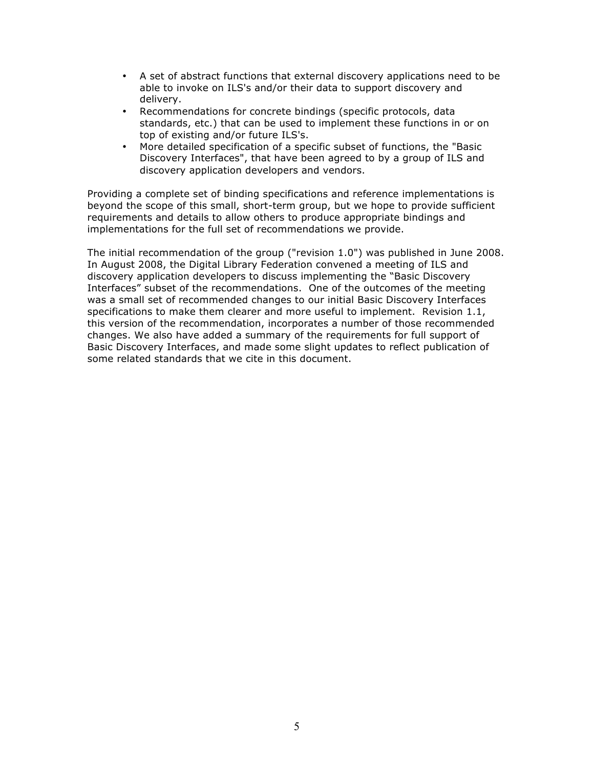- A set of abstract functions that external discovery applications need to be able to invoke on ILS's and/or their data to support discovery and delivery.
- Recommendations for concrete bindings (specific protocols, data standards, etc.) that can be used to implement these functions in or on top of existing and/or future ILS's.
- More detailed specification of a specific subset of functions, the "Basic Discovery Interfaces", that have been agreed to by a group of ILS and discovery application developers and vendors.

Providing a complete set of binding specifications and reference implementations is beyond the scope of this small, short-term group, but we hope to provide sufficient requirements and details to allow others to produce appropriate bindings and implementations for the full set of recommendations we provide.

The initial recommendation of the group ("revision 1.0") was published in June 2008. In August 2008, the Digital Library Federation convened a meeting of ILS and discovery application developers to discuss implementing the "Basic Discovery Interfaces" subset of the recommendations. One of the outcomes of the meeting was a small set of recommended changes to our initial Basic Discovery Interfaces specifications to make them clearer and more useful to implement. Revision 1.1, this version of the recommendation, incorporates a number of those recommended changes. We also have added a summary of the requirements for full support of Basic Discovery Interfaces, and made some slight updates to reflect publication of some related standards that we cite in this document.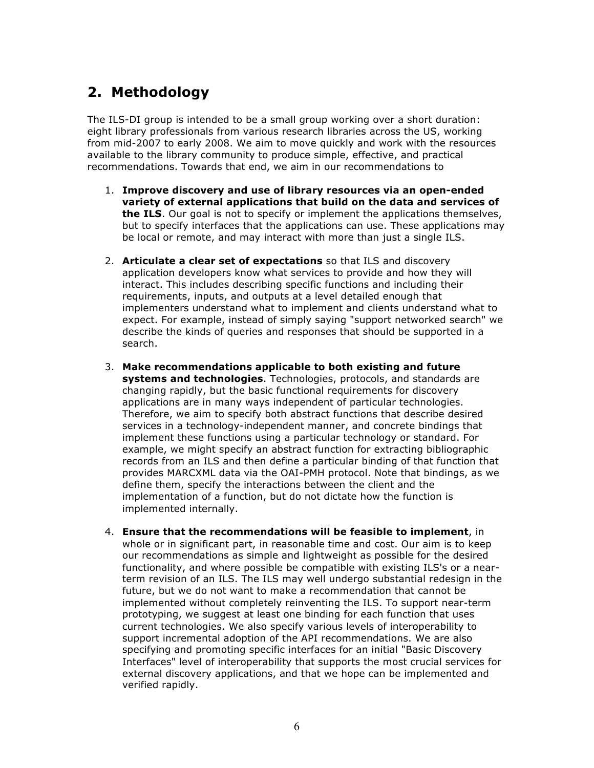# **2. Methodology**

The ILS-DI group is intended to be a small group working over a short duration: eight library professionals from various research libraries across the US, working from mid-2007 to early 2008. We aim to move quickly and work with the resources available to the library community to produce simple, effective, and practical recommendations. Towards that end, we aim in our recommendations to

- 1. **Improve discovery and use of library resources via an open-ended variety of external applications that build on the data and services of the ILS**. Our goal is not to specify or implement the applications themselves, but to specify interfaces that the applications can use. These applications may be local or remote, and may interact with more than just a single ILS.
- 2. **Articulate a clear set of expectations** so that ILS and discovery application developers know what services to provide and how they will interact. This includes describing specific functions and including their requirements, inputs, and outputs at a level detailed enough that implementers understand what to implement and clients understand what to expect. For example, instead of simply saying "support networked search" we describe the kinds of queries and responses that should be supported in a search.
- 3. **Make recommendations applicable to both existing and future systems and technologies**. Technologies, protocols, and standards are changing rapidly, but the basic functional requirements for discovery applications are in many ways independent of particular technologies. Therefore, we aim to specify both abstract functions that describe desired services in a technology-independent manner, and concrete bindings that implement these functions using a particular technology or standard. For example, we might specify an abstract function for extracting bibliographic records from an ILS and then define a particular binding of that function that provides MARCXML data via the OAI-PMH protocol. Note that bindings, as we define them, specify the interactions between the client and the implementation of a function, but do not dictate how the function is implemented internally.
- 4. **Ensure that the recommendations will be feasible to implement**, in whole or in significant part, in reasonable time and cost. Our aim is to keep our recommendations as simple and lightweight as possible for the desired functionality, and where possible be compatible with existing ILS's or a nearterm revision of an ILS. The ILS may well undergo substantial redesign in the future, but we do not want to make a recommendation that cannot be implemented without completely reinventing the ILS. To support near-term prototyping, we suggest at least one binding for each function that uses current technologies. We also specify various levels of interoperability to support incremental adoption of the API recommendations. We are also specifying and promoting specific interfaces for an initial "Basic Discovery Interfaces" level of interoperability that supports the most crucial services for external discovery applications, and that we hope can be implemented and verified rapidly.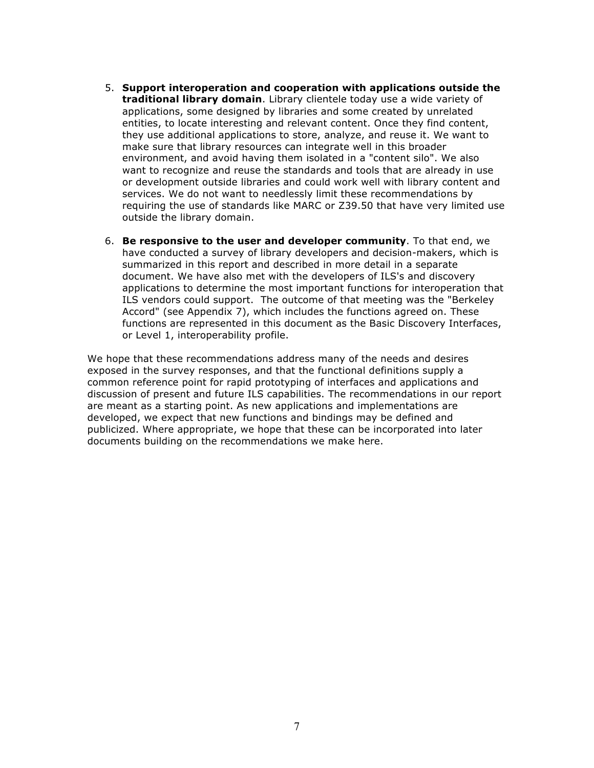- 5. **Support interoperation and cooperation with applications outside the traditional library domain**. Library clientele today use a wide variety of applications, some designed by libraries and some created by unrelated entities, to locate interesting and relevant content. Once they find content, they use additional applications to store, analyze, and reuse it. We want to make sure that library resources can integrate well in this broader environment, and avoid having them isolated in a "content silo". We also want to recognize and reuse the standards and tools that are already in use or development outside libraries and could work well with library content and services. We do not want to needlessly limit these recommendations by requiring the use of standards like MARC or Z39.50 that have very limited use outside the library domain.
- 6. **Be responsive to the user and developer community**. To that end, we have conducted a survey of library developers and decision-makers, which is summarized in this report and described in more detail in a separate document. We have also met with the developers of ILS's and discovery applications to determine the most important functions for interoperation that ILS vendors could support. The outcome of that meeting was the "Berkeley Accord" (see Appendix 7), which includes the functions agreed on. These functions are represented in this document as the Basic Discovery Interfaces, or Level 1, interoperability profile.

We hope that these recommendations address many of the needs and desires exposed in the survey responses, and that the functional definitions supply a common reference point for rapid prototyping of interfaces and applications and discussion of present and future ILS capabilities. The recommendations in our report are meant as a starting point. As new applications and implementations are developed, we expect that new functions and bindings may be defined and publicized. Where appropriate, we hope that these can be incorporated into later documents building on the recommendations we make here.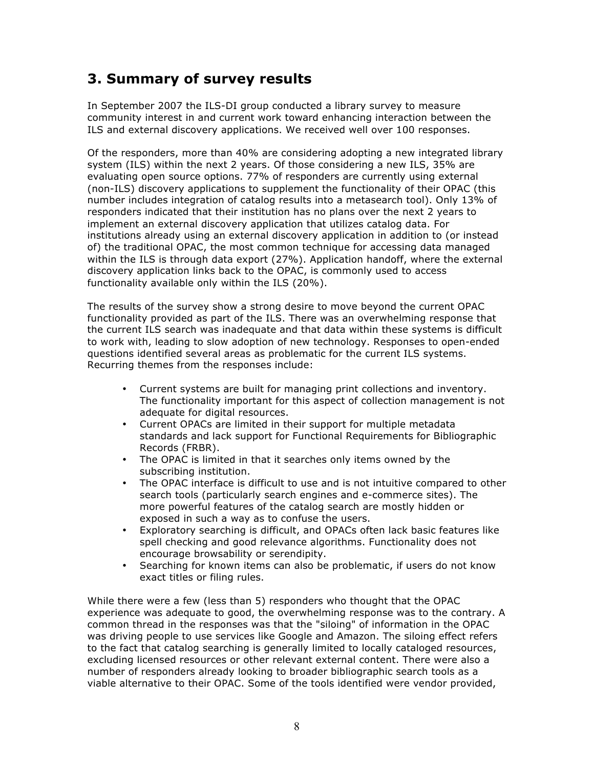# **3. Summary of survey results**

In September 2007 the ILS-DI group conducted a library survey to measure community interest in and current work toward enhancing interaction between the ILS and external discovery applications. We received well over 100 responses.

Of the responders, more than 40% are considering adopting a new integrated library system (ILS) within the next 2 years. Of those considering a new ILS, 35% are evaluating open source options. 77% of responders are currently using external (non-ILS) discovery applications to supplement the functionality of their OPAC (this number includes integration of catalog results into a metasearch tool). Only 13% of responders indicated that their institution has no plans over the next 2 years to implement an external discovery application that utilizes catalog data. For institutions already using an external discovery application in addition to (or instead of) the traditional OPAC, the most common technique for accessing data managed within the ILS is through data export (27%). Application handoff, where the external discovery application links back to the OPAC, is commonly used to access functionality available only within the ILS (20%).

The results of the survey show a strong desire to move beyond the current OPAC functionality provided as part of the ILS. There was an overwhelming response that the current ILS search was inadequate and that data within these systems is difficult to work with, leading to slow adoption of new technology. Responses to open-ended questions identified several areas as problematic for the current ILS systems. Recurring themes from the responses include:

- Current systems are built for managing print collections and inventory. The functionality important for this aspect of collection management is not adequate for digital resources.
- Current OPACs are limited in their support for multiple metadata standards and lack support for Functional Requirements for Bibliographic Records (FRBR).
- The OPAC is limited in that it searches only items owned by the subscribing institution.
- The OPAC interface is difficult to use and is not intuitive compared to other search tools (particularly search engines and e-commerce sites). The more powerful features of the catalog search are mostly hidden or exposed in such a way as to confuse the users.
- Exploratory searching is difficult, and OPACs often lack basic features like spell checking and good relevance algorithms. Functionality does not encourage browsability or serendipity.
- Searching for known items can also be problematic, if users do not know exact titles or filing rules.

While there were a few (less than 5) responders who thought that the OPAC experience was adequate to good, the overwhelming response was to the contrary. A common thread in the responses was that the "siloing" of information in the OPAC was driving people to use services like Google and Amazon. The siloing effect refers to the fact that catalog searching is generally limited to locally cataloged resources, excluding licensed resources or other relevant external content. There were also a number of responders already looking to broader bibliographic search tools as a viable alternative to their OPAC. Some of the tools identified were vendor provided,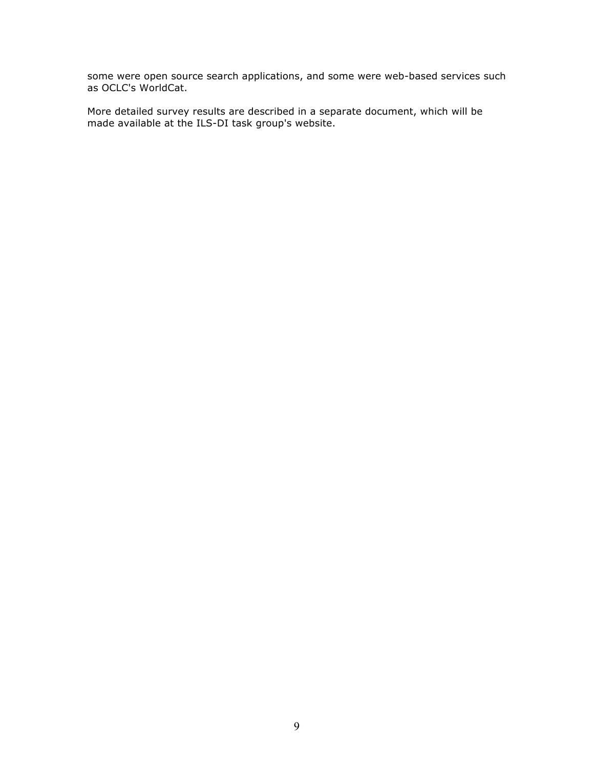some were open source search applications, and some were web-based services such as OCLC's WorldCat.

More detailed survey results are described in a separate document, which will be made available at the ILS-DI task group's website.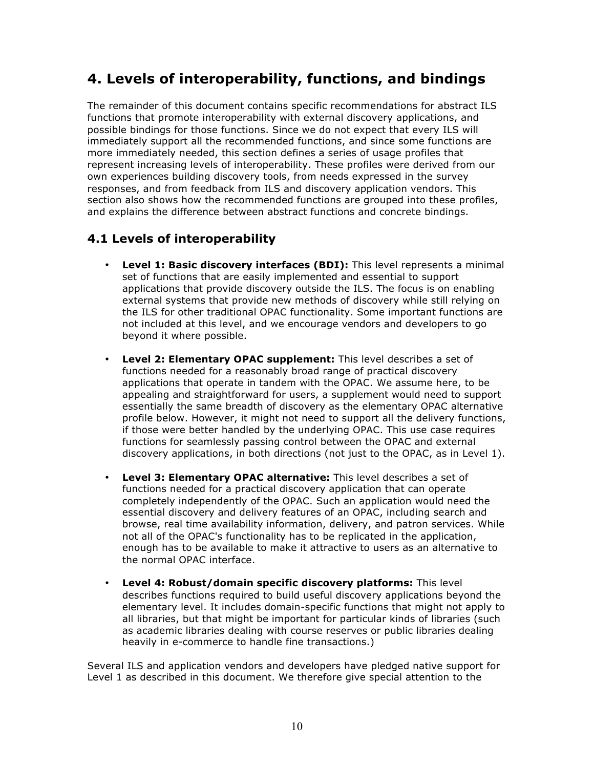# **4. Levels of interoperability, functions, and bindings**

The remainder of this document contains specific recommendations for abstract ILS functions that promote interoperability with external discovery applications, and possible bindings for those functions. Since we do not expect that every ILS will immediately support all the recommended functions, and since some functions are more immediately needed, this section defines a series of usage profiles that represent increasing levels of interoperability. These profiles were derived from our own experiences building discovery tools, from needs expressed in the survey responses, and from feedback from ILS and discovery application vendors. This section also shows how the recommended functions are grouped into these profiles, and explains the difference between abstract functions and concrete bindings.

# **4.1 Levels of interoperability**

- **Level 1: Basic discovery interfaces (BDI):** This level represents a minimal set of functions that are easily implemented and essential to support applications that provide discovery outside the ILS. The focus is on enabling external systems that provide new methods of discovery while still relying on the ILS for other traditional OPAC functionality. Some important functions are not included at this level, and we encourage vendors and developers to go beyond it where possible.
- **Level 2: Elementary OPAC supplement:** This level describes a set of functions needed for a reasonably broad range of practical discovery applications that operate in tandem with the OPAC. We assume here, to be appealing and straightforward for users, a supplement would need to support essentially the same breadth of discovery as the elementary OPAC alternative profile below. However, it might not need to support all the delivery functions, if those were better handled by the underlying OPAC. This use case requires functions for seamlessly passing control between the OPAC and external discovery applications, in both directions (not just to the OPAC, as in Level 1).
- **Level 3: Elementary OPAC alternative:** This level describes a set of functions needed for a practical discovery application that can operate completely independently of the OPAC. Such an application would need the essential discovery and delivery features of an OPAC, including search and browse, real time availability information, delivery, and patron services. While not all of the OPAC's functionality has to be replicated in the application, enough has to be available to make it attractive to users as an alternative to the normal OPAC interface.
- **Level 4: Robust/domain specific discovery platforms:** This level describes functions required to build useful discovery applications beyond the elementary level. It includes domain-specific functions that might not apply to all libraries, but that might be important for particular kinds of libraries (such as academic libraries dealing with course reserves or public libraries dealing heavily in e-commerce to handle fine transactions.)

Several ILS and application vendors and developers have pledged native support for Level 1 as described in this document. We therefore give special attention to the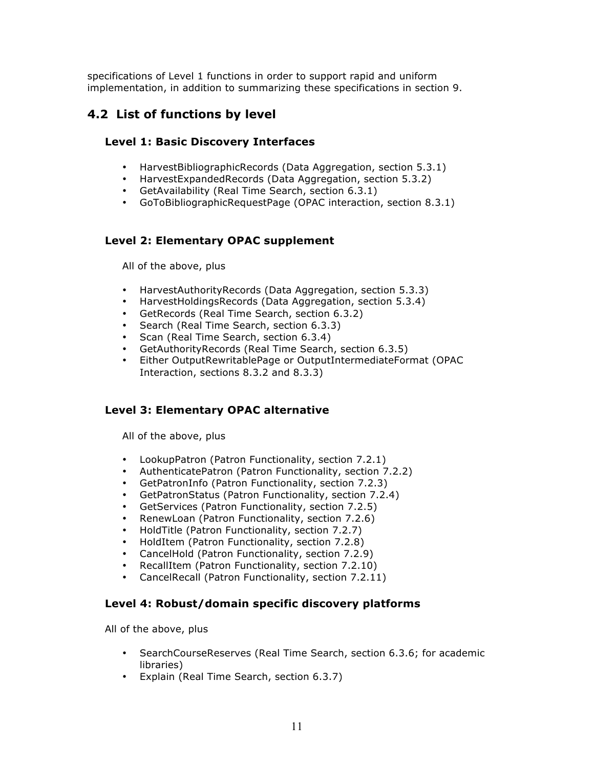specifications of Level 1 functions in order to support rapid and uniform implementation, in addition to summarizing these specifications in section 9.

# **4.2 List of functions by level**

# **Level 1: Basic Discovery Interfaces**

- HarvestBibliographicRecords (Data Aggregation, section 5.3.1)<br>• HarvestExpandedRecords (Data Aggregation, section 5.3.2)
- HarvestExpandedRecords (Data Aggregation, section 5.3.2)
- GetAvailability (Real Time Search, section 6.3.1)
- GoToBibliographicRequestPage (OPAC interaction, section 8.3.1)

# **Level 2: Elementary OPAC supplement**

All of the above, plus

- HarvestAuthorityRecords (Data Aggregation, section 5.3.3)
- HarvestHoldingsRecords (Data Aggregation, section 5.3.4)<br>• GetRecords (Real Time Search, section 6.3.2)
- GetRecords (Real Time Search, section 6.3.2)
- Search (Real Time Search, section 6.3.3)
- Scan (Real Time Search, section 6.3.4)
- GetAuthorityRecords (Real Time Search, section 6.3.5)<br>• Fither QutputRewritablePage or QutputIntermediateForm
- Either OutputRewritablePage or OutputIntermediateFormat (OPAC Interaction, sections 8.3.2 and 8.3.3)

# **Level 3: Elementary OPAC alternative**

All of the above, plus

- LookupPatron (Patron Functionality, section 7.2.1)
- AuthenticatePatron (Patron Functionality, section 7.2.2)
- GetPatronInfo (Patron Functionality, section 7.2.3)
- GetPatronStatus (Patron Functionality, section 7.2.4)
- GetServices (Patron Functionality, section 7.2.5)
- RenewLoan (Patron Functionality, section 7.2.6)
- HoldTitle (Patron Functionality, section 7.2.7)
- HoldItem (Patron Functionality, section 7.2.8)
- CancelHold (Patron Functionality, section 7.2.9)
- RecallItem (Patron Functionality, section 7.2.10)
- CancelRecall (Patron Functionality, section 7.2.11)

# **Level 4: Robust/domain specific discovery platforms**

All of the above, plus

- SearchCourseReserves (Real Time Search, section 6.3.6; for academic libraries)
- Explain (Real Time Search, section 6.3.7)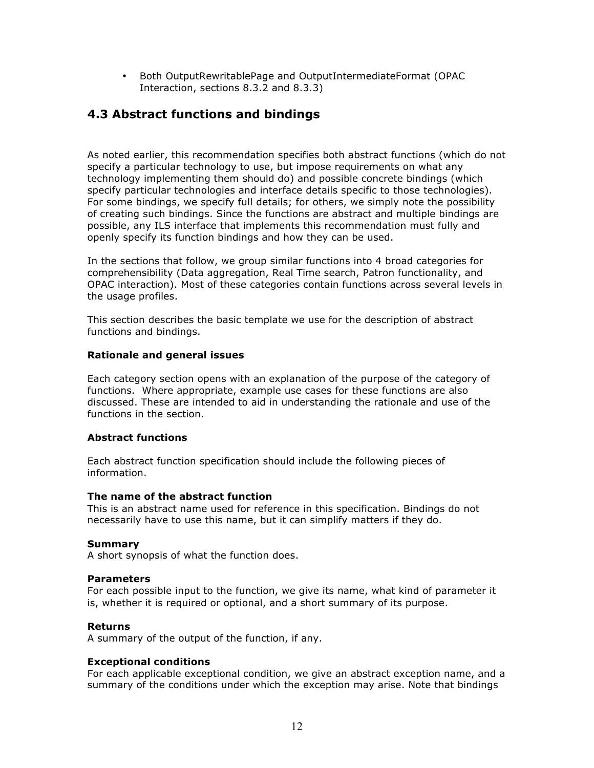• Both OutputRewritablePage and OutputIntermediateFormat (OPAC Interaction, sections 8.3.2 and 8.3.3)

# **4.3 Abstract functions and bindings**

As noted earlier, this recommendation specifies both abstract functions (which do not specify a particular technology to use, but impose requirements on what any technology implementing them should do) and possible concrete bindings (which specify particular technologies and interface details specific to those technologies). For some bindings, we specify full details; for others, we simply note the possibility of creating such bindings. Since the functions are abstract and multiple bindings are possible, any ILS interface that implements this recommendation must fully and openly specify its function bindings and how they can be used.

In the sections that follow, we group similar functions into 4 broad categories for comprehensibility (Data aggregation, Real Time search, Patron functionality, and OPAC interaction). Most of these categories contain functions across several levels in the usage profiles.

This section describes the basic template we use for the description of abstract functions and bindings.

## **Rationale and general issues**

Each category section opens with an explanation of the purpose of the category of functions. Where appropriate, example use cases for these functions are also discussed. These are intended to aid in understanding the rationale and use of the functions in the section.

## **Abstract functions**

Each abstract function specification should include the following pieces of information.

## **The name of the abstract function**

This is an abstract name used for reference in this specification. Bindings do not necessarily have to use this name, but it can simplify matters if they do.

## **Summary**

A short synopsis of what the function does.

#### **Parameters**

For each possible input to the function, we give its name, what kind of parameter it is, whether it is required or optional, and a short summary of its purpose.

## **Returns**

A summary of the output of the function, if any.

## **Exceptional conditions**

For each applicable exceptional condition, we give an abstract exception name, and a summary of the conditions under which the exception may arise. Note that bindings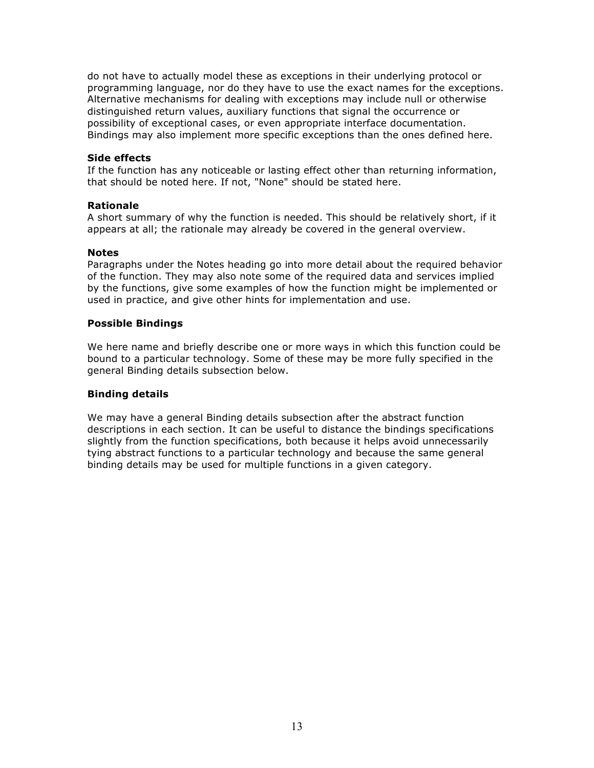do not have to actually model these as exceptions in their underlying protocol or programming language, nor do they have to use the exact names for the exceptions. Alternative mechanisms for dealing with exceptions may include null or otherwise distinguished return values, auxiliary functions that signal the occurrence or possibility of exceptional cases, or even appropriate interface documentation. Bindings may also implement more specific exceptions than the ones defined here.

## **Side effects**

If the function has any noticeable or lasting effect other than returning information, that should be noted here. If not, "None" should be stated here.

#### **Rationale**

A short summary of why the function is needed. This should be relatively short, if it appears at all; the rationale may already be covered in the general overview.

#### **Notes**

Paragraphs under the Notes heading go into more detail about the required behavior of the function. They may also note some of the required data and services implied by the functions, give some examples of how the function might be implemented or used in practice, and give other hints for implementation and use.

#### **Possible Bindings**

We here name and briefly describe one or more ways in which this function could be bound to a particular technology. Some of these may be more fully specified in the general Binding details subsection below.

#### **Binding details**

We may have a general Binding details subsection after the abstract function descriptions in each section. It can be useful to distance the bindings specifications slightly from the function specifications, both because it helps avoid unnecessarily tying abstract functions to a particular technology and because the same general binding details may be used for multiple functions in a given category.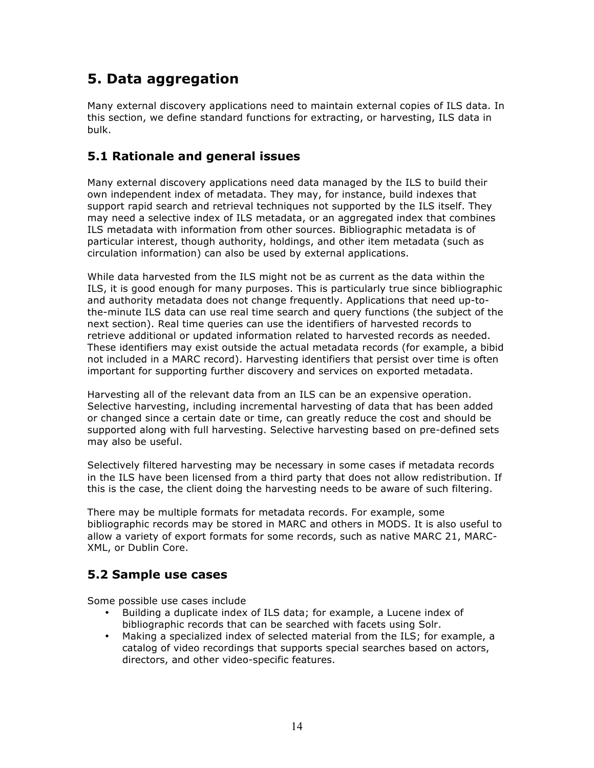# **5. Data aggregation**

Many external discovery applications need to maintain external copies of ILS data. In this section, we define standard functions for extracting, or harvesting, ILS data in bulk.

# **5.1 Rationale and general issues**

Many external discovery applications need data managed by the ILS to build their own independent index of metadata. They may, for instance, build indexes that support rapid search and retrieval techniques not supported by the ILS itself. They may need a selective index of ILS metadata, or an aggregated index that combines ILS metadata with information from other sources. Bibliographic metadata is of particular interest, though authority, holdings, and other item metadata (such as circulation information) can also be used by external applications.

While data harvested from the ILS might not be as current as the data within the ILS, it is good enough for many purposes. This is particularly true since bibliographic and authority metadata does not change frequently. Applications that need up-tothe-minute ILS data can use real time search and query functions (the subject of the next section). Real time queries can use the identifiers of harvested records to retrieve additional or updated information related to harvested records as needed. These identifiers may exist outside the actual metadata records (for example, a bibid not included in a MARC record). Harvesting identifiers that persist over time is often important for supporting further discovery and services on exported metadata.

Harvesting all of the relevant data from an ILS can be an expensive operation. Selective harvesting, including incremental harvesting of data that has been added or changed since a certain date or time, can greatly reduce the cost and should be supported along with full harvesting. Selective harvesting based on pre-defined sets may also be useful.

Selectively filtered harvesting may be necessary in some cases if metadata records in the ILS have been licensed from a third party that does not allow redistribution. If this is the case, the client doing the harvesting needs to be aware of such filtering.

There may be multiple formats for metadata records. For example, some bibliographic records may be stored in MARC and others in MODS. It is also useful to allow a variety of export formats for some records, such as native MARC 21, MARC-XML, or Dublin Core.

# **5.2 Sample use cases**

Some possible use cases include

- Building a duplicate index of ILS data; for example, a Lucene index of bibliographic records that can be searched with facets using Solr.
- Making a specialized index of selected material from the ILS; for example, a catalog of video recordings that supports special searches based on actors, directors, and other video-specific features.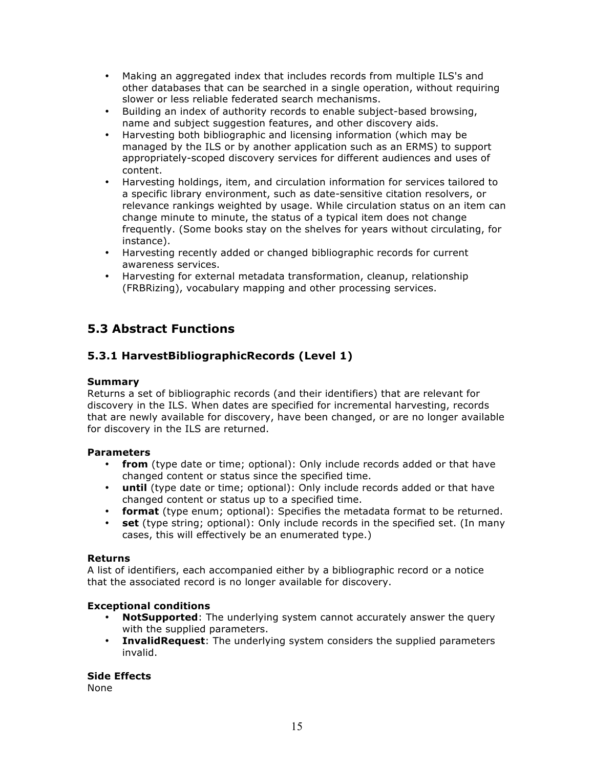- Making an aggregated index that includes records from multiple ILS's and other databases that can be searched in a single operation, without requiring slower or less reliable federated search mechanisms.
- Building an index of authority records to enable subject-based browsing, name and subject suggestion features, and other discovery aids.
- Harvesting both bibliographic and licensing information (which may be managed by the ILS or by another application such as an ERMS) to support appropriately-scoped discovery services for different audiences and uses of content.
- Harvesting holdings, item, and circulation information for services tailored to a specific library environment, such as date-sensitive citation resolvers, or relevance rankings weighted by usage. While circulation status on an item can change minute to minute, the status of a typical item does not change frequently. (Some books stay on the shelves for years without circulating, for instance).
- Harvesting recently added or changed bibliographic records for current awareness services.
- Harvesting for external metadata transformation, cleanup, relationship (FRBRizing), vocabulary mapping and other processing services.

# **5.3 Abstract Functions**

# **5.3.1 HarvestBibliographicRecords (Level 1)**

# **Summary**

Returns a set of bibliographic records (and their identifiers) that are relevant for discovery in the ILS. When dates are specified for incremental harvesting, records that are newly available for discovery, have been changed, or are no longer available for discovery in the ILS are returned.

## **Parameters**

- **from** (type date or time; optional): Only include records added or that have changed content or status since the specified time.
- **until** (type date or time; optional): Only include records added or that have changed content or status up to a specified time.
- **format** (type enum; optional): Specifies the metadata format to be returned.
- **set** (type string; optional): Only include records in the specified set. (In many cases, this will effectively be an enumerated type.)

## **Returns**

A list of identifiers, each accompanied either by a bibliographic record or a notice that the associated record is no longer available for discovery.

# **Exceptional conditions**

- **NotSupported**: The underlying system cannot accurately answer the query with the supplied parameters.
- **InvalidRequest**: The underlying system considers the supplied parameters invalid.

**Side Effects**

None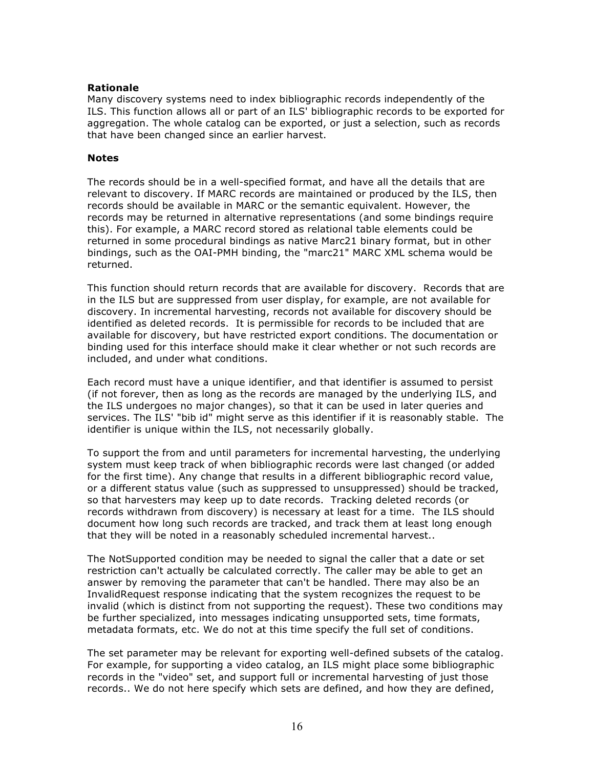#### **Rationale**

Many discovery systems need to index bibliographic records independently of the ILS. This function allows all or part of an ILS' bibliographic records to be exported for aggregation. The whole catalog can be exported, or just a selection, such as records that have been changed since an earlier harvest.

#### **Notes**

The records should be in a well-specified format, and have all the details that are relevant to discovery. If MARC records are maintained or produced by the ILS, then records should be available in MARC or the semantic equivalent. However, the records may be returned in alternative representations (and some bindings require this). For example, a MARC record stored as relational table elements could be returned in some procedural bindings as native Marc21 binary format, but in other bindings, such as the OAI-PMH binding, the "marc21" MARC XML schema would be returned.

This function should return records that are available for discovery. Records that are in the ILS but are suppressed from user display, for example, are not available for discovery. In incremental harvesting, records not available for discovery should be identified as deleted records. It is permissible for records to be included that are available for discovery, but have restricted export conditions. The documentation or binding used for this interface should make it clear whether or not such records are included, and under what conditions.

Each record must have a unique identifier, and that identifier is assumed to persist (if not forever, then as long as the records are managed by the underlying ILS, and the ILS undergoes no major changes), so that it can be used in later queries and services. The ILS' "bib id" might serve as this identifier if it is reasonably stable. The identifier is unique within the ILS, not necessarily globally.

To support the from and until parameters for incremental harvesting, the underlying system must keep track of when bibliographic records were last changed (or added for the first time). Any change that results in a different bibliographic record value, or a different status value (such as suppressed to unsuppressed) should be tracked, so that harvesters may keep up to date records. Tracking deleted records (or records withdrawn from discovery) is necessary at least for a time. The ILS should document how long such records are tracked, and track them at least long enough that they will be noted in a reasonably scheduled incremental harvest..

The NotSupported condition may be needed to signal the caller that a date or set restriction can't actually be calculated correctly. The caller may be able to get an answer by removing the parameter that can't be handled. There may also be an InvalidRequest response indicating that the system recognizes the request to be invalid (which is distinct from not supporting the request). These two conditions may be further specialized, into messages indicating unsupported sets, time formats, metadata formats, etc. We do not at this time specify the full set of conditions.

The set parameter may be relevant for exporting well-defined subsets of the catalog. For example, for supporting a video catalog, an ILS might place some bibliographic records in the "video" set, and support full or incremental harvesting of just those records.. We do not here specify which sets are defined, and how they are defined,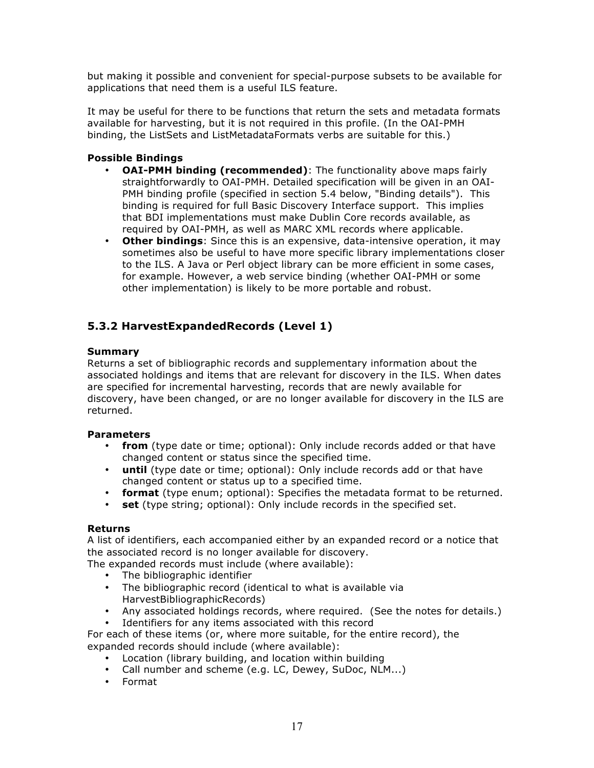but making it possible and convenient for special-purpose subsets to be available for applications that need them is a useful ILS feature.

It may be useful for there to be functions that return the sets and metadata formats available for harvesting, but it is not required in this profile. (In the OAI-PMH binding, the ListSets and ListMetadataFormats verbs are suitable for this.)

# **Possible Bindings**

- **OAI-PMH binding (recommended)**: The functionality above maps fairly straightforwardly to OAI-PMH. Detailed specification will be given in an OAI-PMH binding profile (specified in section 5.4 below, "Binding details"). This binding is required for full Basic Discovery Interface support. This implies that BDI implementations must make Dublin Core records available, as required by OAI-PMH, as well as MARC XML records where applicable.
- **Other bindings**: Since this is an expensive, data-intensive operation, it may sometimes also be useful to have more specific library implementations closer to the ILS. A Java or Perl object library can be more efficient in some cases, for example. However, a web service binding (whether OAI-PMH or some other implementation) is likely to be more portable and robust.

# **5.3.2 HarvestExpandedRecords (Level 1)**

## **Summary**

Returns a set of bibliographic records and supplementary information about the associated holdings and items that are relevant for discovery in the ILS. When dates are specified for incremental harvesting, records that are newly available for discovery, have been changed, or are no longer available for discovery in the ILS are returned.

## **Parameters**

- **from** (type date or time; optional): Only include records added or that have changed content or status since the specified time.
- **until** (type date or time; optional): Only include records add or that have changed content or status up to a specified time.
- **format** (type enum; optional): Specifies the metadata format to be returned.
- **set** (type string; optional): Only include records in the specified set.

## **Returns**

A list of identifiers, each accompanied either by an expanded record or a notice that the associated record is no longer available for discovery.

The expanded records must include (where available):

- The bibliographic identifier
- The bibliographic record (identical to what is available via HarvestBibliographicRecords)
- Any associated holdings records, where required. (See the notes for details.)
- Identifiers for any items associated with this record

For each of these items (or, where more suitable, for the entire record), the expanded records should include (where available):

- Location (library building, and location within building
- Call number and scheme (e.g. LC, Dewey, SuDoc, NLM...)
- Format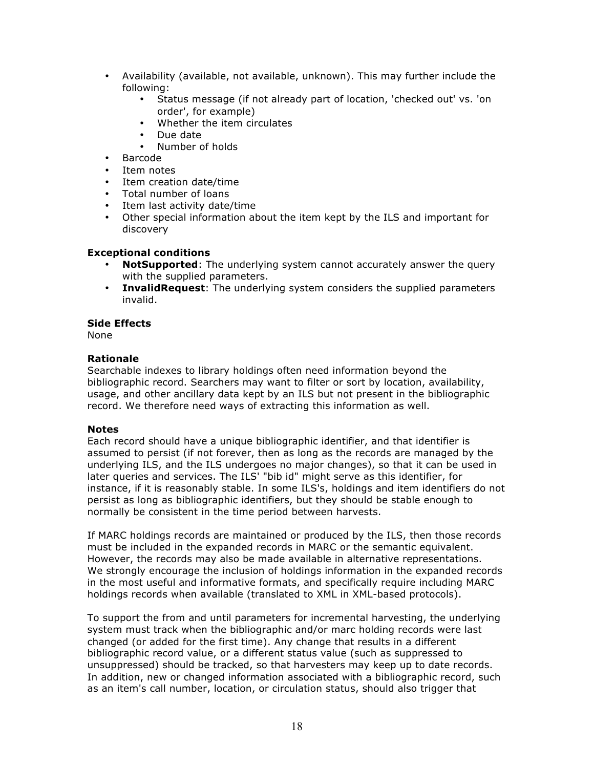- Availability (available, not available, unknown). This may further include the following:
	- Status message (if not already part of location, 'checked out' vs. 'on order', for example)
	- Whether the item circulates
	- Due date
	- Number of holds
- Barcode
- Item notes
- Item creation date/time
- Total number of loans
- Item last activity date/time
- Other special information about the item kept by the ILS and important for discovery

# **Exceptional conditions**

- **NotSupported**: The underlying system cannot accurately answer the query with the supplied parameters.
- **InvalidRequest**: The underlying system considers the supplied parameters invalid.

# **Side Effects**

None

## **Rationale**

Searchable indexes to library holdings often need information beyond the bibliographic record. Searchers may want to filter or sort by location, availability, usage, and other ancillary data kept by an ILS but not present in the bibliographic record. We therefore need ways of extracting this information as well.

## **Notes**

Each record should have a unique bibliographic identifier, and that identifier is assumed to persist (if not forever, then as long as the records are managed by the underlying ILS, and the ILS undergoes no major changes), so that it can be used in later queries and services. The ILS' "bib id" might serve as this identifier, for instance, if it is reasonably stable. In some ILS's, holdings and item identifiers do not persist as long as bibliographic identifiers, but they should be stable enough to normally be consistent in the time period between harvests.

If MARC holdings records are maintained or produced by the ILS, then those records must be included in the expanded records in MARC or the semantic equivalent. However, the records may also be made available in alternative representations. We strongly encourage the inclusion of holdings information in the expanded records in the most useful and informative formats, and specifically require including MARC holdings records when available (translated to XML in XML-based protocols).

To support the from and until parameters for incremental harvesting, the underlying system must track when the bibliographic and/or marc holding records were last changed (or added for the first time). Any change that results in a different bibliographic record value, or a different status value (such as suppressed to unsuppressed) should be tracked, so that harvesters may keep up to date records. In addition, new or changed information associated with a bibliographic record, such as an item's call number, location, or circulation status, should also trigger that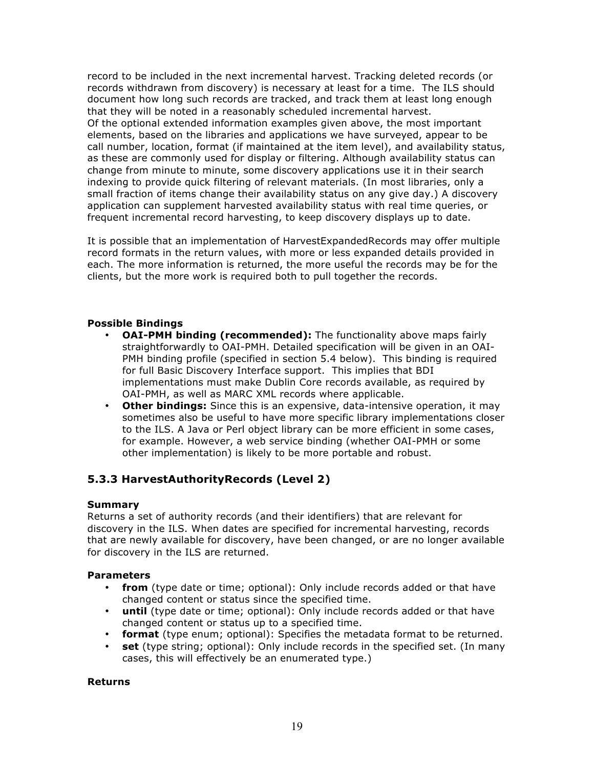record to be included in the next incremental harvest. Tracking deleted records (or records withdrawn from discovery) is necessary at least for a time. The ILS should document how long such records are tracked, and track them at least long enough that they will be noted in a reasonably scheduled incremental harvest. Of the optional extended information examples given above, the most important elements, based on the libraries and applications we have surveyed, appear to be call number, location, format (if maintained at the item level), and availability status, as these are commonly used for display or filtering. Although availability status can change from minute to minute, some discovery applications use it in their search indexing to provide quick filtering of relevant materials. (In most libraries, only a small fraction of items change their availability status on any give day.) A discovery application can supplement harvested availability status with real time queries, or frequent incremental record harvesting, to keep discovery displays up to date.

It is possible that an implementation of HarvestExpandedRecords may offer multiple record formats in the return values, with more or less expanded details provided in each. The more information is returned, the more useful the records may be for the clients, but the more work is required both to pull together the records.

## **Possible Bindings**

- **OAI-PMH binding (recommended):** The functionality above maps fairly straightforwardly to OAI-PMH. Detailed specification will be given in an OAI-PMH binding profile (specified in section 5.4 below). This binding is required for full Basic Discovery Interface support. This implies that BDI implementations must make Dublin Core records available, as required by OAI-PMH, as well as MARC XML records where applicable.
- **Other bindings:** Since this is an expensive, data-intensive operation, it may sometimes also be useful to have more specific library implementations closer to the ILS. A Java or Perl object library can be more efficient in some cases, for example. However, a web service binding (whether OAI-PMH or some other implementation) is likely to be more portable and robust.

# **5.3.3 HarvestAuthorityRecords (Level 2)**

## **Summary**

Returns a set of authority records (and their identifiers) that are relevant for discovery in the ILS. When dates are specified for incremental harvesting, records that are newly available for discovery, have been changed, or are no longer available for discovery in the ILS are returned.

## **Parameters**

- **from** (type date or time; optional): Only include records added or that have changed content or status since the specified time.
- **until** (type date or time; optional): Only include records added or that have changed content or status up to a specified time.
- **format** (type enum; optional): Specifies the metadata format to be returned.
- **set** (type string; optional): Only include records in the specified set. (In many cases, this will effectively be an enumerated type.)

## **Returns**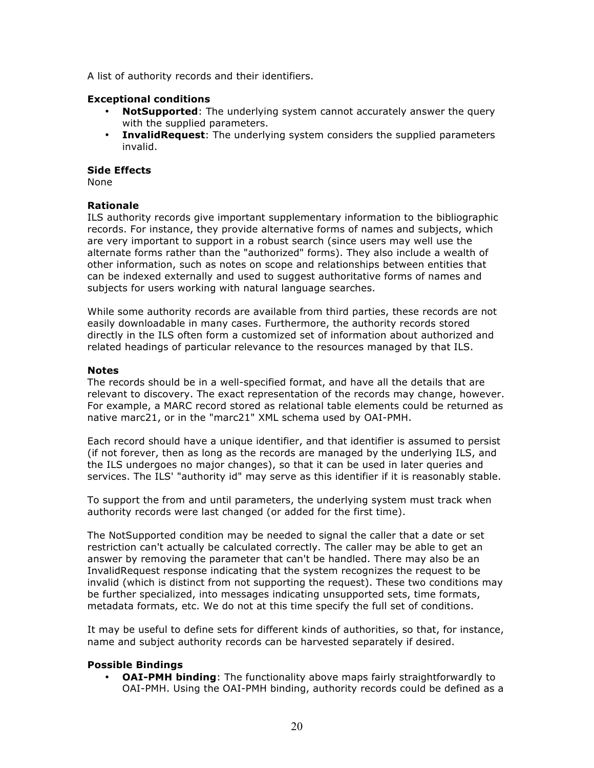A list of authority records and their identifiers.

## **Exceptional conditions**

- **NotSupported**: The underlying system cannot accurately answer the query with the supplied parameters.
- **InvalidRequest**: The underlying system considers the supplied parameters invalid.

## **Side Effects**

None

# **Rationale**

ILS authority records give important supplementary information to the bibliographic records. For instance, they provide alternative forms of names and subjects, which are very important to support in a robust search (since users may well use the alternate forms rather than the "authorized" forms). They also include a wealth of other information, such as notes on scope and relationships between entities that can be indexed externally and used to suggest authoritative forms of names and subjects for users working with natural language searches.

While some authority records are available from third parties, these records are not easily downloadable in many cases. Furthermore, the authority records stored directly in the ILS often form a customized set of information about authorized and related headings of particular relevance to the resources managed by that ILS.

## **Notes**

The records should be in a well-specified format, and have all the details that are relevant to discovery. The exact representation of the records may change, however. For example, a MARC record stored as relational table elements could be returned as native marc21, or in the "marc21" XML schema used by OAI-PMH.

Each record should have a unique identifier, and that identifier is assumed to persist (if not forever, then as long as the records are managed by the underlying ILS, and the ILS undergoes no major changes), so that it can be used in later queries and services. The ILS' "authority id" may serve as this identifier if it is reasonably stable.

To support the from and until parameters, the underlying system must track when authority records were last changed (or added for the first time).

The NotSupported condition may be needed to signal the caller that a date or set restriction can't actually be calculated correctly. The caller may be able to get an answer by removing the parameter that can't be handled. There may also be an InvalidRequest response indicating that the system recognizes the request to be invalid (which is distinct from not supporting the request). These two conditions may be further specialized, into messages indicating unsupported sets, time formats, metadata formats, etc. We do not at this time specify the full set of conditions.

It may be useful to define sets for different kinds of authorities, so that, for instance, name and subject authority records can be harvested separately if desired.

# **Possible Bindings**

• **OAI-PMH binding**: The functionality above maps fairly straightforwardly to OAI-PMH. Using the OAI-PMH binding, authority records could be defined as a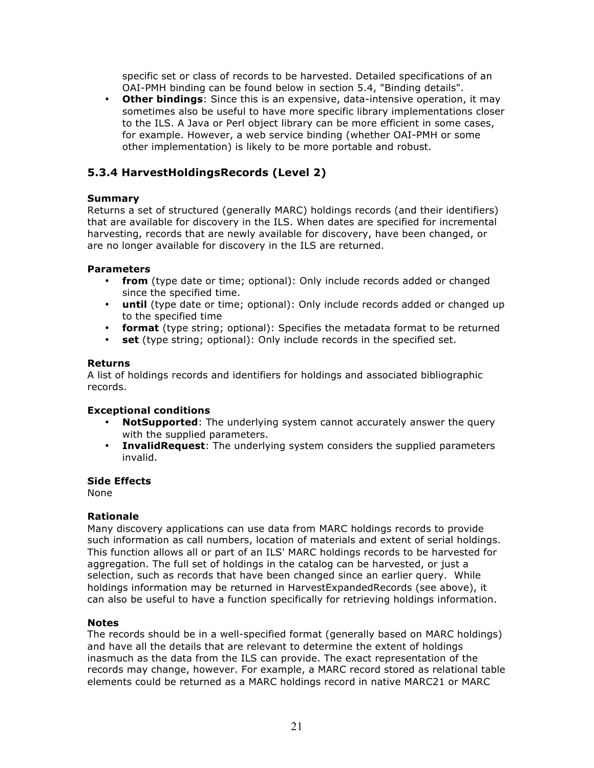specific set or class of records to be harvested. Detailed specifications of an OAI-PMH binding can be found below in section 5.4, "Binding details".

• **Other bindings**: Since this is an expensive, data-intensive operation, it may sometimes also be useful to have more specific library implementations closer to the ILS. A Java or Perl object library can be more efficient in some cases, for example. However, a web service binding (whether OAI-PMH or some other implementation) is likely to be more portable and robust.

# **5.3.4 HarvestHoldingsRecords (Level 2)**

# **Summary**

Returns a set of structured (generally MARC) holdings records (and their identifiers) that are available for discovery in the ILS. When dates are specified for incremental harvesting, records that are newly available for discovery, have been changed, or are no longer available for discovery in the ILS are returned.

# **Parameters**

- **from** (type date or time; optional): Only include records added or changed since the specified time.
- **until** (type date or time; optional): Only include records added or changed up to the specified time
- **format** (type string; optional): Specifies the metadata format to be returned
- **set** (type string; optional): Only include records in the specified set.

# **Returns**

A list of holdings records and identifiers for holdings and associated bibliographic records.

## **Exceptional conditions**

- **NotSupported**: The underlying system cannot accurately answer the query with the supplied parameters.
- **InvalidRequest**: The underlying system considers the supplied parameters invalid.

## **Side Effects**

None

## **Rationale**

Many discovery applications can use data from MARC holdings records to provide such information as call numbers, location of materials and extent of serial holdings. This function allows all or part of an ILS' MARC holdings records to be harvested for aggregation. The full set of holdings in the catalog can be harvested, or just a selection, such as records that have been changed since an earlier query. While holdings information may be returned in HarvestExpandedRecords (see above), it can also be useful to have a function specifically for retrieving holdings information.

## **Notes**

The records should be in a well-specified format (generally based on MARC holdings) and have all the details that are relevant to determine the extent of holdings inasmuch as the data from the ILS can provide. The exact representation of the records may change, however. For example, a MARC record stored as relational table elements could be returned as a MARC holdings record in native MARC21 or MARC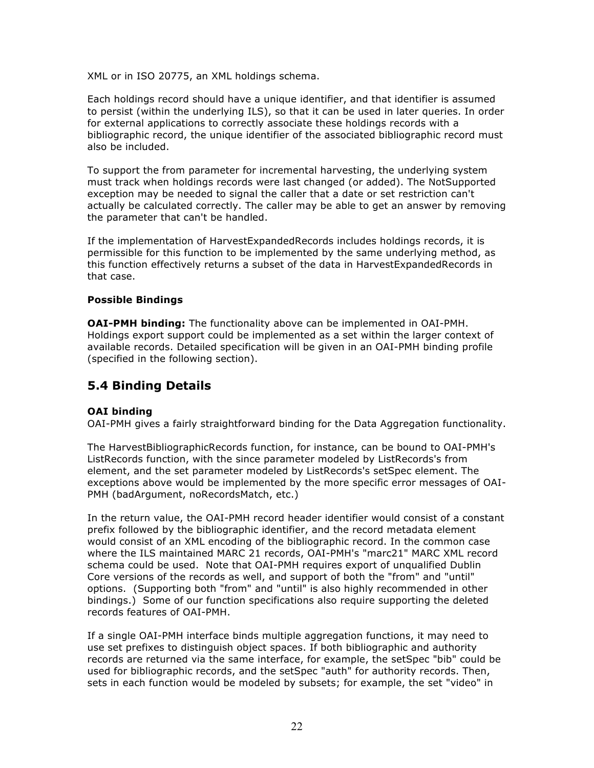XML or in ISO 20775, an XML holdings schema.

Each holdings record should have a unique identifier, and that identifier is assumed to persist (within the underlying ILS), so that it can be used in later queries. In order for external applications to correctly associate these holdings records with a bibliographic record, the unique identifier of the associated bibliographic record must also be included.

To support the from parameter for incremental harvesting, the underlying system must track when holdings records were last changed (or added). The NotSupported exception may be needed to signal the caller that a date or set restriction can't actually be calculated correctly. The caller may be able to get an answer by removing the parameter that can't be handled.

If the implementation of HarvestExpandedRecords includes holdings records, it is permissible for this function to be implemented by the same underlying method, as this function effectively returns a subset of the data in HarvestExpandedRecords in that case.

## **Possible Bindings**

**OAI-PMH binding:** The functionality above can be implemented in OAI-PMH. Holdings export support could be implemented as a set within the larger context of available records. Detailed specification will be given in an OAI-PMH binding profile (specified in the following section).

# **5.4 Binding Details**

# **OAI binding**

OAI-PMH gives a fairly straightforward binding for the Data Aggregation functionality.

The HarvestBibliographicRecords function, for instance, can be bound to OAI-PMH's ListRecords function, with the since parameter modeled by ListRecords's from element, and the set parameter modeled by ListRecords's setSpec element. The exceptions above would be implemented by the more specific error messages of OAI-PMH (badArgument, noRecordsMatch, etc.)

In the return value, the OAI-PMH record header identifier would consist of a constant prefix followed by the bibliographic identifier, and the record metadata element would consist of an XML encoding of the bibliographic record. In the common case where the ILS maintained MARC 21 records, OAI-PMH's "marc21" MARC XML record schema could be used. Note that OAI-PMH requires export of unqualified Dublin Core versions of the records as well, and support of both the "from" and "until" options. (Supporting both "from" and "until" is also highly recommended in other bindings.) Some of our function specifications also require supporting the deleted records features of OAI-PMH.

If a single OAI-PMH interface binds multiple aggregation functions, it may need to use set prefixes to distinguish object spaces. If both bibliographic and authority records are returned via the same interface, for example, the setSpec "bib" could be used for bibliographic records, and the setSpec "auth" for authority records. Then, sets in each function would be modeled by subsets; for example, the set "video" in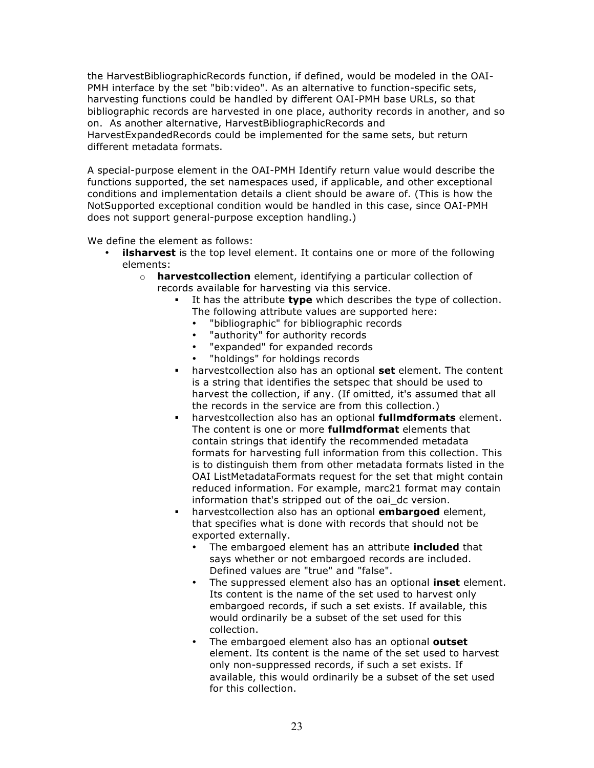the HarvestBibliographicRecords function, if defined, would be modeled in the OAI-PMH interface by the set "bib: video". As an alternative to function-specific sets, harvesting functions could be handled by different OAI-PMH base URLs, so that bibliographic records are harvested in one place, authority records in another, and so on. As another alternative, HarvestBibliographicRecords and HarvestExpandedRecords could be implemented for the same sets, but return different metadata formats.

A special-purpose element in the OAI-PMH Identify return value would describe the functions supported, the set namespaces used, if applicable, and other exceptional conditions and implementation details a client should be aware of. (This is how the NotSupported exceptional condition would be handled in this case, since OAI-PMH does not support general-purpose exception handling.)

We define the element as follows:

- **ilsharvest** is the top level element. It contains one or more of the following elements:
	- o **harvestcollection** element, identifying a particular collection of records available for harvesting via this service.
		- It has the attribute **type** which describes the type of collection. The following attribute values are supported here:
			- "bibliographic" for bibliographic records
			- "authority" for authority records
			- "expanded" for expanded records
			- "holdings" for holdings records
		- harvestcollection also has an optional **set** element. The content is a string that identifies the setspec that should be used to harvest the collection, if any. (If omitted, it's assumed that all the records in the service are from this collection.)
		- harvestcollection also has an optional **fullmdformats** element. The content is one or more **fullmdformat** elements that contain strings that identify the recommended metadata formats for harvesting full information from this collection. This is to distinguish them from other metadata formats listed in the OAI ListMetadataFormats request for the set that might contain reduced information. For example, marc21 format may contain information that's stripped out of the oai dc version.
		- harvestcollection also has an optional **embargoed** element, that specifies what is done with records that should not be exported externally.
			- The embargoed element has an attribute **included** that says whether or not embargoed records are included. Defined values are "true" and "false".
			- The suppressed element also has an optional **inset** element. Its content is the name of the set used to harvest only embargoed records, if such a set exists. If available, this would ordinarily be a subset of the set used for this collection.
			- The embargoed element also has an optional **outset** element. Its content is the name of the set used to harvest only non-suppressed records, if such a set exists. If available, this would ordinarily be a subset of the set used for this collection.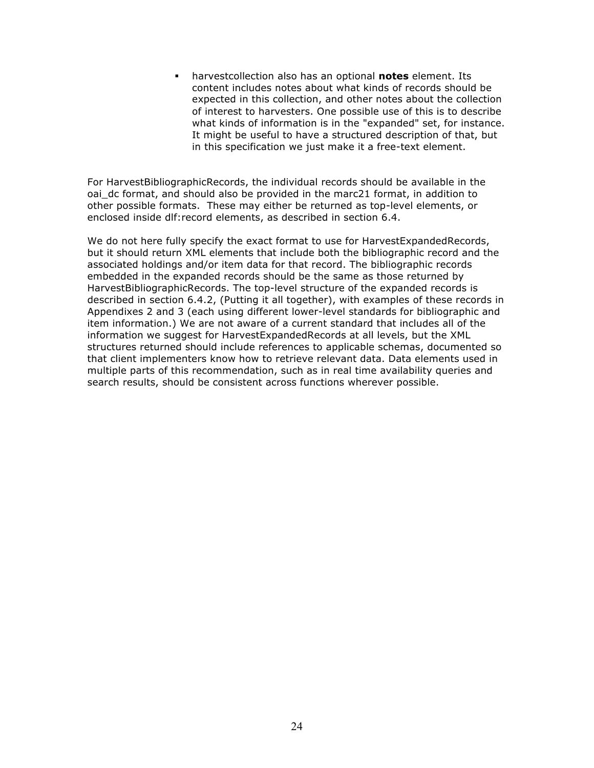harvestcollection also has an optional **notes** element. Its content includes notes about what kinds of records should be expected in this collection, and other notes about the collection of interest to harvesters. One possible use of this is to describe what kinds of information is in the "expanded" set, for instance. It might be useful to have a structured description of that, but in this specification we just make it a free-text element.

For HarvestBibliographicRecords, the individual records should be available in the oai dc format, and should also be provided in the marc21 format, in addition to other possible formats. These may either be returned as top-level elements, or enclosed inside dlf:record elements, as described in section 6.4.

We do not here fully specify the exact format to use for HarvestExpandedRecords, but it should return XML elements that include both the bibliographic record and the associated holdings and/or item data for that record. The bibliographic records embedded in the expanded records should be the same as those returned by HarvestBibliographicRecords. The top-level structure of the expanded records is described in section 6.4.2, (Putting it all together), with examples of these records in Appendixes 2 and 3 (each using different lower-level standards for bibliographic and item information.) We are not aware of a current standard that includes all of the information we suggest for HarvestExpandedRecords at all levels, but the XML structures returned should include references to applicable schemas, documented so that client implementers know how to retrieve relevant data. Data elements used in multiple parts of this recommendation, such as in real time availability queries and search results, should be consistent across functions wherever possible.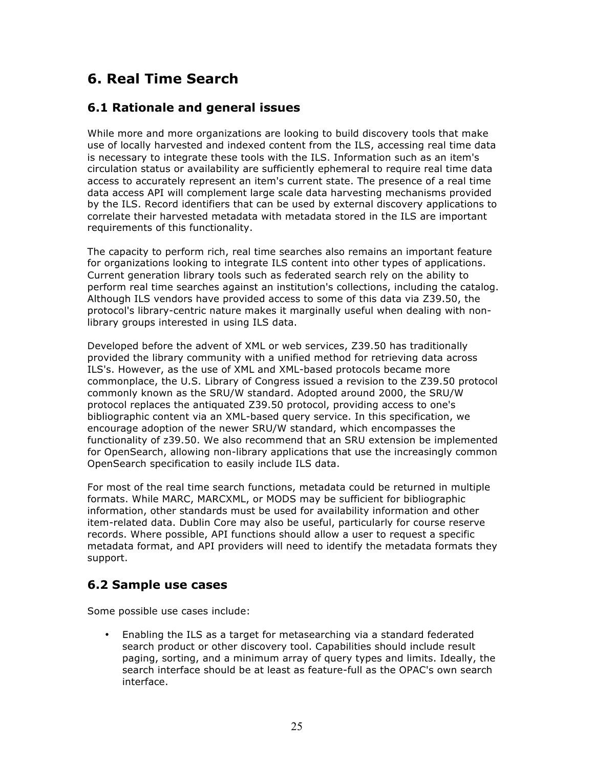# **6. Real Time Search**

# **6.1 Rationale and general issues**

While more and more organizations are looking to build discovery tools that make use of locally harvested and indexed content from the ILS, accessing real time data is necessary to integrate these tools with the ILS. Information such as an item's circulation status or availability are sufficiently ephemeral to require real time data access to accurately represent an item's current state. The presence of a real time data access API will complement large scale data harvesting mechanisms provided by the ILS. Record identifiers that can be used by external discovery applications to correlate their harvested metadata with metadata stored in the ILS are important requirements of this functionality.

The capacity to perform rich, real time searches also remains an important feature for organizations looking to integrate ILS content into other types of applications. Current generation library tools such as federated search rely on the ability to perform real time searches against an institution's collections, including the catalog. Although ILS vendors have provided access to some of this data via Z39.50, the protocol's library-centric nature makes it marginally useful when dealing with nonlibrary groups interested in using ILS data.

Developed before the advent of XML or web services, Z39.50 has traditionally provided the library community with a unified method for retrieving data across ILS's. However, as the use of XML and XML-based protocols became more commonplace, the U.S. Library of Congress issued a revision to the Z39.50 protocol commonly known as the SRU/W standard. Adopted around 2000, the SRU/W protocol replaces the antiquated Z39.50 protocol, providing access to one's bibliographic content via an XML-based query service. In this specification, we encourage adoption of the newer SRU/W standard, which encompasses the functionality of z39.50. We also recommend that an SRU extension be implemented for OpenSearch, allowing non-library applications that use the increasingly common OpenSearch specification to easily include ILS data.

For most of the real time search functions, metadata could be returned in multiple formats. While MARC, MARCXML, or MODS may be sufficient for bibliographic information, other standards must be used for availability information and other item-related data. Dublin Core may also be useful, particularly for course reserve records. Where possible, API functions should allow a user to request a specific metadata format, and API providers will need to identify the metadata formats they support.

# **6.2 Sample use cases**

Some possible use cases include:

• Enabling the ILS as a target for metasearching via a standard federated search product or other discovery tool. Capabilities should include result paging, sorting, and a minimum array of query types and limits. Ideally, the search interface should be at least as feature-full as the OPAC's own search interface.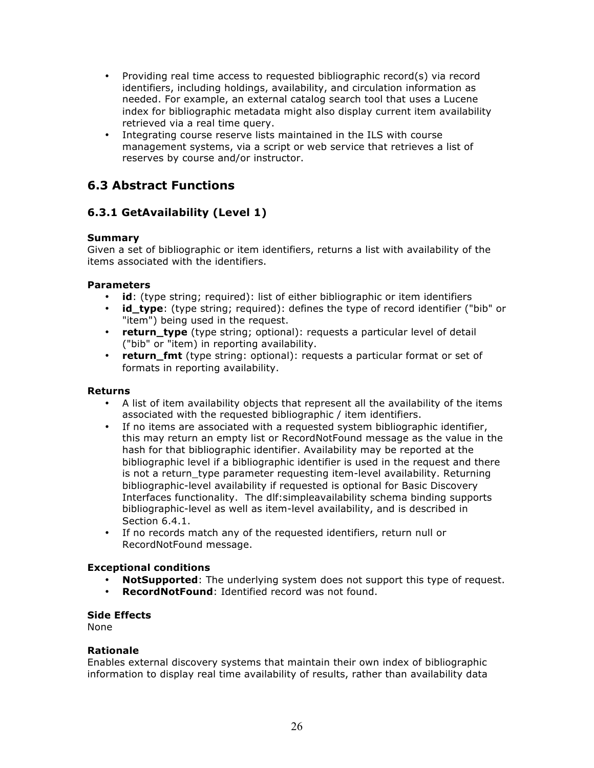- Providing real time access to requested bibliographic record(s) via record identifiers, including holdings, availability, and circulation information as needed. For example, an external catalog search tool that uses a Lucene index for bibliographic metadata might also display current item availability retrieved via a real time query.
- Integrating course reserve lists maintained in the ILS with course management systems, via a script or web service that retrieves a list of reserves by course and/or instructor.

# **6.3 Abstract Functions**

# **6.3.1 GetAvailability (Level 1)**

# **Summary**

Given a set of bibliographic or item identifiers, returns a list with availability of the items associated with the identifiers.

# **Parameters**

- **id**: (type string; required): list of either bibliographic or item identifiers
- **id\_type**: (type string; required): defines the type of record identifier ("bib" or "item") being used in the request.
- **return type** (type string; optional): requests a particular level of detail ("bib" or "item) in reporting availability.
- **return\_fmt** (type string: optional): requests a particular format or set of formats in reporting availability.

# **Returns**

- A list of item availability objects that represent all the availability of the items associated with the requested bibliographic / item identifiers.
- If no items are associated with a requested system bibliographic identifier, this may return an empty list or RecordNotFound message as the value in the hash for that bibliographic identifier. Availability may be reported at the bibliographic level if a bibliographic identifier is used in the request and there is not a return type parameter requesting item-level availability. Returning bibliographic-level availability if requested is optional for Basic Discovery Interfaces functionality. The dlf:simpleavailability schema binding supports bibliographic-level as well as item-level availability, and is described in Section 6.4.1.
- If no records match any of the requested identifiers, return null or RecordNotFound message.

# **Exceptional conditions**

- **NotSupported**: The underlying system does not support this type of request.
- **RecordNotFound**: Identified record was not found.

## **Side Effects**

None

## **Rationale**

Enables external discovery systems that maintain their own index of bibliographic information to display real time availability of results, rather than availability data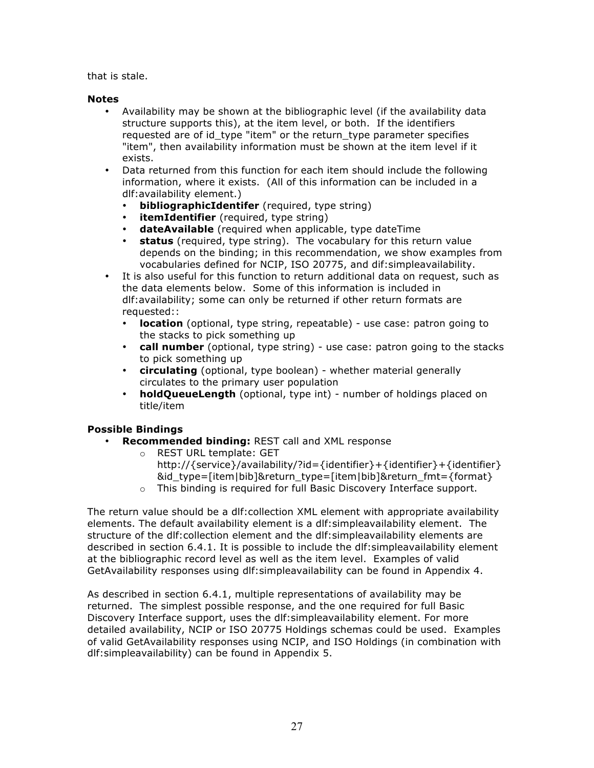that is stale.

## **Notes**

- Availability may be shown at the bibliographic level (if the availability data structure supports this), at the item level, or both. If the identifiers requested are of id type "item" or the return type parameter specifies "item", then availability information must be shown at the item level if it exists.
- Data returned from this function for each item should include the following information, where it exists. (All of this information can be included in a dlf:availability element.)
	- **bibliographicIdentifer** (required, type string)
	- **itemIdentifier** (required, type string)
	- **dateAvailable** (required when applicable, type dateTime
	- **status** (required, type string). The vocabulary for this return value depends on the binding; in this recommendation, we show examples from vocabularies defined for NCIP, ISO 20775, and dif:simpleavailability.
- It is also useful for this function to return additional data on request, such as the data elements below. Some of this information is included in dlf:availability; some can only be returned if other return formats are requested::
	- **location** (optional, type string, repeatable) use case: patron going to the stacks to pick something up
	- **call number** (optional, type string) use case: patron going to the stacks to pick something up
	- **circulating** (optional, type boolean) whether material generally circulates to the primary user population
	- **holdQueueLength** (optional, type int) number of holdings placed on title/item

# **Possible Bindings**

- **Recommended binding:** REST call and XML response
	- o REST URL template: GET
		- http://{service}/availability/?id={identifier}+{identifier}+{identifier} &id type=[item|bib]&return\_type=[item|bib]&return\_fmt={format}
	- $\circ$  This binding is required for full Basic Discovery Interface support.

The return value should be a dlf:collection XML element with appropriate availability elements. The default availability element is a dlf:simpleavailability element. The structure of the dlf:collection element and the dlf:simpleavailability elements are described in section 6.4.1. It is possible to include the dlf:simpleavailability element at the bibliographic record level as well as the item level. Examples of valid GetAvailability responses using dlf:simpleavailability can be found in Appendix 4.

As described in section 6.4.1, multiple representations of availability may be returned. The simplest possible response, and the one required for full Basic Discovery Interface support, uses the dlf:simpleavailability element. For more detailed availability, NCIP or ISO 20775 Holdings schemas could be used. Examples of valid GetAvailability responses using NCIP, and ISO Holdings (in combination with dlf:simpleavailability) can be found in Appendix 5.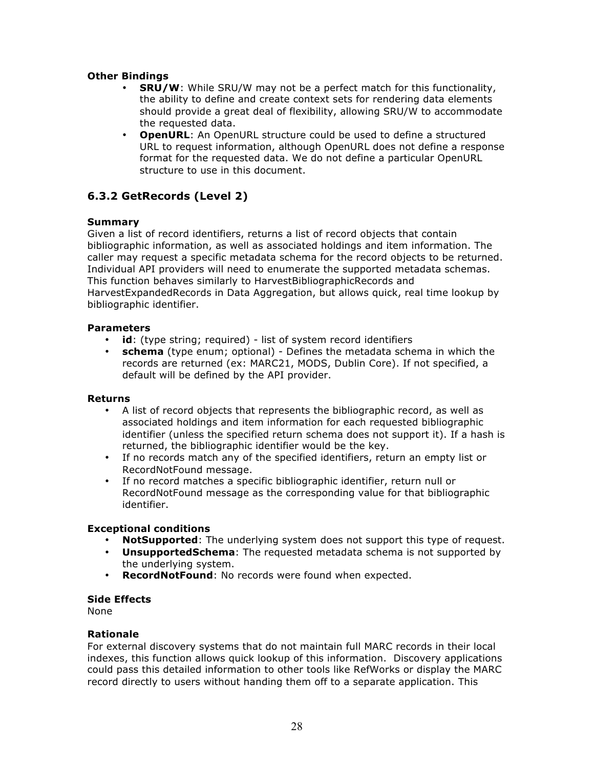# **Other Bindings**

- **SRU/W**: While SRU/W may not be a perfect match for this functionality, the ability to define and create context sets for rendering data elements should provide a great deal of flexibility, allowing SRU/W to accommodate the requested data.
- **OpenURL**: An OpenURL structure could be used to define a structured URL to request information, although OpenURL does not define a response format for the requested data. We do not define a particular OpenURL structure to use in this document.

# **6.3.2 GetRecords (Level 2)**

# **Summary**

Given a list of record identifiers, returns a list of record objects that contain bibliographic information, as well as associated holdings and item information. The caller may request a specific metadata schema for the record objects to be returned. Individual API providers will need to enumerate the supported metadata schemas. This function behaves similarly to HarvestBibliographicRecords and HarvestExpandedRecords in Data Aggregation, but allows quick, real time lookup by bibliographic identifier.

## **Parameters**

- **id**: (type string; required) list of system record identifiers
- **schema** (type enum; optional) Defines the metadata schema in which the records are returned (ex: MARC21, MODS, Dublin Core). If not specified, a default will be defined by the API provider.

## **Returns**

- A list of record objects that represents the bibliographic record, as well as associated holdings and item information for each requested bibliographic identifier (unless the specified return schema does not support it). If a hash is returned, the bibliographic identifier would be the key.
- If no records match any of the specified identifiers, return an empty list or RecordNotFound message.
- If no record matches a specific bibliographic identifier, return null or RecordNotFound message as the corresponding value for that bibliographic identifier.

## **Exceptional conditions**

- **NotSupported**: The underlying system does not support this type of request.
- **UnsupportedSchema**: The requested metadata schema is not supported by the underlying system.
- **RecordNotFound**: No records were found when expected.

## **Side Effects**

None

## **Rationale**

For external discovery systems that do not maintain full MARC records in their local indexes, this function allows quick lookup of this information. Discovery applications could pass this detailed information to other tools like RefWorks or display the MARC record directly to users without handing them off to a separate application. This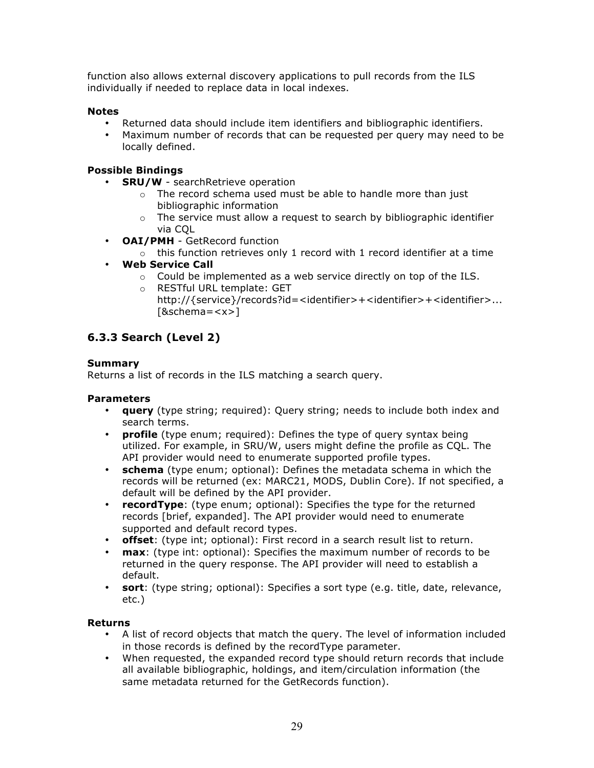function also allows external discovery applications to pull records from the ILS individually if needed to replace data in local indexes.

# **Notes**

- Returned data should include item identifiers and bibliographic identifiers.
- Maximum number of records that can be requested per query may need to be locally defined.

# **Possible Bindings**

- **SRU/W** searchRetrieve operation
	- o The record schema used must be able to handle more than just bibliographic information
	- $\circ$  The service must allow a request to search by bibliographic identifier via CQL
- **OAI/PMH** GetRecord function
	- $\circ$  this function retrieves only 1 record with 1 record identifier at a time
- **Web Service Call**
	- $\circ$  Could be implemented as a web service directly on top of the ILS.
	- o RESTful URL template: GET http://{service}/records?id=<identifier>+<identifier>+<identifier>... [&schema=<x>]

# **6.3.3 Search (Level 2)**

# **Summary**

Returns a list of records in the ILS matching a search query.

## **Parameters**

- **query** (type string; required): Query string; needs to include both index and search terms.
- **profile** (type enum; required): Defines the type of query syntax being utilized. For example, in SRU/W, users might define the profile as CQL. The API provider would need to enumerate supported profile types.
- **schema** (type enum; optional): Defines the metadata schema in which the records will be returned (ex: MARC21, MODS, Dublin Core). If not specified, a default will be defined by the API provider.
- **recordType**: (type enum; optional): Specifies the type for the returned records [brief, expanded]. The API provider would need to enumerate supported and default record types.
- **offset**: (type int; optional): First record in a search result list to return.
- **max**: (type int: optional): Specifies the maximum number of records to be returned in the query response. The API provider will need to establish a default.
- **sort**: (type string; optional): Specifies a sort type (e.g. title, date, relevance, etc.)

## **Returns**

- A list of record objects that match the query. The level of information included in those records is defined by the recordType parameter.
- When requested, the expanded record type should return records that include all available bibliographic, holdings, and item/circulation information (the same metadata returned for the GetRecords function).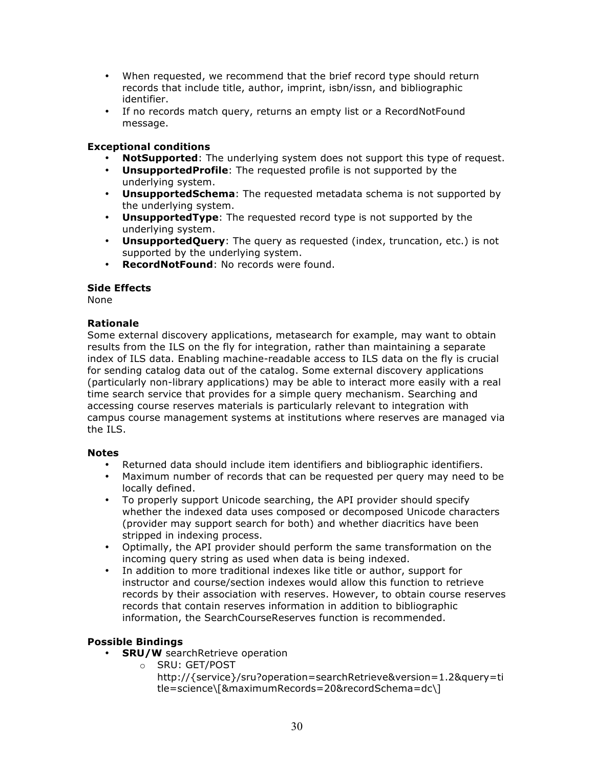- When requested, we recommend that the brief record type should return records that include title, author, imprint, isbn/issn, and bibliographic identifier.
- If no records match query, returns an empty list or a RecordNotFound message.

# **Exceptional conditions**

- **NotSupported**: The underlying system does not support this type of request.
- **UnsupportedProfile**: The requested profile is not supported by the underlying system.
- **UnsupportedSchema**: The requested metadata schema is not supported by the underlying system.
- **UnsupportedType**: The requested record type is not supported by the underlying system.
- **UnsupportedQuery**: The query as requested (index, truncation, etc.) is not supported by the underlying system.
- **RecordNotFound**: No records were found.

## **Side Effects**

None

# **Rationale**

Some external discovery applications, metasearch for example, may want to obtain results from the ILS on the fly for integration, rather than maintaining a separate index of ILS data. Enabling machine-readable access to ILS data on the fly is crucial for sending catalog data out of the catalog. Some external discovery applications (particularly non-library applications) may be able to interact more easily with a real time search service that provides for a simple query mechanism. Searching and accessing course reserves materials is particularly relevant to integration with campus course management systems at institutions where reserves are managed via the ILS.

## **Notes**

- Returned data should include item identifiers and bibliographic identifiers.
- Maximum number of records that can be requested per query may need to be locally defined.
- To properly support Unicode searching, the API provider should specify whether the indexed data uses composed or decomposed Unicode characters (provider may support search for both) and whether diacritics have been stripped in indexing process.
- Optimally, the API provider should perform the same transformation on the incoming query string as used when data is being indexed.
- In addition to more traditional indexes like title or author, support for instructor and course/section indexes would allow this function to retrieve records by their association with reserves. However, to obtain course reserves records that contain reserves information in addition to bibliographic information, the SearchCourseReserves function is recommended.

# **Possible Bindings**

- **SRU/W** searchRetrieve operation
	- o SRU: GET/POST
		- http://{service}/sru?operation=searchRetrieve&version=1.2&query=ti tle=science\[&maximumRecords=20&recordSchema=dc\]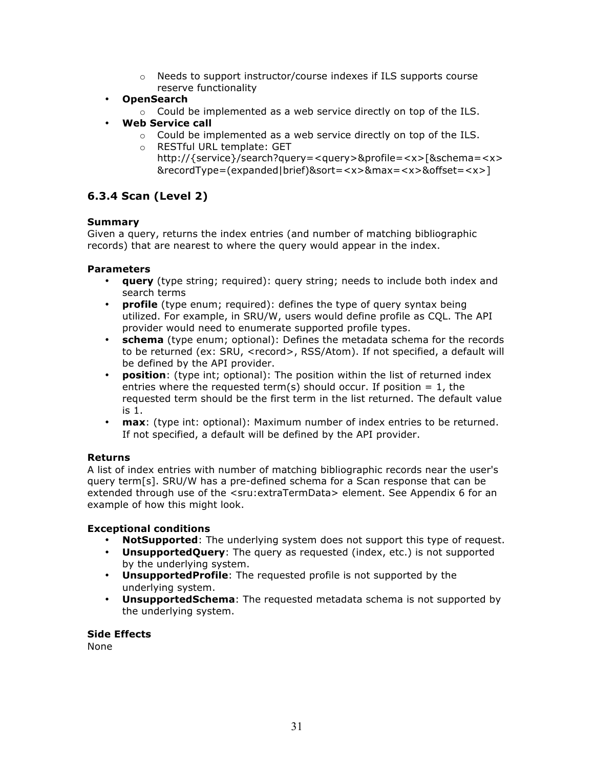- $\circ$  Needs to support instructor/course indexes if ILS supports course reserve functionality
- **OpenSearch**
	- o Could be implemented as a web service directly on top of the ILS.
- **Web Service call**
	- o Could be implemented as a web service directly on top of the ILS.
	- o RESTful URL template: GET http://{service}/search?query=<query>&profile=<x>[&schema=<x> &recordType=(expanded|brief)&sort=<x>&max=<x>&offset=<x>]

# **6.3.4 Scan (Level 2)**

# **Summary**

Given a query, returns the index entries (and number of matching bibliographic records) that are nearest to where the query would appear in the index.

# **Parameters**

- **query** (type string; required): query string; needs to include both index and search terms
- **profile** (type enum; required): defines the type of query syntax being utilized. For example, in SRU/W, users would define profile as CQL. The API provider would need to enumerate supported profile types.
- **schema** (type enum; optional): Defines the metadata schema for the records to be returned (ex: SRU, <record>, RSS/Atom). If not specified, a default will be defined by the API provider.
- **position**: (type int; optional): The position within the list of returned index entries where the requested term(s) should occur. If position  $= 1$ , the requested term should be the first term in the list returned. The default value is 1.
- **max**: (type int: optional): Maximum number of index entries to be returned. If not specified, a default will be defined by the API provider.

## **Returns**

A list of index entries with number of matching bibliographic records near the user's query term[s]. SRU/W has a pre-defined schema for a Scan response that can be extended through use of the <sru:extraTermData> element. See Appendix 6 for an example of how this might look.

## **Exceptional conditions**

- **NotSupported**: The underlying system does not support this type of request.
- **UnsupportedQuery**: The query as requested (index, etc.) is not supported by the underlying system.
- **UnsupportedProfile**: The requested profile is not supported by the underlying system.
- **UnsupportedSchema**: The requested metadata schema is not supported by the underlying system.

## **Side Effects**

None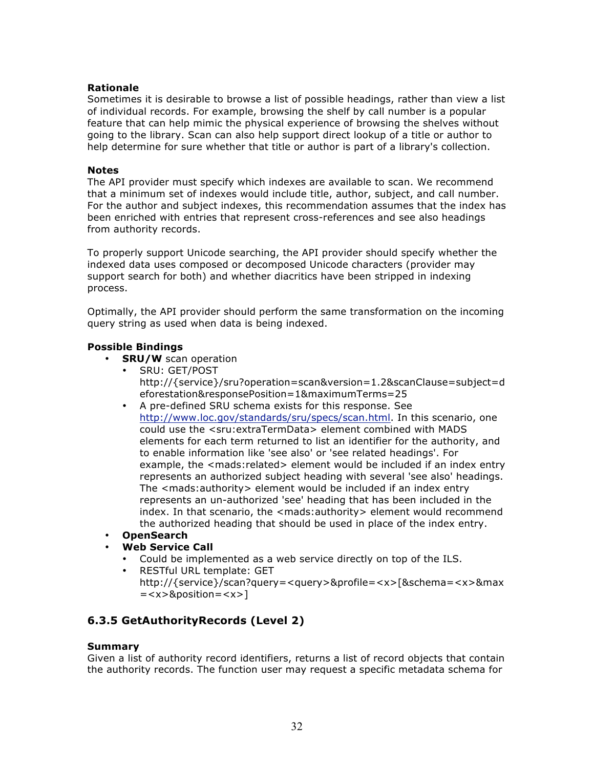## **Rationale**

Sometimes it is desirable to browse a list of possible headings, rather than view a list of individual records. For example, browsing the shelf by call number is a popular feature that can help mimic the physical experience of browsing the shelves without going to the library. Scan can also help support direct lookup of a title or author to help determine for sure whether that title or author is part of a library's collection.

## **Notes**

The API provider must specify which indexes are available to scan. We recommend that a minimum set of indexes would include title, author, subject, and call number. For the author and subject indexes, this recommendation assumes that the index has been enriched with entries that represent cross-references and see also headings from authority records.

To properly support Unicode searching, the API provider should specify whether the indexed data uses composed or decomposed Unicode characters (provider may support search for both) and whether diacritics have been stripped in indexing process.

Optimally, the API provider should perform the same transformation on the incoming query string as used when data is being indexed.

# **Possible Bindings**

- **SRU/W** scan operation
	- SRU: GET/POST http://{service}/sru?operation=scan&version=1.2&scanClause=subject=d eforestation&responsePosition=1&maximumTerms=25
	- A pre-defined SRU schema exists for this response. See http://www.loc.gov/standards/sru/specs/scan.html. In this scenario, one could use the <sru:extraTermData> element combined with MADS elements for each term returned to list an identifier for the authority, and to enable information like 'see also' or 'see related headings'. For example, the <mads:related> element would be included if an index entry represents an authorized subject heading with several 'see also' headings. The <mads:authority> element would be included if an index entry represents an un-authorized 'see' heading that has been included in the index. In that scenario, the <mads:authority> element would recommend the authorized heading that should be used in place of the index entry.
- **OpenSearch**
- **Web Service Call**
	- Could be implemented as a web service directly on top of the ILS.
	- RESTful URL template: GET http://{service}/scan?query=<query>&profile=<x>[&schema=<x>&max  $=$  <x> $\&$ position = <x>]

# **6.3.5 GetAuthorityRecords (Level 2)**

# **Summary**

Given a list of authority record identifiers, returns a list of record objects that contain the authority records. The function user may request a specific metadata schema for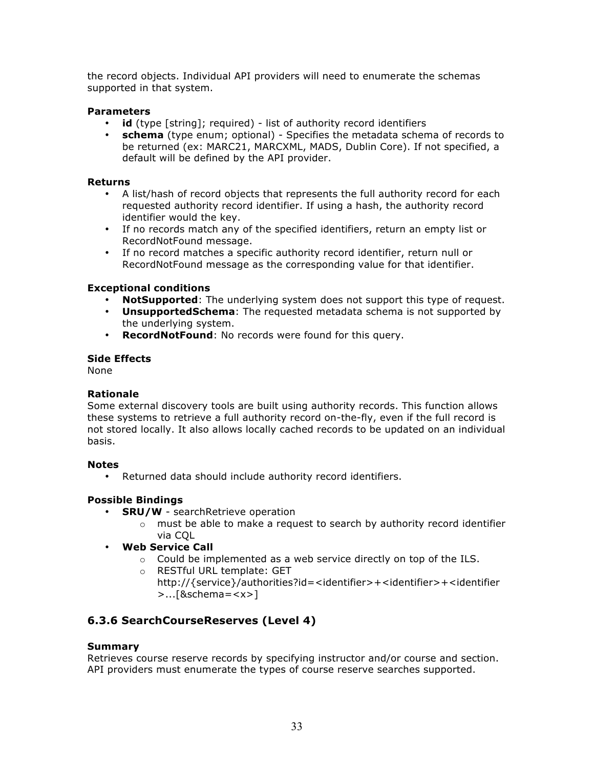the record objects. Individual API providers will need to enumerate the schemas supported in that system.

## **Parameters**

- **id** (type [string]; required) list of authority record identifiers
- **schema** (type enum; optional) Specifies the metadata schema of records to be returned (ex: MARC21, MARCXML, MADS, Dublin Core). If not specified, a default will be defined by the API provider.

## **Returns**

- A list/hash of record objects that represents the full authority record for each requested authority record identifier. If using a hash, the authority record identifier would the key.
- If no records match any of the specified identifiers, return an empty list or RecordNotFound message.
- If no record matches a specific authority record identifier, return null or RecordNotFound message as the corresponding value for that identifier.

# **Exceptional conditions**

- **NotSupported**: The underlying system does not support this type of request.
- **UnsupportedSchema**: The requested metadata schema is not supported by the underlying system.
- **RecordNotFound**: No records were found for this query.

## **Side Effects**

None

# **Rationale**

Some external discovery tools are built using authority records. This function allows these systems to retrieve a full authority record on-the-fly, even if the full record is not stored locally. It also allows locally cached records to be updated on an individual basis.

## **Notes**

• Returned data should include authority record identifiers.

# **Possible Bindings**

- **SRU/W** searchRetrieve operation
	- $\circ$  must be able to make a request to search by authority record identifier via CQL
- **Web Service Call**
	- $\circ$  Could be implemented as a web service directly on top of the ILS.
	- o RESTful URL template: GET http://{service}/authorities?id=<identifier>+<identifier>+<identifier >...[&schema=<x>]

# **6.3.6 SearchCourseReserves (Level 4)**

# **Summary**

Retrieves course reserve records by specifying instructor and/or course and section. API providers must enumerate the types of course reserve searches supported.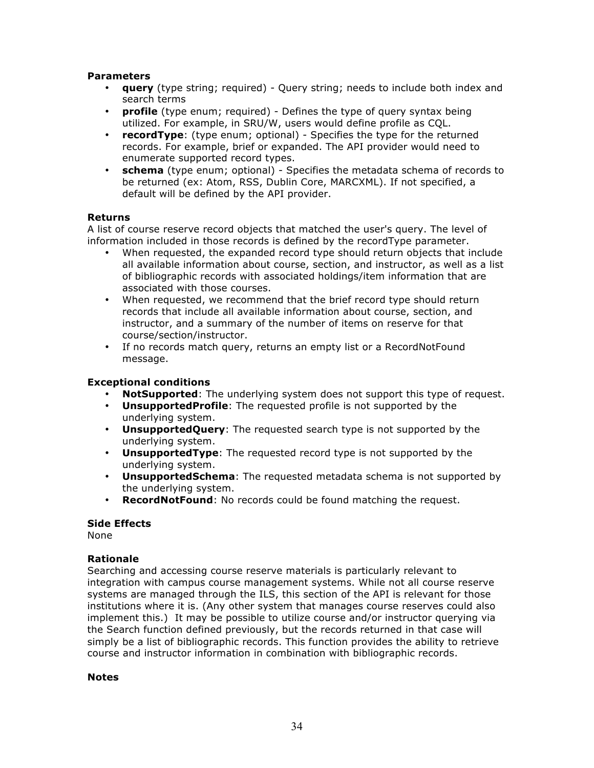# **Parameters**

- **query** (type string; required) Query string; needs to include both index and search terms
- **profile** (type enum; required) Defines the type of query syntax being utilized. For example, in SRU/W, users would define profile as CQL.
- **recordType**: (type enum; optional) Specifies the type for the returned records. For example, brief or expanded. The API provider would need to enumerate supported record types.
- **schema** (type enum; optional) Specifies the metadata schema of records to be returned (ex: Atom, RSS, Dublin Core, MARCXML). If not specified, a default will be defined by the API provider.

## **Returns**

A list of course reserve record objects that matched the user's query. The level of information included in those records is defined by the recordType parameter.

- When requested, the expanded record type should return objects that include all available information about course, section, and instructor, as well as a list of bibliographic records with associated holdings/item information that are associated with those courses.
- When requested, we recommend that the brief record type should return records that include all available information about course, section, and instructor, and a summary of the number of items on reserve for that course/section/instructor.
- If no records match query, returns an empty list or a RecordNotFound message.

# **Exceptional conditions**

- **NotSupported**: The underlying system does not support this type of request.
- **UnsupportedProfile**: The requested profile is not supported by the underlying system.
- **UnsupportedQuery**: The requested search type is not supported by the underlying system.
- **UnsupportedType**: The requested record type is not supported by the underlying system.
- **UnsupportedSchema**: The requested metadata schema is not supported by the underlying system.
- **RecordNotFound**: No records could be found matching the request.

## **Side Effects**

None

## **Rationale**

Searching and accessing course reserve materials is particularly relevant to integration with campus course management systems. While not all course reserve systems are managed through the ILS, this section of the API is relevant for those institutions where it is. (Any other system that manages course reserves could also implement this.) It may be possible to utilize course and/or instructor querying via the Search function defined previously, but the records returned in that case will simply be a list of bibliographic records. This function provides the ability to retrieve course and instructor information in combination with bibliographic records.

#### **Notes**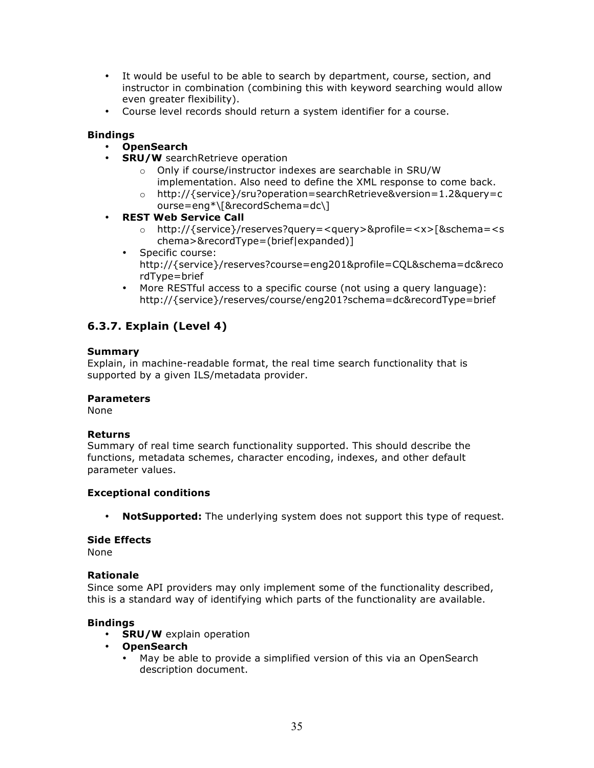- It would be useful to be able to search by department, course, section, and instructor in combination (combining this with keyword searching would allow even greater flexibility).
- Course level records should return a system identifier for a course.

## **Bindings**

# • **OpenSearch**

- **SRU/W** searchRetrieve operation
	- o Only if course/instructor indexes are searchable in SRU/W implementation. Also need to define the XML response to come back.
	- o http://{service}/sru?operation=searchRetrieve&version=1.2&query=c ourse=eng\*\[&recordSchema=dc\]
- **REST Web Service Call**
	- o http://{service}/reserves?query=<query>&profile=<x>[&schema=<s chema>&recordType=(brief|expanded)]
	- Specific course: http://{service}/reserves?course=eng201&profile=CQL&schema=dc&reco rdType=brief
	- More RESTful access to a specific course (not using a query language): http://{service}/reserves/course/eng201?schema=dc&recordType=brief

# **6.3.7. Explain (Level 4)**

## **Summary**

Explain, in machine-readable format, the real time search functionality that is supported by a given ILS/metadata provider.

## **Parameters**

None

## **Returns**

Summary of real time search functionality supported. This should describe the functions, metadata schemes, character encoding, indexes, and other default parameter values.

## **Exceptional conditions**

• **NotSupported:** The underlying system does not support this type of request.

## **Side Effects**

None

## **Rationale**

Since some API providers may only implement some of the functionality described, this is a standard way of identifying which parts of the functionality are available.

## **Bindings**

- **SRU/W** explain operation
- **OpenSearch**
	- May be able to provide a simplified version of this via an OpenSearch description document.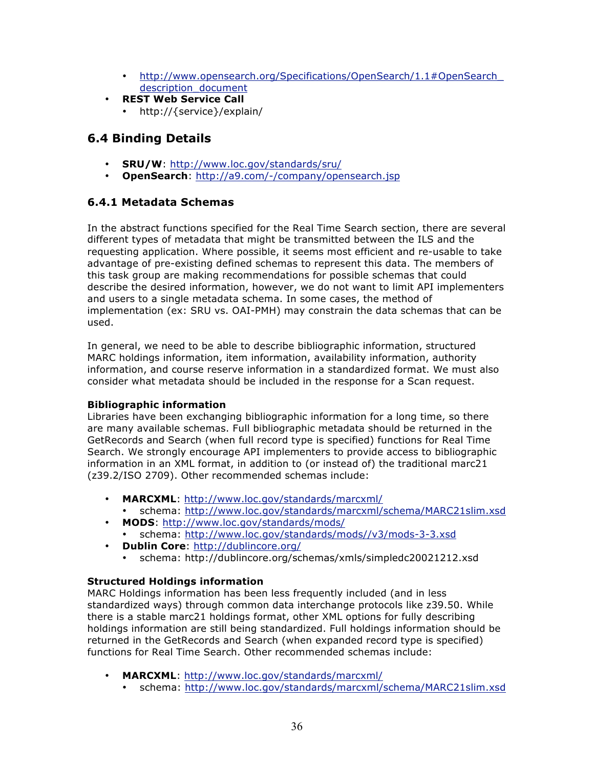- http://www.opensearch.org/Specifications/OpenSearch/1.1#OpenSearch description document
- **REST Web Service Call**
	- http://{service}/explain/

# **6.4 Binding Details**

- **SRU/W**: http://www.loc.gov/standards/sru/
- **OpenSearch**: http://a9.com/-/company/opensearch.jsp

# **6.4.1 Metadata Schemas**

In the abstract functions specified for the Real Time Search section, there are several different types of metadata that might be transmitted between the ILS and the requesting application. Where possible, it seems most efficient and re-usable to take advantage of pre-existing defined schemas to represent this data. The members of this task group are making recommendations for possible schemas that could describe the desired information, however, we do not want to limit API implementers and users to a single metadata schema. In some cases, the method of implementation (ex: SRU vs. OAI-PMH) may constrain the data schemas that can be used.

In general, we need to be able to describe bibliographic information, structured MARC holdings information, item information, availability information, authority information, and course reserve information in a standardized format. We must also consider what metadata should be included in the response for a Scan request.

# **Bibliographic information**

Libraries have been exchanging bibliographic information for a long time, so there are many available schemas. Full bibliographic metadata should be returned in the GetRecords and Search (when full record type is specified) functions for Real Time Search. We strongly encourage API implementers to provide access to bibliographic information in an XML format, in addition to (or instead of) the traditional marc21 (z39.2/ISO 2709). Other recommended schemas include:

- **MARCXML**: http://www.loc.gov/standards/marcxml/ • schema: http://www.loc.gov/standards/marcxml/schema/MARC21slim.xsd
- **MODS**: http://www.loc.gov/standards/mods/
	- schema: http://www.loc.gov/standards/mods//v3/mods-3-3.xsd
- **Dublin Core**: http://dublincore.org/
	- schema: http://dublincore.org/schemas/xmls/simpledc20021212.xsd

# **Structured Holdings information**

MARC Holdings information has been less frequently included (and in less standardized ways) through common data interchange protocols like z39.50. While there is a stable marc21 holdings format, other XML options for fully describing holdings information are still being standardized. Full holdings information should be returned in the GetRecords and Search (when expanded record type is specified) functions for Real Time Search. Other recommended schemas include:

- **MARCXML**: http://www.loc.gov/standards/marcxml/
	- schema: http://www.loc.gov/standards/marcxml/schema/MARC21slim.xsd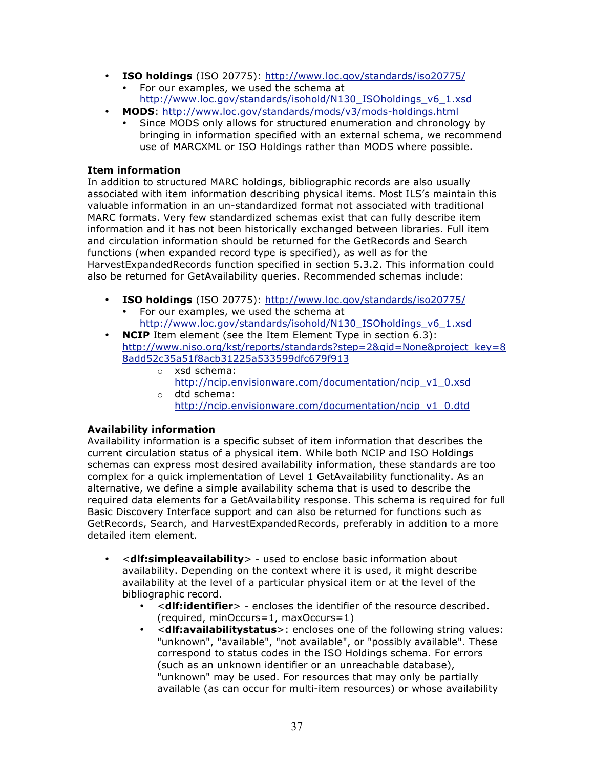- **ISO holdings** (ISO 20775): http://www.loc.gov/standards/iso20775/
	- For our examples, we used the schema at http://www.loc.gov/standards/isohold/N130\_ISOholdings\_v6\_1.xsd
- **MODS**: http://www.loc.gov/standards/mods/v3/mods-holdings.html
	- Since MODS only allows for structured enumeration and chronology by bringing in information specified with an external schema, we recommend use of MARCXML or ISO Holdings rather than MODS where possible.

# **Item information**

In addition to structured MARC holdings, bibliographic records are also usually associated with item information describing physical items. Most ILS's maintain this valuable information in an un-standardized format not associated with traditional MARC formats. Very few standardized schemas exist that can fully describe item information and it has not been historically exchanged between libraries. Full item and circulation information should be returned for the GetRecords and Search functions (when expanded record type is specified), as well as for the HarvestExpandedRecords function specified in section 5.3.2. This information could also be returned for GetAvailability queries. Recommended schemas include:

- **ISO holdings** (ISO 20775): http://www.loc.gov/standards/iso20775/
- For our examples, we used the schema at http://www.loc.gov/standards/isohold/N130\_ISOholdings\_v6\_1.xsd
- **NCIP** Item element (see the Item Element Type in section 6.3): http://www.niso.org/kst/reports/standards?step=2&gid=None&project\_key=8 8add52c35a51f8acb31225a533599dfc679f913
	- o xsd schema: http://ncip.envisionware.com/documentation/ncip\_v1\_0.xsd o dtd schema:
		- http://ncip.envisionware.com/documentation/ncip\_v1\_0.dtd

# **Availability information**

Availability information is a specific subset of item information that describes the current circulation status of a physical item. While both NCIP and ISO Holdings schemas can express most desired availability information, these standards are too complex for a quick implementation of Level 1 GetAvailability functionality. As an alternative, we define a simple availability schema that is used to describe the required data elements for a GetAvailability response. This schema is required for full Basic Discovery Interface support and can also be returned for functions such as GetRecords, Search, and HarvestExpandedRecords, preferably in addition to a more detailed item element.

- <**dlf:simpleavailability**> used to enclose basic information about availability. Depending on the context where it is used, it might describe availability at the level of a particular physical item or at the level of the bibliographic record.
	- <**dlf:identifier**> encloses the identifier of the resource described. (required, minOccurs=1, maxOccurs=1)
	- <**dlf:availabilitystatus**>: encloses one of the following string values: "unknown", "available", "not available", or "possibly available". These correspond to status codes in the ISO Holdings schema. For errors (such as an unknown identifier or an unreachable database), "unknown" may be used. For resources that may only be partially available (as can occur for multi-item resources) or whose availability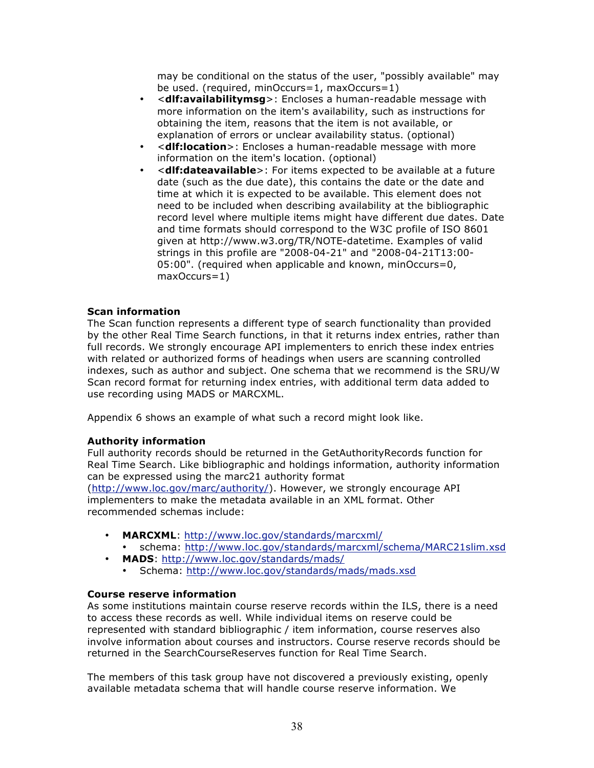may be conditional on the status of the user, "possibly available" may be used. (required, minOccurs=1, maxOccurs=1)

- <**dlf:availabilitymsg**>: Encloses a human-readable message with more information on the item's availability, such as instructions for obtaining the item, reasons that the item is not available, or explanation of errors or unclear availability status. (optional)
- <**dlf:location**>: Encloses a human-readable message with more information on the item's location. (optional)
- <**dlf:dateavailable**>: For items expected to be available at a future date (such as the due date), this contains the date or the date and time at which it is expected to be available. This element does not need to be included when describing availability at the bibliographic record level where multiple items might have different due dates. Date and time formats should correspond to the W3C profile of ISO 8601 given at http://www.w3.org/TR/NOTE-datetime. Examples of valid strings in this profile are "2008-04-21" and "2008-04-21T13:00- 05:00". (required when applicable and known, minOccurs=0, maxOccurs=1)

### **Scan information**

The Scan function represents a different type of search functionality than provided by the other Real Time Search functions, in that it returns index entries, rather than full records. We strongly encourage API implementers to enrich these index entries with related or authorized forms of headings when users are scanning controlled indexes, such as author and subject. One schema that we recommend is the SRU/W Scan record format for returning index entries, with additional term data added to use recording using MADS or MARCXML.

Appendix 6 shows an example of what such a record might look like.

### **Authority information**

Full authority records should be returned in the GetAuthorityRecords function for Real Time Search. Like bibliographic and holdings information, authority information can be expressed using the marc21 authority format (http://www.loc.gov/marc/authority/). However, we strongly encourage API implementers to make the metadata available in an XML format. Other recommended schemas include:

- **MARCXML**: http://www.loc.gov/standards/marcxml/
	- schema: http://www.loc.gov/standards/marcxml/schema/MARC21slim.xsd
- **MADS**: http://www.loc.gov/standards/mads/
	- Schema: http://www.loc.gov/standards/mads/mads.xsd

### **Course reserve information**

As some institutions maintain course reserve records within the ILS, there is a need to access these records as well. While individual items on reserve could be represented with standard bibliographic / item information, course reserves also involve information about courses and instructors. Course reserve records should be returned in the SearchCourseReserves function for Real Time Search.

The members of this task group have not discovered a previously existing, openly available metadata schema that will handle course reserve information. We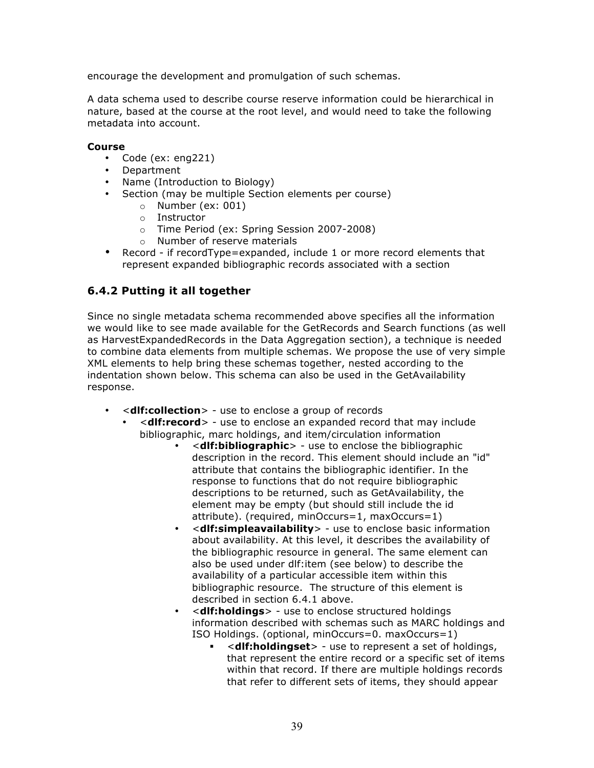encourage the development and promulgation of such schemas.

A data schema used to describe course reserve information could be hierarchical in nature, based at the course at the root level, and would need to take the following metadata into account.

### **Course**

- Code (ex: eng221)
- Department
- Name (Introduction to Biology)
- Section (may be multiple Section elements per course)
	- o Number (ex: 001)
	- o Instructor
	- o Time Period (ex: Spring Session 2007-2008)
	- o Number of reserve materials
- Record if recordType=expanded, include 1 or more record elements that represent expanded bibliographic records associated with a section

# **6.4.2 Putting it all together**

Since no single metadata schema recommended above specifies all the information we would like to see made available for the GetRecords and Search functions (as well as HarvestExpandedRecords in the Data Aggregation section), a technique is needed to combine data elements from multiple schemas. We propose the use of very simple XML elements to help bring these schemas together, nested according to the indentation shown below. This schema can also be used in the GetAvailability response.

- <**dlf:collection**> use to enclose a group of records
	- <**dlf:record**> use to enclose an expanded record that may include bibliographic, marc holdings, and item/circulation information
		- <**dlf:bibliographic**> use to enclose the bibliographic description in the record. This element should include an "id" attribute that contains the bibliographic identifier. In the response to functions that do not require bibliographic descriptions to be returned, such as GetAvailability, the element may be empty (but should still include the id attribute). (required, minOccurs=1, maxOccurs=1)
		- <**dlf:simpleavailability**> use to enclose basic information about availability. At this level, it describes the availability of the bibliographic resource in general. The same element can also be used under dlf:item (see below) to describe the availability of a particular accessible item within this bibliographic resource. The structure of this element is described in section 6.4.1 above.
		- <**dlf:holdings**> use to enclose structured holdings information described with schemas such as MARC holdings and ISO Holdings. (optional, minOccurs=0. maxOccurs=1)
			- <**dlf:holdingset**> use to represent a set of holdings, that represent the entire record or a specific set of items within that record. If there are multiple holdings records that refer to different sets of items, they should appear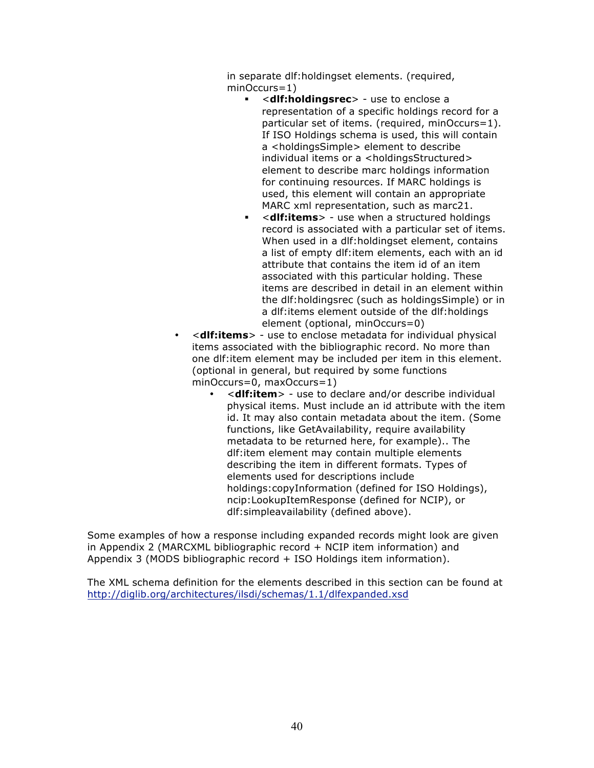in separate dlf:holdingset elements. (required, minOccurs=1)

- <**dlf:holdingsrec**> use to enclose a representation of a specific holdings record for a particular set of items. (required, minOccurs=1). If ISO Holdings schema is used, this will contain a <holdingsSimple> element to describe individual items or a <holdingsStructured> element to describe marc holdings information for continuing resources. If MARC holdings is used, this element will contain an appropriate MARC xml representation, such as marc21.
- <**dlf:items**> use when a structured holdings record is associated with a particular set of items. When used in a dlf:holdingset element, contains a list of empty dlf:item elements, each with an id attribute that contains the item id of an item associated with this particular holding. These items are described in detail in an element within the dlf:holdingsrec (such as holdingsSimple) or in a dlf:items element outside of the dlf:holdings element (optional, minOccurs=0)
- <**dlf:items**> use to enclose metadata for individual physical items associated with the bibliographic record. No more than one dlf:item element may be included per item in this element. (optional in general, but required by some functions minOccurs=0, maxOccurs=1)
	- <**dlf:item**> use to declare and/or describe individual physical items. Must include an id attribute with the item id. It may also contain metadata about the item. (Some functions, like GetAvailability, require availability metadata to be returned here, for example).. The dlf:item element may contain multiple elements describing the item in different formats. Types of elements used for descriptions include holdings:copyInformation (defined for ISO Holdings), ncip:LookupItemResponse (defined for NCIP), or dlf:simpleavailability (defined above).

Some examples of how a response including expanded records might look are given in Appendix 2 (MARCXML bibliographic record + NCIP item information) and Appendix 3 (MODS bibliographic record + ISO Holdings item information).

The XML schema definition for the elements described in this section can be found at http://diglib.org/architectures/ilsdi/schemas/1.1/dlfexpanded.xsd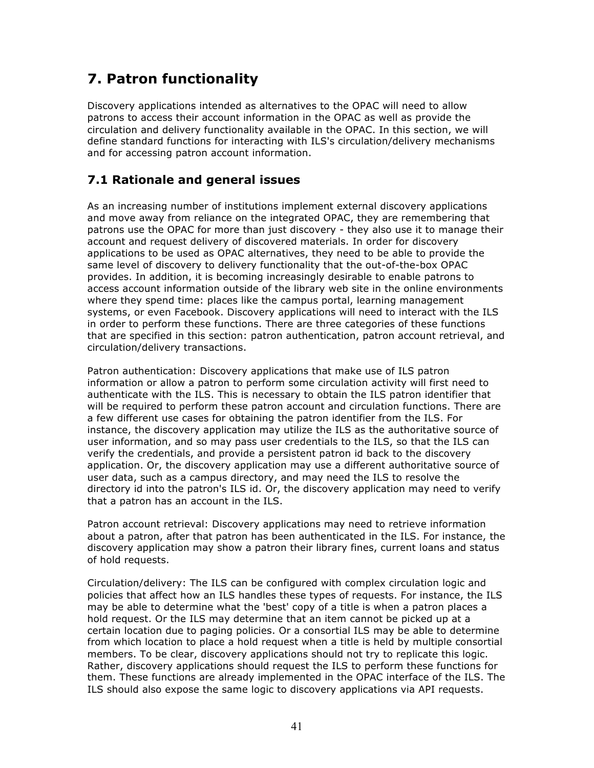# **7. Patron functionality**

Discovery applications intended as alternatives to the OPAC will need to allow patrons to access their account information in the OPAC as well as provide the circulation and delivery functionality available in the OPAC. In this section, we will define standard functions for interacting with ILS's circulation/delivery mechanisms and for accessing patron account information.

# **7.1 Rationale and general issues**

As an increasing number of institutions implement external discovery applications and move away from reliance on the integrated OPAC, they are remembering that patrons use the OPAC for more than just discovery - they also use it to manage their account and request delivery of discovered materials. In order for discovery applications to be used as OPAC alternatives, they need to be able to provide the same level of discovery to delivery functionality that the out-of-the-box OPAC provides. In addition, it is becoming increasingly desirable to enable patrons to access account information outside of the library web site in the online environments where they spend time: places like the campus portal, learning management systems, or even Facebook. Discovery applications will need to interact with the ILS in order to perform these functions. There are three categories of these functions that are specified in this section: patron authentication, patron account retrieval, and circulation/delivery transactions.

Patron authentication: Discovery applications that make use of ILS patron information or allow a patron to perform some circulation activity will first need to authenticate with the ILS. This is necessary to obtain the ILS patron identifier that will be required to perform these patron account and circulation functions. There are a few different use cases for obtaining the patron identifier from the ILS. For instance, the discovery application may utilize the ILS as the authoritative source of user information, and so may pass user credentials to the ILS, so that the ILS can verify the credentials, and provide a persistent patron id back to the discovery application. Or, the discovery application may use a different authoritative source of user data, such as a campus directory, and may need the ILS to resolve the directory id into the patron's ILS id. Or, the discovery application may need to verify that a patron has an account in the ILS.

Patron account retrieval: Discovery applications may need to retrieve information about a patron, after that patron has been authenticated in the ILS. For instance, the discovery application may show a patron their library fines, current loans and status of hold requests.

Circulation/delivery: The ILS can be configured with complex circulation logic and policies that affect how an ILS handles these types of requests. For instance, the ILS may be able to determine what the 'best' copy of a title is when a patron places a hold request. Or the ILS may determine that an item cannot be picked up at a certain location due to paging policies. Or a consortial ILS may be able to determine from which location to place a hold request when a title is held by multiple consortial members. To be clear, discovery applications should not try to replicate this logic. Rather, discovery applications should request the ILS to perform these functions for them. These functions are already implemented in the OPAC interface of the ILS. The ILS should also expose the same logic to discovery applications via API requests.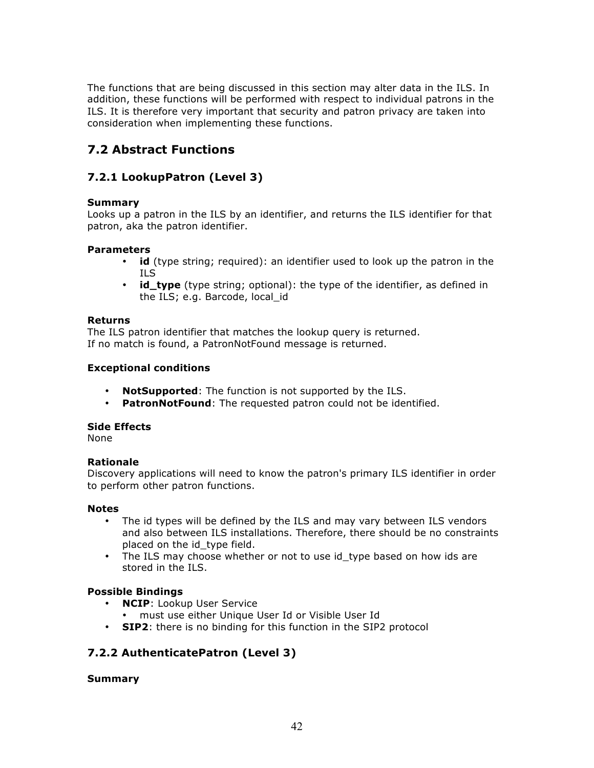The functions that are being discussed in this section may alter data in the ILS. In addition, these functions will be performed with respect to individual patrons in the ILS. It is therefore very important that security and patron privacy are taken into consideration when implementing these functions.

# **7.2 Abstract Functions**

# **7.2.1 LookupPatron (Level 3)**

# **Summary**

Looks up a patron in the ILS by an identifier, and returns the ILS identifier for that patron, aka the patron identifier.

### **Parameters**

- **id** (type string; required): an identifier used to look up the patron in the ILS
- **id\_type** (type string; optional): the type of the identifier, as defined in the ILS; e.g. Barcode, local\_id

### **Returns**

The ILS patron identifier that matches the lookup query is returned. If no match is found, a PatronNotFound message is returned.

### **Exceptional conditions**

- **NotSupported**: The function is not supported by the ILS.
- **PatronNotFound**: The requested patron could not be identified.

# **Side Effects**

None

# **Rationale**

Discovery applications will need to know the patron's primary ILS identifier in order to perform other patron functions.

### **Notes**

- The id types will be defined by the ILS and may vary between ILS vendors and also between ILS installations. Therefore, there should be no constraints placed on the id type field.
- The ILS may choose whether or not to use id\_type based on how ids are stored in the ILS.

# **Possible Bindings**

- **NCIP**: Lookup User Service
	- must use either Unique User Id or Visible User Id
- **SIP2**: there is no binding for this function in the SIP2 protocol

# **7.2.2 AuthenticatePatron (Level 3)**

**Summary**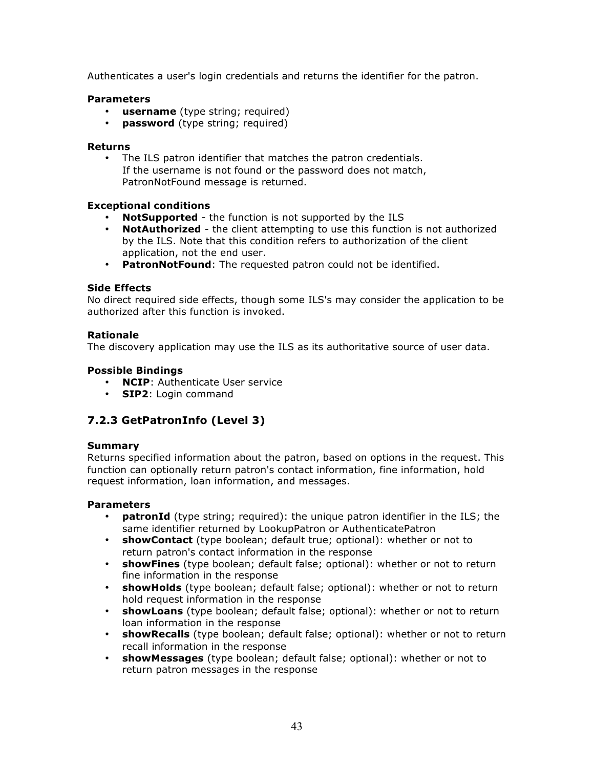Authenticates a user's login credentials and returns the identifier for the patron.

### **Parameters**

- **username** (type string; required)
- **password** (type string; required)

### **Returns**

• The ILS patron identifier that matches the patron credentials. If the username is not found or the password does not match, PatronNotFound message is returned.

# **Exceptional conditions**

- **NotSupported** the function is not supported by the ILS
- **NotAuthorized** the client attempting to use this function is not authorized by the ILS. Note that this condition refers to authorization of the client application, not the end user.
- **PatronNotFound**: The requested patron could not be identified.

### **Side Effects**

No direct required side effects, though some ILS's may consider the application to be authorized after this function is invoked.

### **Rationale**

The discovery application may use the ILS as its authoritative source of user data.

### **Possible Bindings**

- **NCIP**: Authenticate User service
- **SIP2**: Login command

# **7.2.3 GetPatronInfo (Level 3)**

### **Summary**

Returns specified information about the patron, based on options in the request. This function can optionally return patron's contact information, fine information, hold request information, loan information, and messages.

### **Parameters**

- **patronId** (type string; required): the unique patron identifier in the ILS; the same identifier returned by LookupPatron or AuthenticatePatron
- **showContact** (type boolean; default true; optional): whether or not to return patron's contact information in the response
- **showFines** (type boolean; default false; optional): whether or not to return fine information in the response
- **showHolds** (type boolean; default false; optional): whether or not to return hold request information in the response
- **showLoans** (type boolean; default false; optional): whether or not to return loan information in the response
- **showRecalls** (type boolean; default false; optional): whether or not to return recall information in the response
- **showMessages** (type boolean; default false; optional): whether or not to return patron messages in the response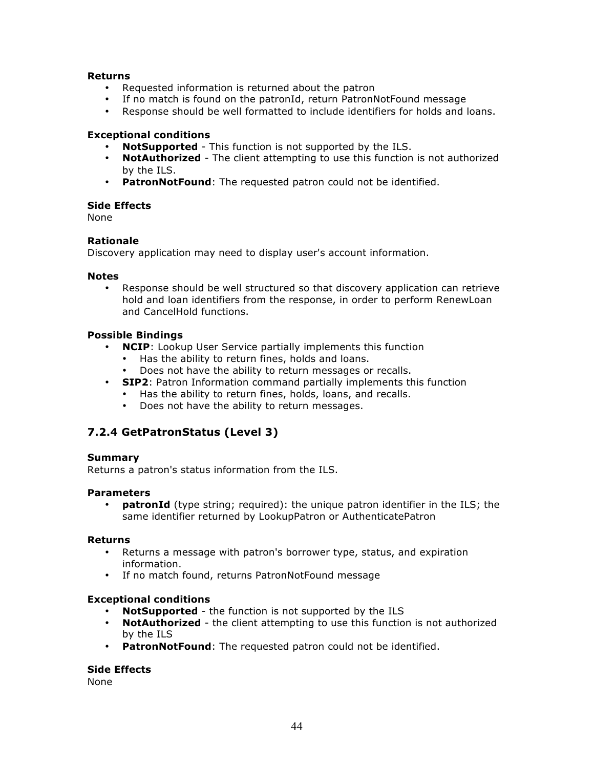### **Returns**

- Requested information is returned about the patron
- If no match is found on the patronId, return PatronNotFound message
- Response should be well formatted to include identifiers for holds and loans.

### **Exceptional conditions**

- **NotSupported** This function is not supported by the ILS.
- **NotAuthorized** The client attempting to use this function is not authorized by the ILS.
- **PatronNotFound**: The requested patron could not be identified.

### **Side Effects**

None

### **Rationale**

Discovery application may need to display user's account information.

### **Notes**

• Response should be well structured so that discovery application can retrieve hold and loan identifiers from the response, in order to perform RenewLoan and CancelHold functions.

### **Possible Bindings**

- **NCIP**: Lookup User Service partially implements this function
	- Has the ability to return fines, holds and loans.
	- Does not have the ability to return messages or recalls.
- **SIP2**: Patron Information command partially implements this function
	- Has the ability to return fines, holds, loans, and recalls.
	- Does not have the ability to return messages.

# **7.2.4 GetPatronStatus (Level 3)**

### **Summary**

Returns a patron's status information from the ILS.

### **Parameters**

• **patronId** (type string; required): the unique patron identifier in the ILS; the same identifier returned by LookupPatron or AuthenticatePatron

### **Returns**

- Returns a message with patron's borrower type, status, and expiration information.
- If no match found, returns PatronNotFound message

### **Exceptional conditions**

- **NotSupported** the function is not supported by the ILS
- **NotAuthorized** the client attempting to use this function is not authorized by the ILS
- **PatronNotFound**: The requested patron could not be identified.

# **Side Effects**

None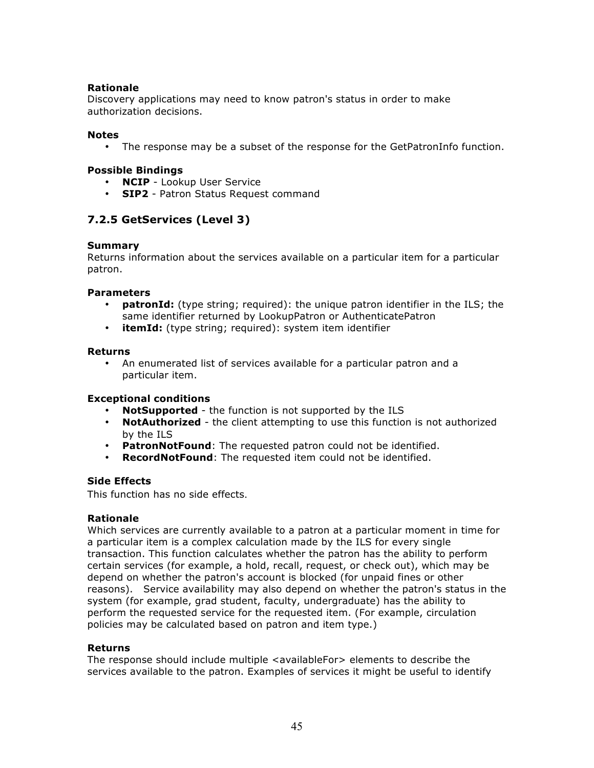# **Rationale**

Discovery applications may need to know patron's status in order to make authorization decisions.

### **Notes**

• The response may be a subset of the response for the GetPatronInfo function.

### **Possible Bindings**

- **NCIP** Lookup User Service
- **SIP2** Patron Status Request command

# **7.2.5 GetServices (Level 3)**

### **Summary**

Returns information about the services available on a particular item for a particular patron.

### **Parameters**

- **patronId:** (type string; required): the unique patron identifier in the ILS; the same identifier returned by LookupPatron or AuthenticatePatron
- **itemId:** (type string; required): system item identifier

### **Returns**

• An enumerated list of services available for a particular patron and a particular item.

### **Exceptional conditions**

- **NotSupported** the function is not supported by the ILS
- **NotAuthorized** the client attempting to use this function is not authorized by the ILS
- **PatronNotFound**: The requested patron could not be identified.
- **RecordNotFound**: The requested item could not be identified.

### **Side Effects**

This function has no side effects.

### **Rationale**

Which services are currently available to a patron at a particular moment in time for a particular item is a complex calculation made by the ILS for every single transaction. This function calculates whether the patron has the ability to perform certain services (for example, a hold, recall, request, or check out), which may be depend on whether the patron's account is blocked (for unpaid fines or other reasons). Service availability may also depend on whether the patron's status in the system (for example, grad student, faculty, undergraduate) has the ability to perform the requested service for the requested item. (For example, circulation policies may be calculated based on patron and item type.)

### **Returns**

The response should include multiple <availableFor> elements to describe the services available to the patron. Examples of services it might be useful to identify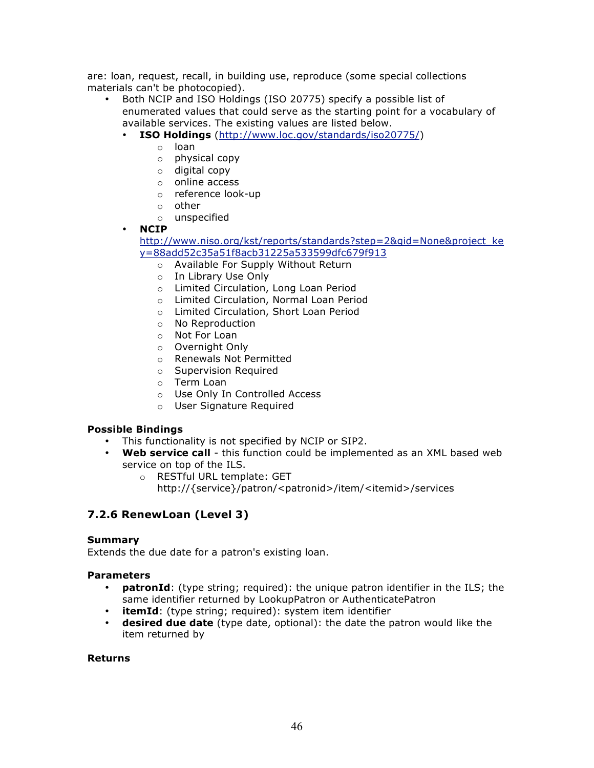are: loan, request, recall, in building use, reproduce (some special collections materials can't be photocopied).

- Both NCIP and ISO Holdings (ISO 20775) specify a possible list of enumerated values that could serve as the starting point for a vocabulary of available services. The existing values are listed below.
	- **ISO Holdings** (http://www.loc.gov/standards/iso20775/)
		- o loan
		- o physical copy
		- o digital copy
		- o online access
		- o reference look-up
		- o other
		- o unspecified

### • **NCIP**

### http://www.niso.org/kst/reports/standards?step=2&gid=None&project\_ke y=88add52c35a51f8acb31225a533599dfc679f913

- o Available For Supply Without Return
- o In Library Use Only
- o Limited Circulation, Long Loan Period
- o Limited Circulation, Normal Loan Period
- o Limited Circulation, Short Loan Period
- o No Reproduction
- o Not For Loan
- o Overnight Only
- o Renewals Not Permitted
- o Supervision Required
- o Term Loan
- o Use Only In Controlled Access
- o User Signature Required

# **Possible Bindings**

- This functionality is not specified by NCIP or SIP2.
- **Web service call** this function could be implemented as an XML based web service on top of the ILS.
	- o RESTful URL template: GET
		- http://{service}/patron/<patronid>/item/<itemid>/services

# **7.2.6 RenewLoan (Level 3)**

### **Summary**

Extends the due date for a patron's existing loan.

### **Parameters**

- **patronId**: (type string; required): the unique patron identifier in the ILS; the same identifier returned by LookupPatron or AuthenticatePatron
- **itemId**: (type string; required): system item identifier
- **desired due date** (type date, optional): the date the patron would like the item returned by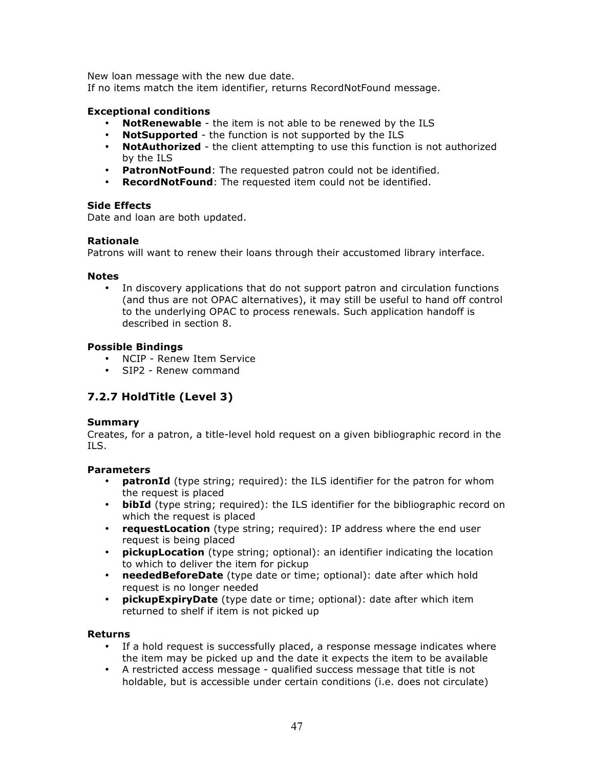New loan message with the new due date.

If no items match the item identifier, returns RecordNotFound message.

### **Exceptional conditions**

- **NotRenewable** the item is not able to be renewed by the ILS
- **NotSupported** the function is not supported by the ILS
- **NotAuthorized** the client attempting to use this function is not authorized by the ILS
- **PatronNotFound**: The requested patron could not be identified.
- **RecordNotFound**: The requested item could not be identified.

### **Side Effects**

Date and loan are both updated.

### **Rationale**

Patrons will want to renew their loans through their accustomed library interface.

### **Notes**

In discovery applications that do not support patron and circulation functions (and thus are not OPAC alternatives), it may still be useful to hand off control to the underlying OPAC to process renewals. Such application handoff is described in section 8.

### **Possible Bindings**

- NCIP Renew Item Service
- SIP2 Renew command

# **7.2.7 HoldTitle (Level 3)**

### **Summary**

Creates, for a patron, a title-level hold request on a given bibliographic record in the ILS.

### **Parameters**

- **patronId** (type string; required): the ILS identifier for the patron for whom the request is placed
- **bibId** (type string; required): the ILS identifier for the bibliographic record on which the request is placed
- **requestLocation** (type string; required): IP address where the end user request is being placed
- **pickupLocation** (type string; optional): an identifier indicating the location to which to deliver the item for pickup
- **neededBeforeDate** (type date or time; optional): date after which hold request is no longer needed
- **pickupExpiryDate** (type date or time; optional): date after which item returned to shelf if item is not picked up

- If a hold request is successfully placed, a response message indicates where the item may be picked up and the date it expects the item to be available
- A restricted access message qualified success message that title is not holdable, but is accessible under certain conditions (i.e. does not circulate)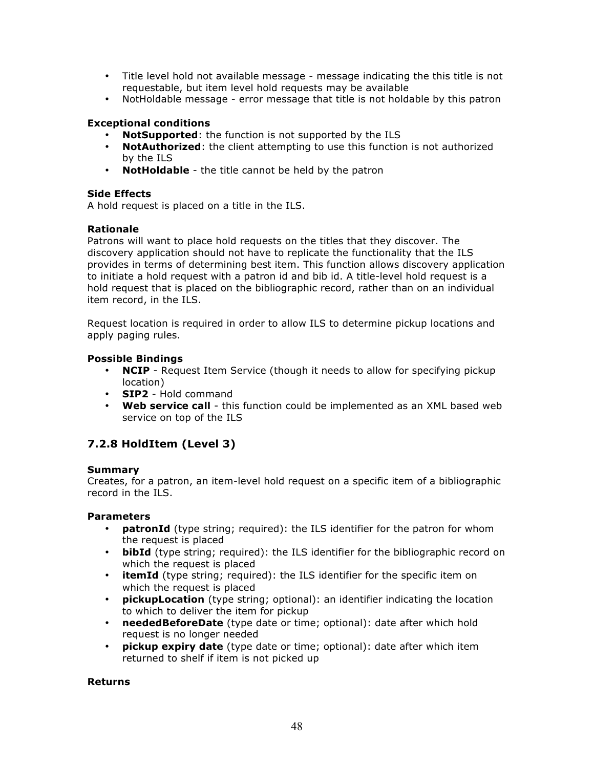- Title level hold not available message message indicating the this title is not requestable, but item level hold requests may be available
- NotHoldable message error message that title is not holdable by this patron

# **Exceptional conditions**

- **NotSupported:** the function is not supported by the ILS
- **NotAuthorized**: the client attempting to use this function is not authorized by the ILS
- **NotHoldable** the title cannot be held by the patron

### **Side Effects**

A hold request is placed on a title in the ILS.

### **Rationale**

Patrons will want to place hold requests on the titles that they discover. The discovery application should not have to replicate the functionality that the ILS provides in terms of determining best item. This function allows discovery application to initiate a hold request with a patron id and bib id. A title-level hold request is a hold request that is placed on the bibliographic record, rather than on an individual item record, in the ILS.

Request location is required in order to allow ILS to determine pickup locations and apply paging rules.

### **Possible Bindings**

- **NCIP** Request Item Service (though it needs to allow for specifying pickup location)
- **SIP2** Hold command
- **Web service call** this function could be implemented as an XML based web service on top of the ILS

# **7.2.8 HoldItem (Level 3)**

### **Summary**

Creates, for a patron, an item-level hold request on a specific item of a bibliographic record in the ILS.

### **Parameters**

- **patronId** (type string; required): the ILS identifier for the patron for whom the request is placed
- **bibId** (type string; required): the ILS identifier for the bibliographic record on which the request is placed
- **itemId** (type string; required): the ILS identifier for the specific item on which the request is placed
- **pickupLocation** (type string; optional): an identifier indicating the location to which to deliver the item for pickup
- **neededBeforeDate** (type date or time; optional): date after which hold request is no longer needed
- **pickup expiry date** (type date or time; optional): date after which item returned to shelf if item is not picked up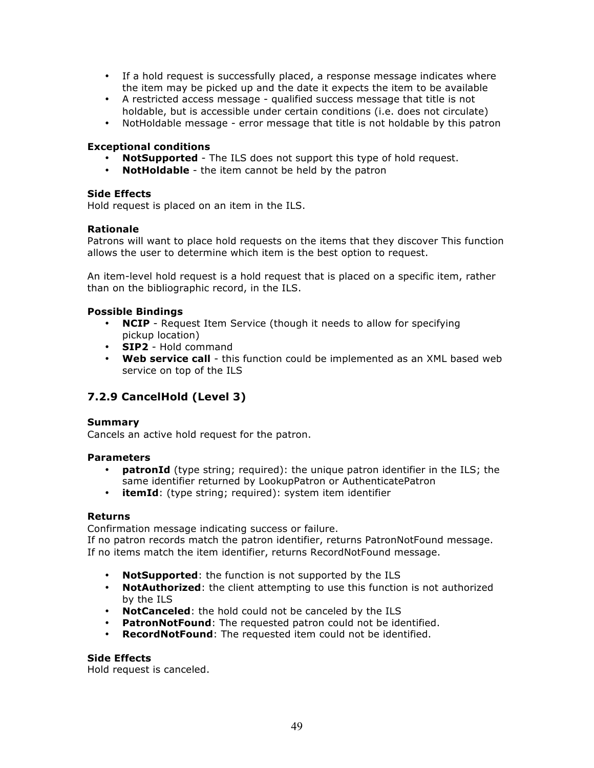- If a hold request is successfully placed, a response message indicates where the item may be picked up and the date it expects the item to be available
- A restricted access message qualified success message that title is not holdable, but is accessible under certain conditions (i.e. does not circulate)
- NotHoldable message error message that title is not holdable by this patron

### **Exceptional conditions**

- **NotSupported** The ILS does not support this type of hold request.<br>• **NotHoldable** the item cannot be held by the patron
- **NotHoldable** the item cannot be held by the patron

### **Side Effects**

Hold request is placed on an item in the ILS.

### **Rationale**

Patrons will want to place hold requests on the items that they discover This function allows the user to determine which item is the best option to request.

An item-level hold request is a hold request that is placed on a specific item, rather than on the bibliographic record, in the ILS.

### **Possible Bindings**

- **NCIP**  Request Item Service (though it needs to allow for specifying pickup location)
- **SIP2** Hold command
- **Web service call** this function could be implemented as an XML based web service on top of the ILS

# **7.2.9 CancelHold (Level 3)**

### **Summary**

Cancels an active hold request for the patron.

### **Parameters**

- **patronId** (type string; required): the unique patron identifier in the ILS; the same identifier returned by LookupPatron or AuthenticatePatron
- **itemId**: (type string; required): system item identifier

### **Returns**

Confirmation message indicating success or failure.

If no patron records match the patron identifier, returns PatronNotFound message. If no items match the item identifier, returns RecordNotFound message.

- **NotSupported**: the function is not supported by the ILS
- **NotAuthorized**: the client attempting to use this function is not authorized by the ILS
- **NotCanceled**: the hold could not be canceled by the ILS
- **PatronNotFound**: The requested patron could not be identified.
- **RecordNotFound**: The requested item could not be identified.

### **Side Effects**

Hold request is canceled.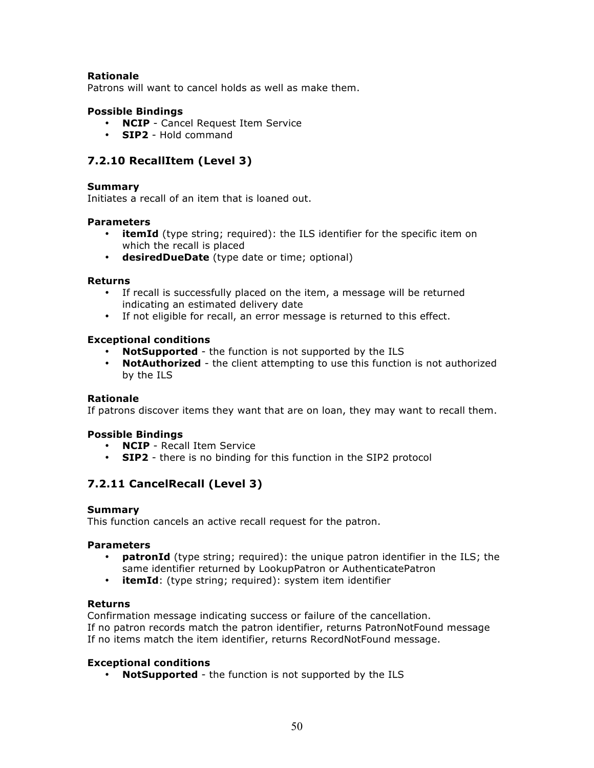### **Rationale**

Patrons will want to cancel holds as well as make them.

### **Possible Bindings**

- **NCIP** Cancel Request Item Service
- **SIP2** Hold command

# **7.2.10 RecallItem (Level 3)**

### **Summary**

Initiates a recall of an item that is loaned out.

### **Parameters**

- **itemId** (type string; required): the ILS identifier for the specific item on which the recall is placed
- **desiredDueDate** (type date or time; optional)

### **Returns**

- If recall is successfully placed on the item, a message will be returned indicating an estimated delivery date
- If not eligible for recall, an error message is returned to this effect.

### **Exceptional conditions**

- **NotSupported** the function is not supported by the ILS
- **NotAuthorized** the client attempting to use this function is not authorized by the ILS

### **Rationale**

If patrons discover items they want that are on loan, they may want to recall them.

### **Possible Bindings**

- **NCIP** Recall Item Service
- **SIP2** there is no binding for this function in the SIP2 protocol

# **7.2.11 CancelRecall (Level 3)**

### **Summary**

This function cancels an active recall request for the patron.

### **Parameters**

- **patronId** (type string; required): the unique patron identifier in the ILS; the same identifier returned by LookupPatron or AuthenticatePatron
- **itemId**: (type string; required): system item identifier

### **Returns**

Confirmation message indicating success or failure of the cancellation. If no patron records match the patron identifier, returns PatronNotFound message If no items match the item identifier, returns RecordNotFound message.

### **Exceptional conditions**

• **NotSupported** - the function is not supported by the ILS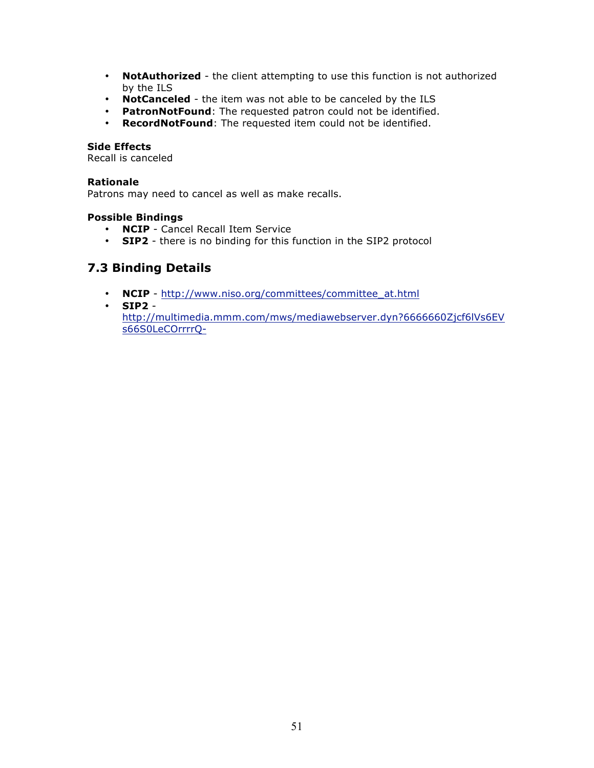- **NotAuthorized** the client attempting to use this function is not authorized by the ILS
- **NotCanceled** the item was not able to be canceled by the ILS
- **PatronNotFound**: The requested patron could not be identified.
- **RecordNotFound**: The requested item could not be identified.

### **Side Effects**

Recall is canceled

### **Rationale**

Patrons may need to cancel as well as make recalls.

### **Possible Bindings**

- **NCIP** Cancel Recall Item Service
- **SIP2** there is no binding for this function in the SIP2 protocol

# **7.3 Binding Details**

- **NCIP** http://www.niso.org/committees/committee\_at.html
- **SIP2**
	- http://multimedia.mmm.com/mws/mediawebserver.dyn?6666660Zjcf6lVs6EV s66S0LeCOrrrrQ-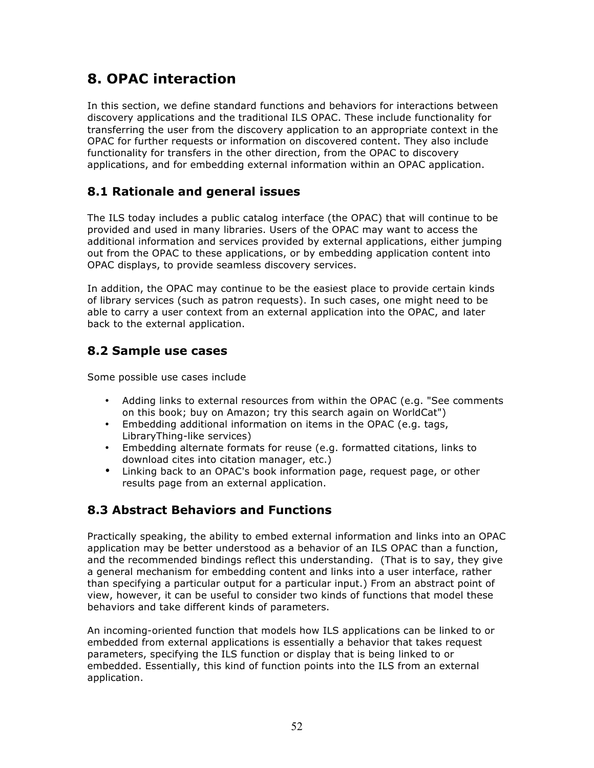# **8. OPAC interaction**

In this section, we define standard functions and behaviors for interactions between discovery applications and the traditional ILS OPAC. These include functionality for transferring the user from the discovery application to an appropriate context in the OPAC for further requests or information on discovered content. They also include functionality for transfers in the other direction, from the OPAC to discovery applications, and for embedding external information within an OPAC application.

# **8.1 Rationale and general issues**

The ILS today includes a public catalog interface (the OPAC) that will continue to be provided and used in many libraries. Users of the OPAC may want to access the additional information and services provided by external applications, either jumping out from the OPAC to these applications, or by embedding application content into OPAC displays, to provide seamless discovery services.

In addition, the OPAC may continue to be the easiest place to provide certain kinds of library services (such as patron requests). In such cases, one might need to be able to carry a user context from an external application into the OPAC, and later back to the external application.

# **8.2 Sample use cases**

Some possible use cases include

- Adding links to external resources from within the OPAC (e.g. "See comments on this book; buy on Amazon; try this search again on WorldCat")
- Embedding additional information on items in the OPAC (e.g. tags, LibraryThing-like services)
- Embedding alternate formats for reuse (e.g. formatted citations, links to download cites into citation manager, etc.)
- Linking back to an OPAC's book information page, request page, or other results page from an external application.

# **8.3 Abstract Behaviors and Functions**

Practically speaking, the ability to embed external information and links into an OPAC application may be better understood as a behavior of an ILS OPAC than a function, and the recommended bindings reflect this understanding. (That is to say, they give a general mechanism for embedding content and links into a user interface, rather than specifying a particular output for a particular input.) From an abstract point of view, however, it can be useful to consider two kinds of functions that model these behaviors and take different kinds of parameters.

An incoming-oriented function that models how ILS applications can be linked to or embedded from external applications is essentially a behavior that takes request parameters, specifying the ILS function or display that is being linked to or embedded. Essentially, this kind of function points into the ILS from an external application.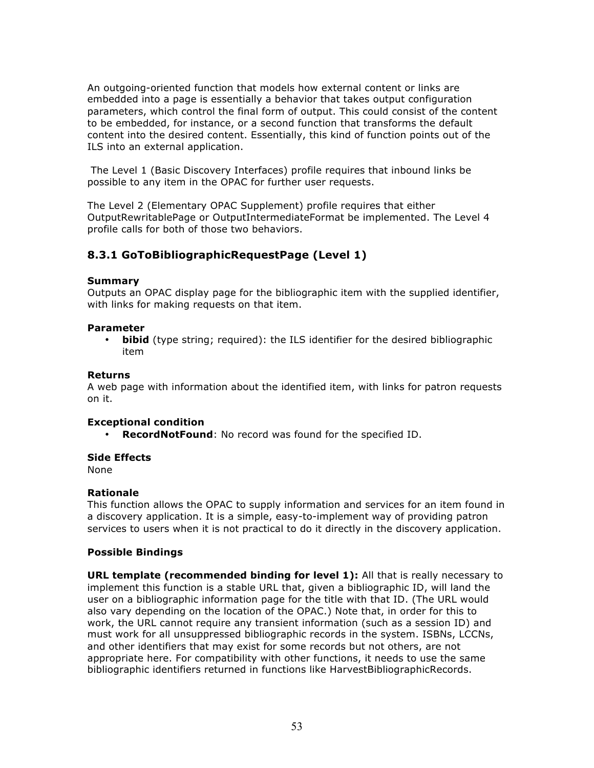An outgoing-oriented function that models how external content or links are embedded into a page is essentially a behavior that takes output configuration parameters, which control the final form of output. This could consist of the content to be embedded, for instance, or a second function that transforms the default content into the desired content. Essentially, this kind of function points out of the ILS into an external application.

 The Level 1 (Basic Discovery Interfaces) profile requires that inbound links be possible to any item in the OPAC for further user requests.

The Level 2 (Elementary OPAC Supplement) profile requires that either OutputRewritablePage or OutputIntermediateFormat be implemented. The Level 4 profile calls for both of those two behaviors.

# **8.3.1 GoToBibliographicRequestPage (Level 1)**

### **Summary**

Outputs an OPAC display page for the bibliographic item with the supplied identifier, with links for making requests on that item.

### **Parameter**

• **bibid** (type string; required): the ILS identifier for the desired bibliographic item

### **Returns**

A web page with information about the identified item, with links for patron requests on it.

### **Exceptional condition**

• **RecordNotFound**: No record was found for the specified ID.

### **Side Effects**

None

### **Rationale**

This function allows the OPAC to supply information and services for an item found in a discovery application. It is a simple, easy-to-implement way of providing patron services to users when it is not practical to do it directly in the discovery application.

### **Possible Bindings**

**URL template (recommended binding for level 1):** All that is really necessary to implement this function is a stable URL that, given a bibliographic ID, will land the user on a bibliographic information page for the title with that ID. (The URL would also vary depending on the location of the OPAC.) Note that, in order for this to work, the URL cannot require any transient information (such as a session ID) and must work for all unsuppressed bibliographic records in the system. ISBNs, LCCNs, and other identifiers that may exist for some records but not others, are not appropriate here. For compatibility with other functions, it needs to use the same bibliographic identifiers returned in functions like HarvestBibliographicRecords.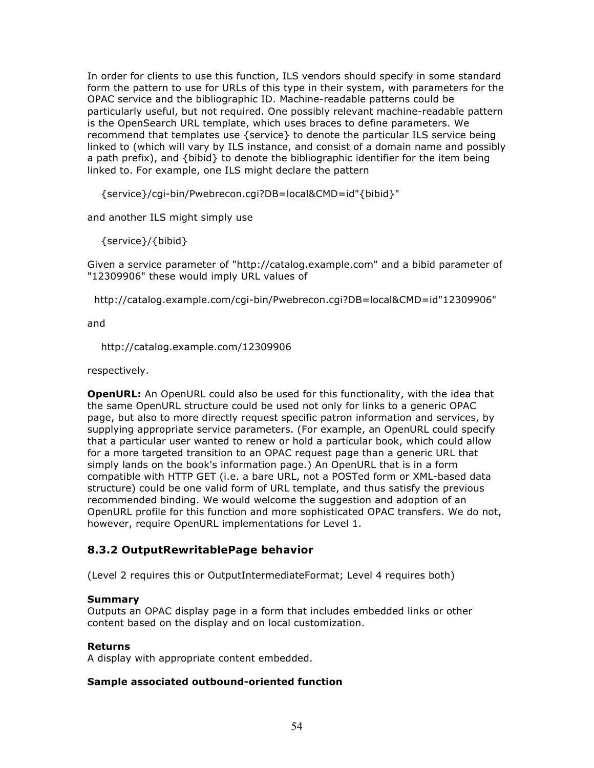In order for clients to use this function, ILS vendors should specify in some standard form the pattern to use for URLs of this type in their system, with parameters for the OPAC service and the bibliographic ID. Machine-readable patterns could be particularly useful, but not required. One possibly relevant machine-readable pattern is the OpenSearch URL template, which uses braces to define parameters. We recommend that templates use {service} to denote the particular ILS service being linked to (which will vary by ILS instance, and consist of a domain name and possibly a path prefix), and {bibid} to denote the bibliographic identifier for the item being linked to. For example, one ILS might declare the pattern

{service}/cgi-bin/Pwebrecon.cgi?DB=local&CMD=id"{bibid}"

and another ILS might simply use

{service}/{bibid}

Given a service parameter of "http://catalog.example.com" and a bibid parameter of "12309906" these would imply URL values of

http://catalog.example.com/cgi-bin/Pwebrecon.cgi?DB=local&CMD=id"12309906"

and

http://catalog.example.com/12309906

respectively.

**OpenURL:** An OpenURL could also be used for this functionality, with the idea that the same OpenURL structure could be used not only for links to a generic OPAC page, but also to more directly request specific patron information and services, by supplying appropriate service parameters. (For example, an OpenURL could specify that a particular user wanted to renew or hold a particular book, which could allow for a more targeted transition to an OPAC request page than a generic URL that simply lands on the book's information page.) An OpenURL that is in a form compatible with HTTP GET (i.e. a bare URL, not a POSTed form or XML-based data structure) could be one valid form of URL template, and thus satisfy the previous recommended binding. We would welcome the suggestion and adoption of an OpenURL profile for this function and more sophisticated OPAC transfers. We do not, however, require OpenURL implementations for Level 1.

# **8.3.2 OutputRewritablePage behavior**

(Level 2 requires this or OutputIntermediateFormat; Level 4 requires both)

### **Summary**

Outputs an OPAC display page in a form that includes embedded links or other content based on the display and on local customization.

### **Returns**

A display with appropriate content embedded.

### **Sample associated outbound-oriented function**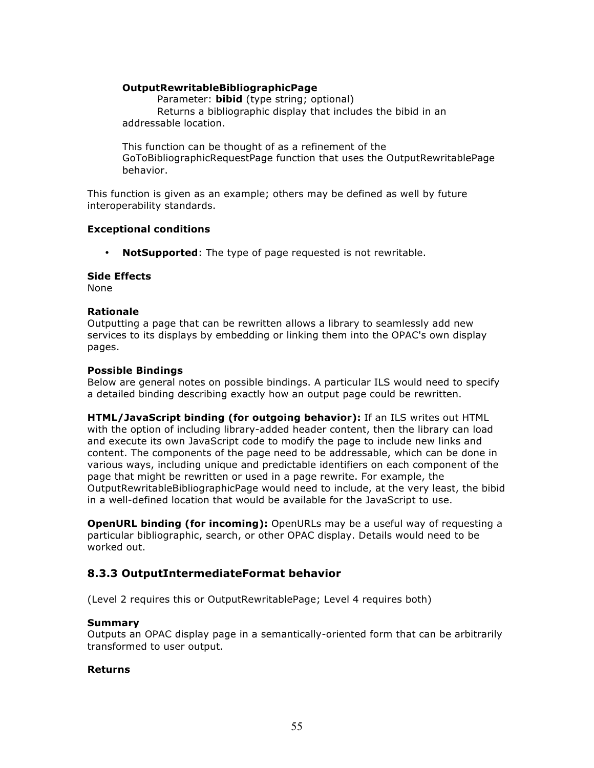### **OutputRewritableBibliographicPage**

Parameter: **bibid** (type string; optional) Returns a bibliographic display that includes the bibid in an addressable location.

This function can be thought of as a refinement of the GoToBibliographicRequestPage function that uses the OutputRewritablePage behavior.

This function is given as an example; others may be defined as well by future interoperability standards.

### **Exceptional conditions**

• **NotSupported**: The type of page requested is not rewritable.

### **Side Effects**

None

### **Rationale**

Outputting a page that can be rewritten allows a library to seamlessly add new services to its displays by embedding or linking them into the OPAC's own display pages.

### **Possible Bindings**

Below are general notes on possible bindings. A particular ILS would need to specify a detailed binding describing exactly how an output page could be rewritten.

**HTML/JavaScript binding (for outgoing behavior):** If an ILS writes out HTML with the option of including library-added header content, then the library can load and execute its own JavaScript code to modify the page to include new links and content. The components of the page need to be addressable, which can be done in various ways, including unique and predictable identifiers on each component of the page that might be rewritten or used in a page rewrite. For example, the OutputRewritableBibliographicPage would need to include, at the very least, the bibid in a well-defined location that would be available for the JavaScript to use.

**OpenURL binding (for incoming):** OpenURLs may be a useful way of requesting a particular bibliographic, search, or other OPAC display. Details would need to be worked out.

# **8.3.3 OutputIntermediateFormat behavior**

(Level 2 requires this or OutputRewritablePage; Level 4 requires both)

### **Summary**

Outputs an OPAC display page in a semantically-oriented form that can be arbitrarily transformed to user output.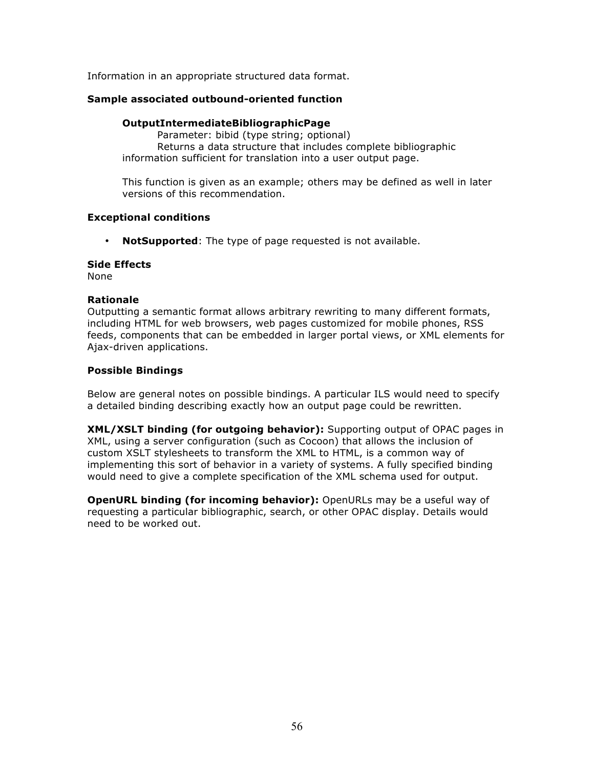Information in an appropriate structured data format.

### **Sample associated outbound-oriented function**

### **OutputIntermediateBibliographicPage**

Parameter: bibid (type string; optional) Returns a data structure that includes complete bibliographic information sufficient for translation into a user output page.

This function is given as an example; others may be defined as well in later versions of this recommendation.

### **Exceptional conditions**

• **NotSupported**: The type of page requested is not available.

### **Side Effects**

None

### **Rationale**

Outputting a semantic format allows arbitrary rewriting to many different formats, including HTML for web browsers, web pages customized for mobile phones, RSS feeds, components that can be embedded in larger portal views, or XML elements for Ajax-driven applications.

### **Possible Bindings**

Below are general notes on possible bindings. A particular ILS would need to specify a detailed binding describing exactly how an output page could be rewritten.

**XML/XSLT binding (for outgoing behavior):** Supporting output of OPAC pages in XML, using a server configuration (such as Cocoon) that allows the inclusion of custom XSLT stylesheets to transform the XML to HTML, is a common way of implementing this sort of behavior in a variety of systems. A fully specified binding would need to give a complete specification of the XML schema used for output.

**OpenURL binding (for incoming behavior):** OpenURLs may be a useful way of requesting a particular bibliographic, search, or other OPAC display. Details would need to be worked out.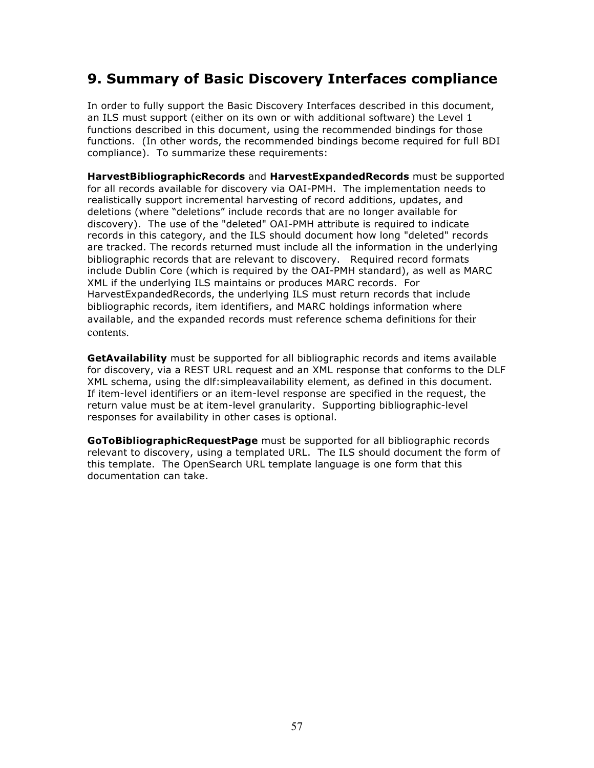# **9. Summary of Basic Discovery Interfaces compliance**

In order to fully support the Basic Discovery Interfaces described in this document, an ILS must support (either on its own or with additional software) the Level 1 functions described in this document, using the recommended bindings for those functions. (In other words, the recommended bindings become required for full BDI compliance). To summarize these requirements:

**HarvestBibliographicRecords** and **HarvestExpandedRecords** must be supported for all records available for discovery via OAI-PMH. The implementation needs to realistically support incremental harvesting of record additions, updates, and deletions (where "deletions" include records that are no longer available for discovery). The use of the "deleted" OAI-PMH attribute is required to indicate records in this category, and the ILS should document how long "deleted" records are tracked. The records returned must include all the information in the underlying bibliographic records that are relevant to discovery. Required record formats include Dublin Core (which is required by the OAI-PMH standard), as well as MARC XML if the underlying ILS maintains or produces MARC records. For HarvestExpandedRecords, the underlying ILS must return records that include bibliographic records, item identifiers, and MARC holdings information where available, and the expanded records must reference schema definitions for their contents.

**GetAvailability** must be supported for all bibliographic records and items available for discovery, via a REST URL request and an XML response that conforms to the DLF XML schema, using the dlf:simpleavailability element, as defined in this document. If item-level identifiers or an item-level response are specified in the request, the return value must be at item-level granularity. Supporting bibliographic-level responses for availability in other cases is optional.

**GoToBibliographicRequestPage** must be supported for all bibliographic records relevant to discovery, using a templated URL. The ILS should document the form of this template. The OpenSearch URL template language is one form that this documentation can take.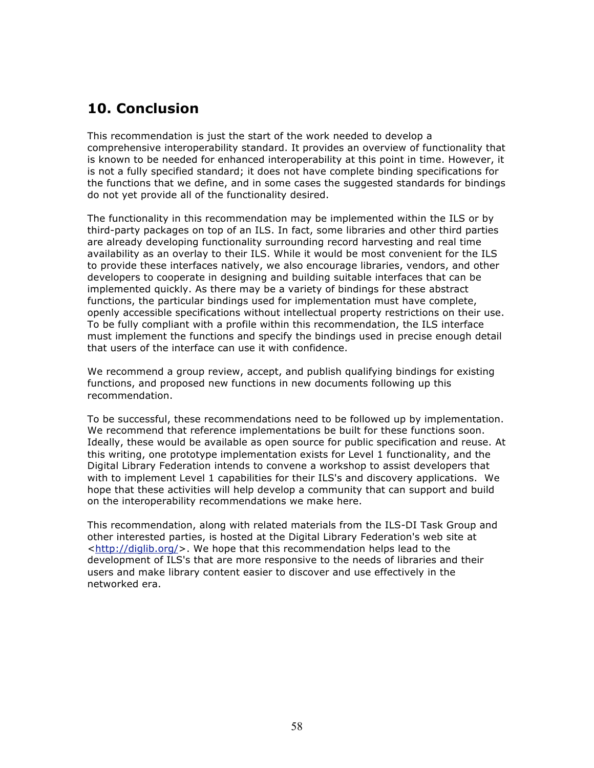# **10. Conclusion**

This recommendation is just the start of the work needed to develop a comprehensive interoperability standard. It provides an overview of functionality that is known to be needed for enhanced interoperability at this point in time. However, it is not a fully specified standard; it does not have complete binding specifications for the functions that we define, and in some cases the suggested standards for bindings do not yet provide all of the functionality desired.

The functionality in this recommendation may be implemented within the ILS or by third-party packages on top of an ILS. In fact, some libraries and other third parties are already developing functionality surrounding record harvesting and real time availability as an overlay to their ILS. While it would be most convenient for the ILS to provide these interfaces natively, we also encourage libraries, vendors, and other developers to cooperate in designing and building suitable interfaces that can be implemented quickly. As there may be a variety of bindings for these abstract functions, the particular bindings used for implementation must have complete, openly accessible specifications without intellectual property restrictions on their use. To be fully compliant with a profile within this recommendation, the ILS interface must implement the functions and specify the bindings used in precise enough detail that users of the interface can use it with confidence.

We recommend a group review, accept, and publish qualifying bindings for existing functions, and proposed new functions in new documents following up this recommendation.

To be successful, these recommendations need to be followed up by implementation. We recommend that reference implementations be built for these functions soon. Ideally, these would be available as open source for public specification and reuse. At this writing, one prototype implementation exists for Level 1 functionality, and the Digital Library Federation intends to convene a workshop to assist developers that with to implement Level 1 capabilities for their ILS's and discovery applications. We hope that these activities will help develop a community that can support and build on the interoperability recommendations we make here.

This recommendation, along with related materials from the ILS-DI Task Group and other interested parties, is hosted at the Digital Library Federation's web site at  $\text{thtp:}/\text{diglib.org/}$ . We hope that this recommendation helps lead to the development of ILS's that are more responsive to the needs of libraries and their users and make library content easier to discover and use effectively in the networked era.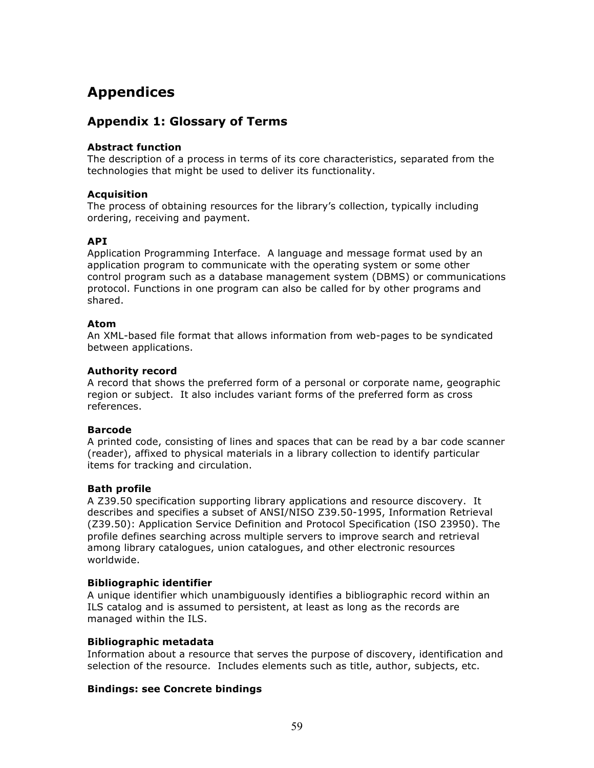# **Appendices**

# **Appendix 1: Glossary of Terms**

### **Abstract function**

The description of a process in terms of its core characteristics, separated from the technologies that might be used to deliver its functionality.

### **Acquisition**

The process of obtaining resources for the library's collection, typically including ordering, receiving and payment.

### **API**

Application Programming Interface. A language and message format used by an application program to communicate with the operating system or some other control program such as a database management system (DBMS) or communications protocol. Functions in one program can also be called for by other programs and shared.

### **Atom**

An XML-based file format that allows information from web-pages to be syndicated between applications.

### **Authority record**

A record that shows the preferred form of a personal or corporate name, geographic region or subject. It also includes variant forms of the preferred form as cross references.

### **Barcode**

A printed code, consisting of lines and spaces that can be read by a bar code scanner (reader), affixed to physical materials in a library collection to identify particular items for tracking and circulation.

### **Bath profile**

A Z39.50 specification supporting library applications and resource discovery. It describes and specifies a subset of ANSI/NISO Z39.50-1995, Information Retrieval (Z39.50): Application Service Definition and Protocol Specification (ISO 23950). The profile defines searching across multiple servers to improve search and retrieval among library catalogues, union catalogues, and other electronic resources worldwide.

### **Bibliographic identifier**

A unique identifier which unambiguously identifies a bibliographic record within an ILS catalog and is assumed to persistent, at least as long as the records are managed within the ILS.

### **Bibliographic metadata**

Information about a resource that serves the purpose of discovery, identification and selection of the resource. Includes elements such as title, author, subjects, etc.

### **Bindings: see Concrete bindings**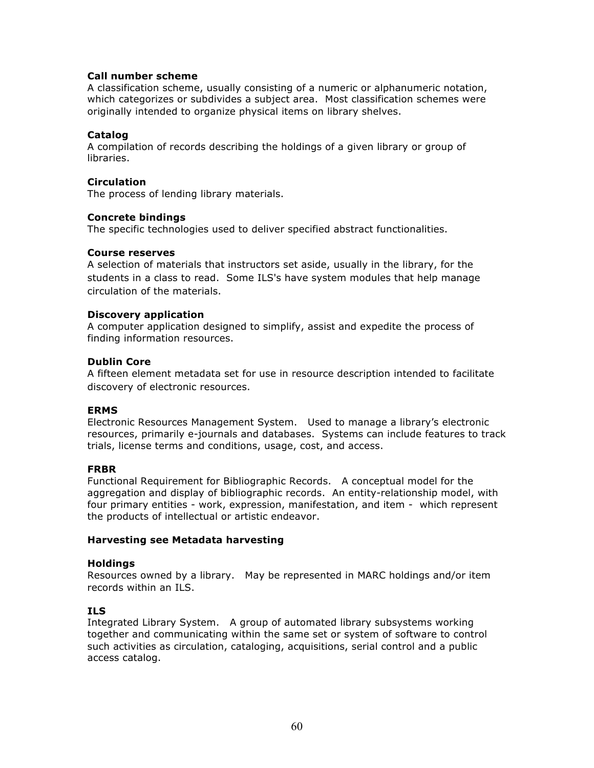### **Call number scheme**

A classification scheme, usually consisting of a numeric or alphanumeric notation, which categorizes or subdivides a subject area. Most classification schemes were originally intended to organize physical items on library shelves.

### **Catalog**

A compilation of records describing the holdings of a given library or group of libraries.

### **Circulation**

The process of lending library materials.

### **Concrete bindings**

The specific technologies used to deliver specified abstract functionalities.

### **Course reserves**

A selection of materials that instructors set aside, usually in the library, for the students in a class to read. Some ILS's have system modules that help manage circulation of the materials.

### **Discovery application**

A computer application designed to simplify, assist and expedite the process of finding information resources.

### **Dublin Core**

A fifteen element metadata set for use in resource description intended to facilitate discovery of electronic resources.

### **ERMS**

Electronic Resources Management System. Used to manage a library's electronic resources, primarily e-journals and databases. Systems can include features to track trials, license terms and conditions, usage, cost, and access.

### **FRBR**

Functional Requirement for Bibliographic Records. A conceptual model for the aggregation and display of bibliographic records. An entity-relationship model, with four primary entities - work, expression, manifestation, and item - which represent the products of intellectual or artistic endeavor.

### **Harvesting see Metadata harvesting**

### **Holdings**

Resources owned by a library. May be represented in MARC holdings and/or item records within an ILS.

### **ILS**

Integrated Library System. A group of automated library subsystems working together and communicating within the same set or system of software to control such activities as circulation, cataloging, acquisitions, serial control and a public access catalog.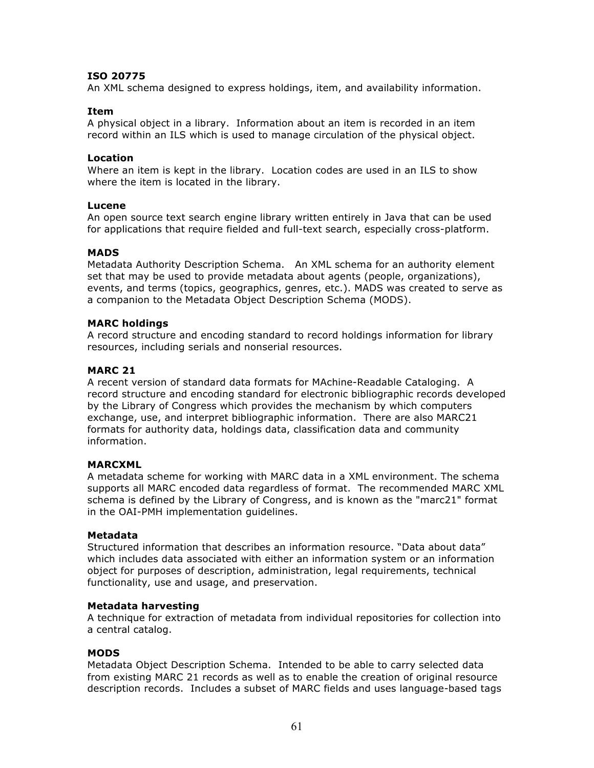### **ISO 20775**

An XML schema designed to express holdings, item, and availability information.

### **Item**

A physical object in a library. Information about an item is recorded in an item record within an ILS which is used to manage circulation of the physical object.

### **Location**

Where an item is kept in the library. Location codes are used in an ILS to show where the item is located in the library.

### **Lucene**

An open source text search engine library written entirely in Java that can be used for applications that require fielded and full-text search, especially cross-platform.

### **MADS**

Metadata Authority Description Schema. An XML schema for an authority element set that may be used to provide metadata about agents (people, organizations), events, and terms (topics, geographics, genres, etc.). MADS was created to serve as a companion to the Metadata Object Description Schema (MODS).

### **MARC holdings**

A record structure and encoding standard to record holdings information for library resources, including serials and nonserial resources.

### **MARC 21**

A recent version of standard data formats for MAchine-Readable Cataloging. A record structure and encoding standard for electronic bibliographic records developed by the Library of Congress which provides the mechanism by which computers exchange, use, and interpret bibliographic information. There are also MARC21 formats for authority data, holdings data, classification data and community information.

### **MARCXML**

A metadata scheme for working with MARC data in a XML environment. The schema supports all MARC encoded data regardless of format. The recommended MARC XML schema is defined by the Library of Congress, and is known as the "marc21" format in the OAI-PMH implementation guidelines.

### **Metadata**

Structured information that describes an information resource. "Data about data" which includes data associated with either an information system or an information object for purposes of description, administration, legal requirements, technical functionality, use and usage, and preservation.

### **Metadata harvesting**

A technique for extraction of metadata from individual repositories for collection into a central catalog.

### **MODS**

Metadata Object Description Schema. Intended to be able to carry selected data from existing MARC 21 records as well as to enable the creation of original resource description records. Includes a subset of MARC fields and uses language-based tags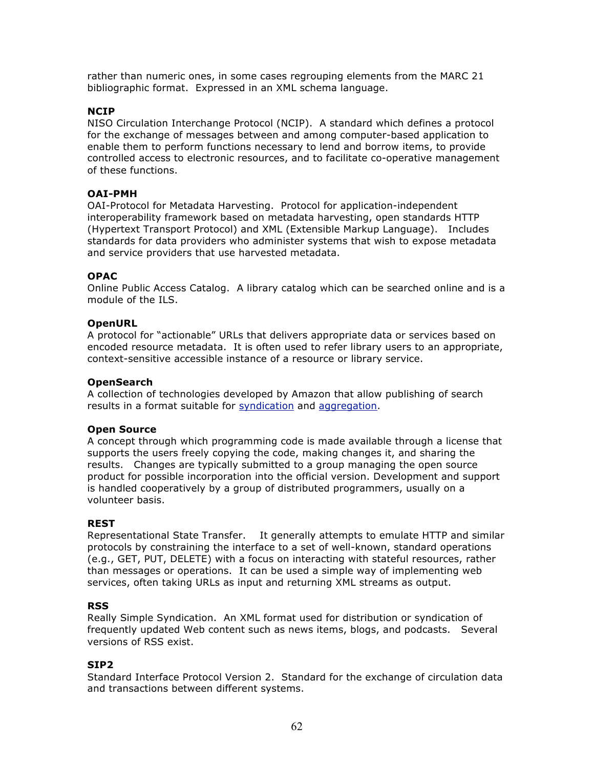rather than numeric ones, in some cases regrouping elements from the MARC 21 bibliographic format. Expressed in an XML schema language.

### **NCIP**

NISO Circulation Interchange Protocol (NCIP). A standard which defines a protocol for the exchange of messages between and among computer-based application to enable them to perform functions necessary to lend and borrow items, to provide controlled access to electronic resources, and to facilitate co-operative management of these functions.

### **OAI-PMH**

OAI-Protocol for Metadata Harvesting. Protocol for application-independent interoperability framework based on metadata harvesting, open standards HTTP (Hypertext Transport Protocol) and XML (Extensible Markup Language). Includes standards for data providers who administer systems that wish to expose metadata and service providers that use harvested metadata.

### **OPAC**

Online Public Access Catalog. A library catalog which can be searched online and is a module of the ILS.

### **OpenURL**

A protocol for "actionable" URLs that delivers appropriate data or services based on encoded resource metadata. It is often used to refer library users to an appropriate, context-sensitive accessible instance of a resource or library service.

### **OpenSearch**

A collection of technologies developed by Amazon that allow publishing of search results in a format suitable for syndication and aggregation.

### **Open Source**

A concept through which programming code is made available through a license that supports the users freely copying the code, making changes it, and sharing the results. Changes are typically submitted to a group managing the open source product for possible incorporation into the official version. Development and support is handled cooperatively by a group of distributed programmers, usually on a volunteer basis.

### **REST**

Representational State Transfer. It generally attempts to emulate HTTP and similar protocols by constraining the interface to a set of well-known, standard operations (e.g., GET, PUT, DELETE) with a focus on interacting with stateful resources, rather than messages or operations. It can be used a simple way of implementing web services, often taking URLs as input and returning XML streams as output.

### **RSS**

Really Simple Syndication. An XML format used for distribution or syndication of frequently updated Web content such as news items, blogs, and podcasts. Several versions of RSS exist.

### **SIP2**

Standard Interface Protocol Version 2. Standard for the exchange of circulation data and transactions between different systems.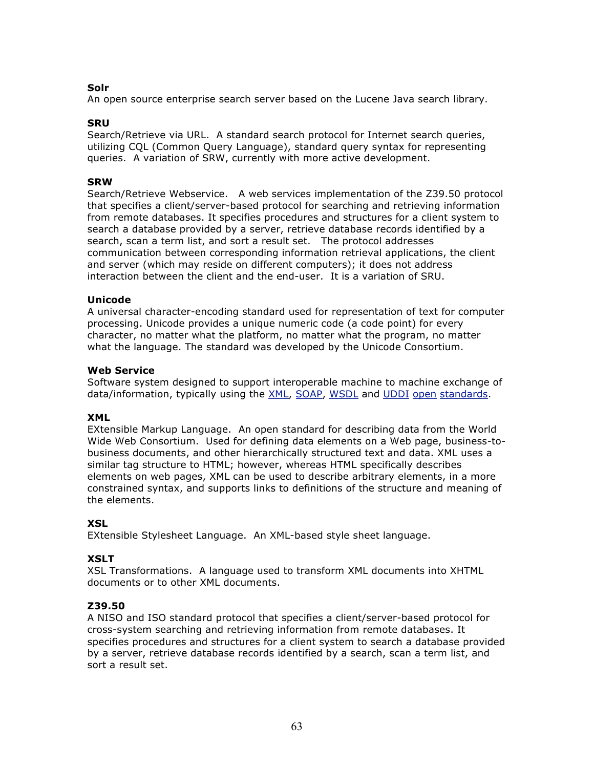### **Solr**

An open source enterprise search server based on the Lucene Java search library.

### **SRU**

Search/Retrieve via URL. A standard search protocol for Internet search queries, utilizing CQL (Common Query Language), standard query syntax for representing queries. A variation of SRW, currently with more active development.

### **SRW**

Search/Retrieve Webservice. A web services implementation of the Z39.50 protocol that specifies a client/server-based protocol for searching and retrieving information from remote databases. It specifies procedures and structures for a client system to search a database provided by a server, retrieve database records identified by a search, scan a term list, and sort a result set. The protocol addresses communication between corresponding information retrieval applications, the client and server (which may reside on different computers); it does not address interaction between the client and the end-user. It is a variation of SRU.

### **Unicode**

A universal character-encoding standard used for representation of text for computer processing. Unicode provides a unique numeric code (a code point) for every character, no matter what the platform, no matter what the program, no matter what the language. The standard was developed by the Unicode Consortium.

### **Web Service**

Software system designed to support interoperable machine to machine exchange of data/information, typically using the XML, SOAP, WSDL and UDDI open standards.

### **XML**

EXtensible Markup Language. An open standard for describing data from the World Wide Web Consortium. Used for defining data elements on a Web page, business-tobusiness documents, and other hierarchically structured text and data. XML uses a similar tag structure to HTML; however, whereas HTML specifically describes elements on web pages, XML can be used to describe arbitrary elements, in a more constrained syntax, and supports links to definitions of the structure and meaning of the elements.

### **XSL**

EXtensible Stylesheet Language. An XML-based style sheet language.

### **XSLT**

XSL Transformations. A language used to transform XML documents into XHTML documents or to other XML documents.

### **Z39.50**

A NISO and ISO standard protocol that specifies a client/server-based protocol for cross-system searching and retrieving information from remote databases. It specifies procedures and structures for a client system to search a database provided by a server, retrieve database records identified by a search, scan a term list, and sort a result set.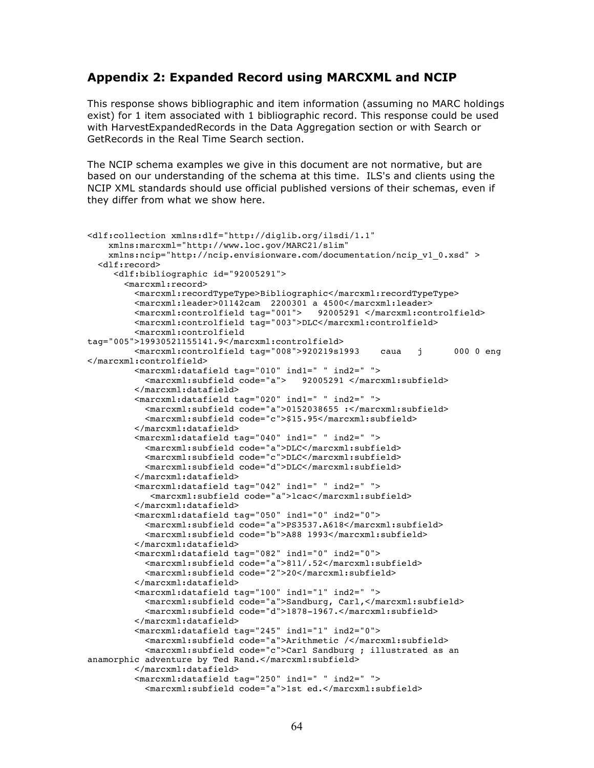### **Appendix 2: Expanded Record using MARCXML and NCIP**

This response shows bibliographic and item information (assuming no MARC holdings exist) for 1 item associated with 1 bibliographic record. This response could be used with HarvestExpandedRecords in the Data Aggregation section or with Search or GetRecords in the Real Time Search section.

The NCIP schema examples we give in this document are not normative, but are based on our understanding of the schema at this time. ILS's and clients using the NCIP XML standards should use official published versions of their schemas, even if they differ from what we show here.

```
<dlf:collection xmlns:dlf="http://diglib.org/ilsdi/1.1"
     xmlns:marcxml="http://www.loc.gov/MARC21/slim"
    xmlns:ncip="http://ncip.envisionware.com/documentation/ncip_v1_0.xsd" >
   <dlf:record>
      <dlf:bibliographic id="92005291">
        <marcxml:record>
          <marcxml:recordTypeType>Bibliographic</marcxml:recordTypeType>
          <marcxml:leader>01142cam 2200301 a 4500</marcxml:leader>
         <marcxml:controlfield tag="001">
          <marcxml:controlfield tag="003">DLC</marcxml:controlfield>
          <marcxml:controlfield 
tag="005">19930521155141.9</marcxml:controlfield>
          <marcxml:controlfield tag="008">920219s1993 caua j 000 0 eng 
</marcxml:controlfield>
          <marcxml:datafield tag="010" ind1=" " ind2=" ">
                                        92005291 </marcxml:subfield>
          </marcxml:datafield>
          <marcxml:datafield tag="020" ind1=" " ind2=" ">
            <marcxml:subfield code="a">0152038655 :</marcxml:subfield>
            <marcxml:subfield code="c">$15.95</marcxml:subfield>
          </marcxml:datafield>
          <marcxml:datafield tag="040" ind1=" " ind2=" ">
            <marcxml:subfield code="a">DLC</marcxml:subfield>
            <marcxml:subfield code="c">DLC</marcxml:subfield>
            <marcxml:subfield code="d">DLC</marcxml:subfield>
          </marcxml:datafield>
          <marcxml:datafield tag="042" ind1=" " ind2=" ">
             <marcxml:subfield code="a">lcac</marcxml:subfield>
          </marcxml:datafield>
          <marcxml:datafield tag="050" ind1="0" ind2="0">
            <marcxml:subfield code="a">PS3537.A618</marcxml:subfield>
            <marcxml:subfield code="b">A88 1993</marcxml:subfield>
          </marcxml:datafield>
          <marcxml:datafield tag="082" ind1="0" ind2="0">
            <marcxml:subfield code="a">811/.52</marcxml:subfield>
            <marcxml:subfield code="2">20</marcxml:subfield>
          </marcxml:datafield>
          <marcxml:datafield tag="100" ind1="1" ind2=" ">
            <marcxml:subfield code="a">Sandburg, Carl,</marcxml:subfield>
            <marcxml:subfield code="d">1878-1967.</marcxml:subfield>
          </marcxml:datafield>
          <marcxml:datafield tag="245" ind1="1" ind2="0">
            <marcxml:subfield code="a">Arithmetic /</marcxml:subfield>
            <marcxml:subfield code="c">Carl Sandburg ; illustrated as an 
anamorphic adventure by Ted Rand.</marcxml:subfield>
          </marcxml:datafield>
          <marcxml:datafield tag="250" ind1=" " ind2=" ">
            <marcxml:subfield code="a">1st ed.</marcxml:subfield>
```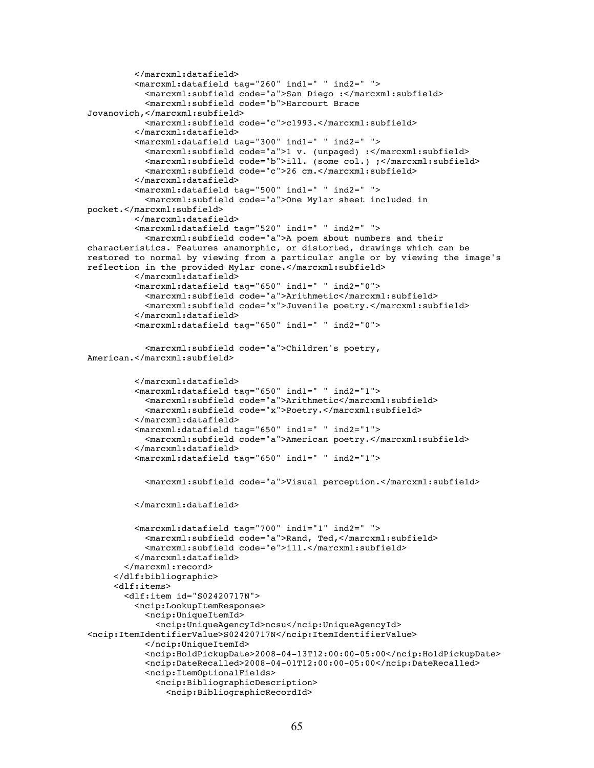```
 </marcxml:datafield>
          <marcxml:datafield tag="260" ind1=" " ind2=" ">
            <marcxml:subfield code="a">San Diego :</marcxml:subfield>
            <marcxml:subfield code="b">Harcourt Brace 
Jovanovich,</marcxml:subfield>
            <marcxml:subfield code="c">c1993.</marcxml:subfield>
          </marcxml:datafield>
          <marcxml:datafield tag="300" ind1=" " ind2=" ">
            <marcxml:subfield code="a">1 v. (unpaged) :</marcxml:subfield>
            <marcxml:subfield code="b">ill. (some col.) ;</marcxml:subfield>
            <marcxml:subfield code="c">26 cm.</marcxml:subfield>
          </marcxml:datafield>
          <marcxml:datafield tag="500" ind1=" " ind2=" ">
            <marcxml:subfield code="a">One Mylar sheet included in 
pocket.</marcxml:subfield>
          </marcxml:datafield>
          <marcxml:datafield tag="520" ind1=" " ind2=" ">
            <marcxml:subfield code="a">A poem about numbers and their 
characteristics. Features anamorphic, or distorted, drawings which can be 
restored to normal by viewing from a particular angle or by viewing the image's 
reflection in the provided Mylar cone.</marcxml:subfield>
          </marcxml:datafield>
          <marcxml:datafield tag="650" ind1=" " ind2="0">
            <marcxml:subfield code="a">Arithmetic</marcxml:subfield>
            <marcxml:subfield code="x">Juvenile poetry.</marcxml:subfield>
          </marcxml:datafield>
          <marcxml:datafield tag="650" ind1=" " ind2="0">
            <marcxml:subfield code="a">Children's poetry, 
American.</marcxml:subfield>
          </marcxml:datafield>
          <marcxml:datafield tag="650" ind1=" " ind2="1">
            <marcxml:subfield code="a">Arithmetic</marcxml:subfield>
            <marcxml:subfield code="x">Poetry.</marcxml:subfield>
          </marcxml:datafield>
          <marcxml:datafield tag="650" ind1=" " ind2="1">
            <marcxml:subfield code="a">American poetry.</marcxml:subfield>
          </marcxml:datafield>
          <marcxml:datafield tag="650" ind1=" " ind2="1">
            <marcxml:subfield code="a">Visual perception.</marcxml:subfield>
          </marcxml:datafield>
          <marcxml:datafield tag="700" ind1="1" ind2=" ">
            <marcxml:subfield code="a">Rand, Ted,</marcxml:subfield>
            <marcxml:subfield code="e">ill.</marcxml:subfield>
          </marcxml:datafield>
        </marcxml:record>
      </dlf:bibliographic>
      <dlf:items>
        <dlf:item id="S02420717N">
          <ncip:LookupItemResponse>
            <ncip:UniqueItemId>
              <ncip:UniqueAgencyId>ncsu</ncip:UniqueAgencyId>
<ncip:ItemIdentifierValue>S02420717N</ncip:ItemIdentifierValue>
            </ncip:UniqueItemId>
            <ncip:HoldPickupDate>2008-04-13T12:00:00-05:00</ncip:HoldPickupDate>
            <ncip:DateRecalled>2008-04-01T12:00:00-05:00</ncip:DateRecalled>
            <ncip:ItemOptionalFields>
              <ncip:BibliographicDescription>
                <ncip:BibliographicRecordId>
```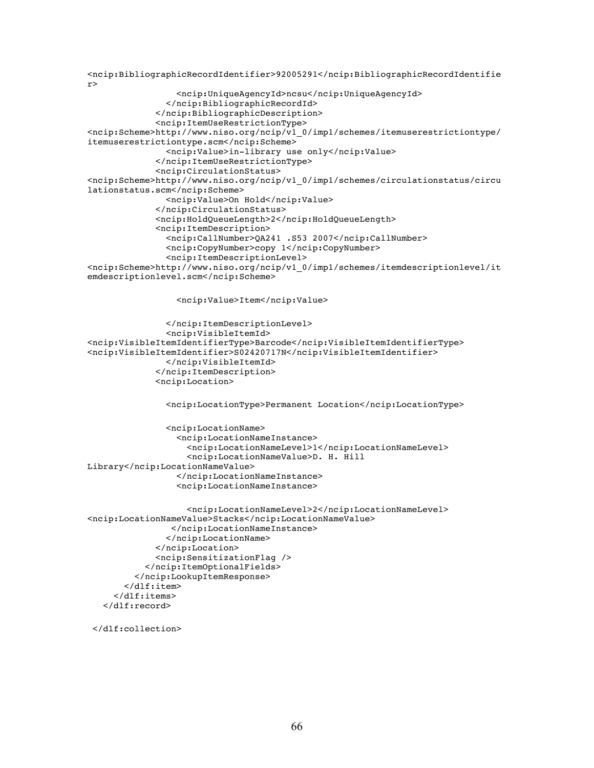```
<ncip:BibliographicRecordIdentifier>92005291</ncip:BibliographicRecordIdentifie
r>
                  <ncip:UniqueAgencyId>ncsu</ncip:UniqueAgencyId>
                </ncip:BibliographicRecordId>
              </ncip:BibliographicDescription>
              <ncip:ItemUseRestrictionType> 
<ncip:Scheme>http://www.niso.org/ncip/v1_0/imp1/schemes/itemuserestrictiontype/
itemuserestrictiontype.scm</ncip:Scheme>
                <ncip:Value>in-library use only</ncip:Value>
              </ncip:ItemUseRestrictionType>
              <ncip:CirculationStatus>
<ncip:Scheme>http://www.niso.org/ncip/v1_0/imp1/schemes/circulationstatus/circu
lationstatus.scm</ncip:Scheme>
                <ncip:Value>On Hold</ncip:Value>
              </ncip:CirculationStatus>
              <ncip:HoldQueueLength>2</ncip:HoldQueueLength>
              <ncip:ItemDescription>
                <ncip:CallNumber>QA241 .S53 2007</ncip:CallNumber>
                <ncip:CopyNumber>copy 1</ncip:CopyNumber>
                <ncip:ItemDescriptionLevel>
<ncip:Scheme>http://www.niso.org/ncip/v1_0/imp1/schemes/itemdescriptionlevel/it
emdescriptionlevel.scm</ncip:Scheme>
                  <ncip:Value>Item</ncip:Value>
                </ncip:ItemDescriptionLevel>
                <ncip:VisibleItemId>
<ncip:VisibleItemIdentifierType>Barcode</ncip:VisibleItemIdentifierType>
<ncip:VisibleItemIdentifier>S02420717N</ncip:VisibleItemIdentifier>
                </ncip:VisibleItemId>
              </ncip:ItemDescription>
              <ncip:Location>
                <ncip:LocationType>Permanent Location</ncip:LocationType>
                <ncip:LocationName>
                  <ncip:LocationNameInstance>
                    <ncip:LocationNameLevel>1</ncip:LocationNameLevel>
                    <ncip:LocationNameValue>D. H. Hill 
Library</ncip:LocationNameValue>
                  </ncip:LocationNameInstance>
                  <ncip:LocationNameInstance>
                    <ncip:LocationNameLevel>2</ncip:LocationNameLevel>
<ncip:LocationNameValue>Stacks</ncip:LocationNameValue>
                 </ncip:LocationNameInstance>
                </ncip:LocationName>
              </ncip:Location>
              <ncip:SensitizationFlag />
            </ncip:ItemOptionalFields> 
          </ncip:LookupItemResponse>
        </dlf:item>
      </dlf:items>
    </dlf:record>
```

```
 </dlf:collection>
```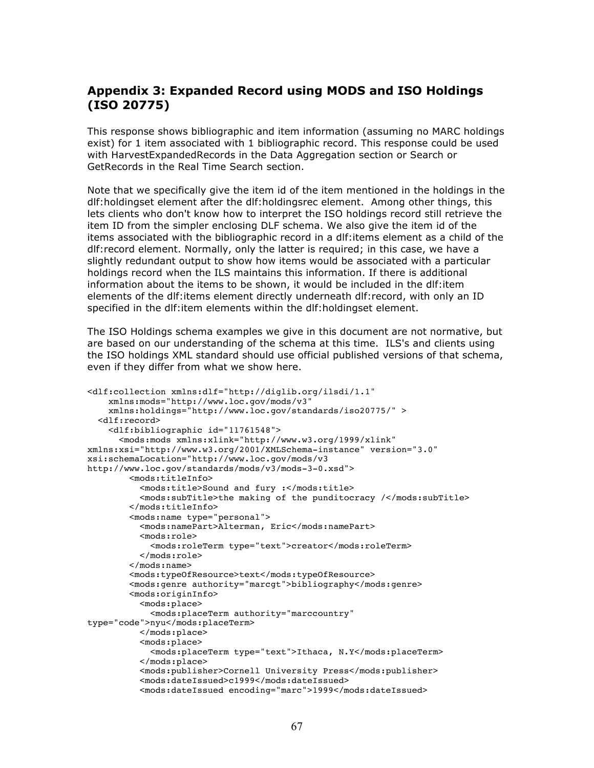# **Appendix 3: Expanded Record using MODS and ISO Holdings (ISO 20775)**

This response shows bibliographic and item information (assuming no MARC holdings exist) for 1 item associated with 1 bibliographic record. This response could be used with HarvestExpandedRecords in the Data Aggregation section or Search or GetRecords in the Real Time Search section.

Note that we specifically give the item id of the item mentioned in the holdings in the dlf:holdingset element after the dlf:holdingsrec element. Among other things, this lets clients who don't know how to interpret the ISO holdings record still retrieve the item ID from the simpler enclosing DLF schema. We also give the item id of the items associated with the bibliographic record in a dlf:items element as a child of the dlf:record element. Normally, only the latter is required; in this case, we have a slightly redundant output to show how items would be associated with a particular holdings record when the ILS maintains this information. If there is additional information about the items to be shown, it would be included in the dlf:item elements of the dlf:items element directly underneath dlf:record, with only an ID specified in the dlf:item elements within the dlf:holdingset element.

The ISO Holdings schema examples we give in this document are not normative, but are based on our understanding of the schema at this time. ILS's and clients using the ISO holdings XML standard should use official published versions of that schema, even if they differ from what we show here.

```
<dlf:collection xmlns:dlf="http://diglib.org/ilsdi/1.1"
     xmlns:mods="http://www.loc.gov/mods/v3"
     xmlns:holdings="http://www.loc.gov/standards/iso20775/" >
   <dlf:record>
     <dlf:bibliographic id="11761548">
       <mods:mods xmlns:xlink="http://www.w3.org/1999/xlink" 
xmlns:xsi="http://www.w3.org/2001/XMLSchema-instance" version="3.0" 
xsi:schemaLocation="http://www.loc.gov/mods/v3 
http://www.loc.gov/standards/mods/v3/mods-3-0.xsd">
         <mods:titleInfo> 
           <mods:title>Sound and fury :</mods:title>
           <mods:subTitle>the making of the punditocracy /</mods:subTitle>
         </mods:titleInfo> 
         <mods:name type="personal">
           <mods:namePart>Alterman, Eric</mods:namePart> 
           <mods:role>
             <mods:roleTerm type="text">creator</mods:roleTerm>
           </mods:role>
         </mods:name>
         <mods:typeOfResource>text</mods:typeOfResource>
         <mods:genre authority="marcgt">bibliography</mods:genre>
         <mods:originInfo>
           <mods:place>
             <mods:placeTerm authority="marccountry" 
type="code">nyu</mods:placeTerm>
           </mods:place>
           <mods:place>
             <mods:placeTerm type="text">Ithaca, N.Y</mods:placeTerm>
           </mods:place>
           <mods:publisher>Cornell University Press</mods:publisher>
           <mods:dateIssued>c1999</mods:dateIssued>
           <mods:dateIssued encoding="marc">1999</mods:dateIssued>
```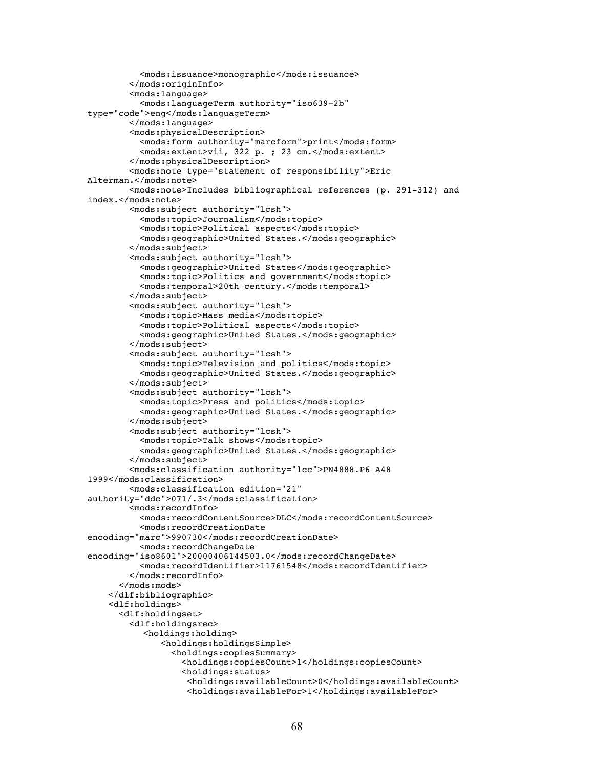```
 <mods:issuance>monographic</mods:issuance>
         </mods:originInfo>
         <mods:language>
           <mods:languageTerm authority="iso639-2b" 
type="code">eng</mods:languageTerm>
         </mods:language>
         <mods:physicalDescription>
           <mods:form authority="marcform">print</mods:form>
           <mods:extent>vii, 322 p. ; 23 cm.</mods:extent>
         </mods:physicalDescription>
         <mods:note type="statement of responsibility">Eric 
Alterman.</mods:note>
         <mods:note>Includes bibliographical references (p. 291-312) and 
index.</mods:note>
         <mods:subject authority="lcsh">
           <mods:topic>Journalism</mods:topic>
           <mods:topic>Political aspects</mods:topic>
           <mods:geographic>United States.</mods:geographic>
         </mods:subject>
         <mods:subject authority="lcsh">
           <mods:geographic>United States</mods:geographic>
           <mods:topic>Politics and government</mods:topic>
           <mods:temporal>20th century.</mods:temporal>
         </mods:subject>
         <mods:subject authority="lcsh">
           <mods:topic>Mass media</mods:topic>
           <mods:topic>Political aspects</mods:topic> 
           <mods:geographic>United States.</mods:geographic>
         </mods:subject>
         <mods:subject authority="lcsh">
           <mods:topic>Television and politics</mods:topic>
           <mods:geographic>United States.</mods:geographic>
         </mods:subject>
         <mods:subject authority="lcsh">
           <mods:topic>Press and politics</mods:topic>
           <mods:geographic>United States.</mods:geographic>
         </mods:subject>
         <mods:subject authority="lcsh">
           <mods:topic>Talk shows</mods:topic>
           <mods:geographic>United States.</mods:geographic>
         </mods:subject>
         <mods:classification authority="lcc">PN4888.P6 A48 
1999</mods:classification>
         <mods:classification edition="21" 
authority="ddc">071/.3</mods:classification> 
         <mods:recordInfo>
           <mods:recordContentSource>DLC</mods:recordContentSource>
           <mods:recordCreationDate 
encoding="marc">990730</mods:recordCreationDate>
           <mods:recordChangeDate 
encoding="iso8601">20000406144503.0</mods:recordChangeDate>
           <mods:recordIdentifier>11761548</mods:recordIdentifier>
         </mods:recordInfo>
       </mods:mods>
     </dlf:bibliographic>
     <dlf:holdings>
       <dlf:holdingset>
         <dlf:holdingsrec> 
            <holdings:holding> 
               <holdings:holdingsSimple>
                 <holdings:copiesSummary>
                   <holdings:copiesCount>1</holdings:copiesCount>
                   <holdings:status>
                     <holdings:availableCount>0</holdings:availableCount>
                     <holdings:availableFor>1</holdings:availableFor>
```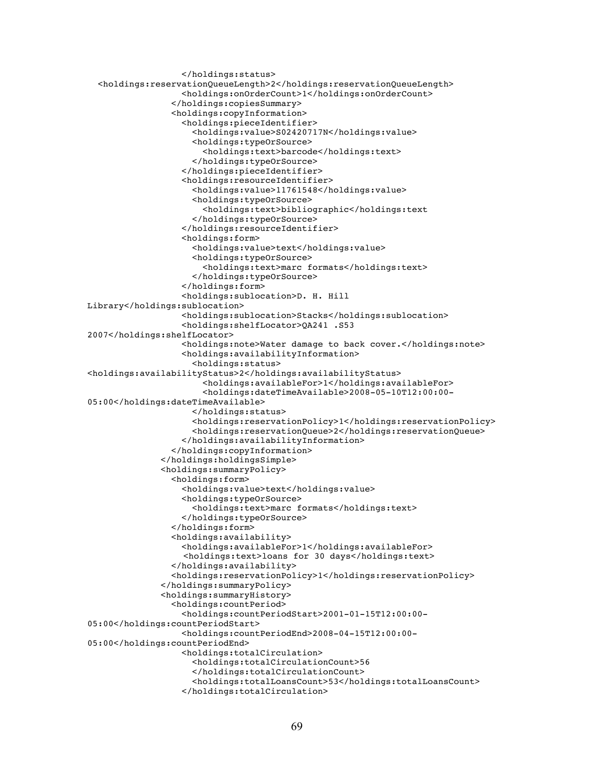```
 </holdings:status>
   <holdings:reservationQueueLength>2</holdings:reservationQueueLength>
                   <holdings:onOrderCount>1</holdings:onOrderCount>
                 </holdings:copiesSummary>
                 <holdings:copyInformation>
                   <holdings:pieceIdentifier>
                      <holdings:value>S02420717N</holdings:value>
                      <holdings:typeOrSource>
                        <holdings:text>barcode</holdings:text>
                      </holdings:typeOrSource>
                   </holdings:pieceIdentifier>
                   <holdings:resourceIdentifier>
                      <holdings:value>11761548</holdings:value>
                      <holdings:typeOrSource>
                        <holdings:text>bibliographic</holdings:text
                      </holdings:typeOrSource>
                   </holdings:resourceIdentifier>
                   <holdings:form>
                      <holdings:value>text</holdings:value>
                      <holdings:typeOrSource>
                        <holdings:text>marc formats</holdings:text>
                      </holdings:typeOrSource>
                   </holdings:form>
                   <holdings:sublocation>D. H. Hill 
Library</holdings:sublocation>
                   <holdings:sublocation>Stacks</holdings:sublocation>
                   <holdings:shelfLocator>QA241 .S53 
2007</holdings:shelfLocator>
                   <holdings:note>Water damage to back cover.</holdings:note>
                   <holdings:availabilityInformation>
                      <holdings:status>
<holdings:availabilityStatus>2</holdings:availabilityStatus>
                       <holdings:availableFor>1</holdings:availableFor>
                       <holdings:dateTimeAvailable>2008-05-10T12:00:00-
05:00</holdings:dateTimeAvailable>
                      </holdings:status>
                      <holdings:reservationPolicy>1</holdings:reservationPolicy>
                     <holdings:reservationQueue>2</holdings:reservationQueue>
                   </holdings:availabilityInformation>
                 </holdings:copyInformation>
               </holdings:holdingsSimple>
               <holdings:summaryPolicy>
                 <holdings:form>
                    <holdings:value>text</holdings:value>
                    <holdings:typeOrSource>
                      <holdings:text>marc formats</holdings:text>
                   </holdings:typeOrSource>
                 </holdings:form>
                 <holdings:availability>
                    <holdings:availableFor>1</holdings:availableFor>
                    <holdings:text>loans for 30 days</holdings:text>
                 </holdings:availability>
                 <holdings:reservationPolicy>1</holdings:reservationPolicy>
               </holdings:summaryPolicy>
               <holdings:summaryHistory>
                 <holdings:countPeriod>
                   <holdings:countPeriodStart>2001-01-15T12:00:00-
05:00</holdings:countPeriodStart>
                   <holdings:countPeriodEnd>2008-04-15T12:00:00-
05:00</holdings:countPeriodEnd>
                   <holdings:totalCirculation>
                    <holdings:totalCirculationCount>56
                    </holdings:totalCirculationCount>
                      <holdings:totalLoansCount>53</holdings:totalLoansCount>
                    </holdings:totalCirculation>
```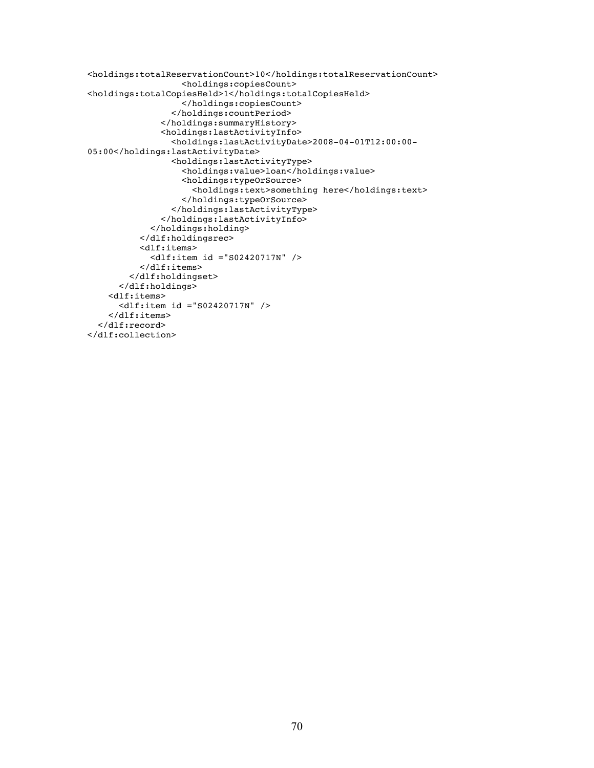```
<holdings:totalReservationCount>10</holdings:totalReservationCount>
                   <holdings:copiesCount>
<holdings:totalCopiesHeld>1</holdings:totalCopiesHeld>
                   </holdings:copiesCount>
                 </holdings:countPeriod>
               </holdings:summaryHistory>
               <holdings:lastActivityInfo>
                 <holdings:lastActivityDate>2008-04-01T12:00:00-
05:00</holdings:lastActivityDate>
                 <holdings:lastActivityType>
                   <holdings:value>loan</holdings:value>
                   <holdings:typeOrSource>
                      <holdings:text>something here</holdings:text>
                   </holdings:typeOrSource>
                 </holdings:lastActivityType>
               </holdings:lastActivityInfo>
             </holdings:holding>
           </dlf:holdingsrec>
           <dlf:items>
             <dlf:item id ="S02420717N" />
           </dlf:items>
         </dlf:holdingset>
       </dlf:holdings>
     <dlf:items>
       <dlf:item id ="S02420717N" />
     </dlf:items> 
   </dlf:record>
</dlf:collection>
```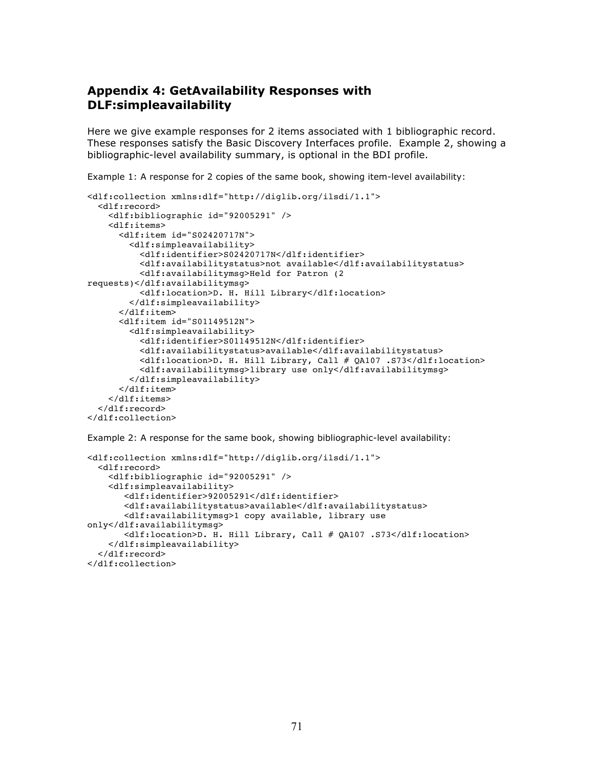# **Appendix 4: GetAvailability Responses with DLF:simpleavailability**

Here we give example responses for 2 items associated with 1 bibliographic record. These responses satisfy the Basic Discovery Interfaces profile. Example 2, showing a bibliographic-level availability summary, is optional in the BDI profile.

Example 1: A response for 2 copies of the same book, showing item-level availability:

```
<dlf:collection xmlns:dlf="http://diglib.org/ilsdi/1.1">
   <dlf:record>
     <dlf:bibliographic id="92005291" />
     <dlf:items>
       <dlf:item id="S02420717N">
         <dlf:simpleavailability>
           <dlf:identifier>S02420717N</dlf:identifier>
           <dlf:availabilitystatus>not available</dlf:availabilitystatus>
           <dlf:availabilitymsg>Held for Patron (2 
requests)</dlf:availabilitymsg>
           <dlf:location>D. H. Hill Library</dlf:location>
         </dlf:simpleavailability>
       </dlf:item>
       <dlf:item id="S01149512N">
         <dlf:simpleavailability>
           <dlf:identifier>S01149512N</dlf:identifier>
           <dlf:availabilitystatus>available</dlf:availabilitystatus>
           <dlf:location>D. H. Hill Library, Call # QA107 .S73</dlf:location>
           <dlf:availabilitymsg>library use only</dlf:availabilitymsg>
         </dlf:simpleavailability>
       </dlf:item>
     </dlf:items>
   </dlf:record>
</dlf:collection>
```
Example 2: A response for the same book, showing bibliographic-level availability:

```
<dlf:collection xmlns:dlf="http://diglib.org/ilsdi/1.1">
   <dlf:record>
     <dlf:bibliographic id="92005291" />
     <dlf:simpleavailability>
        <dlf:identifier>92005291</dlf:identifier>
        <dlf:availabilitystatus>available</dlf:availabilitystatus>
        <dlf:availabilitymsg>1 copy available, library use 
only</dlf:availabilitymsg>
        <dlf:location>D. H. Hill Library, Call # QA107 .S73</dlf:location> 
     </dlf:simpleavailability>
   </dlf:record>
</dlf:collection>
```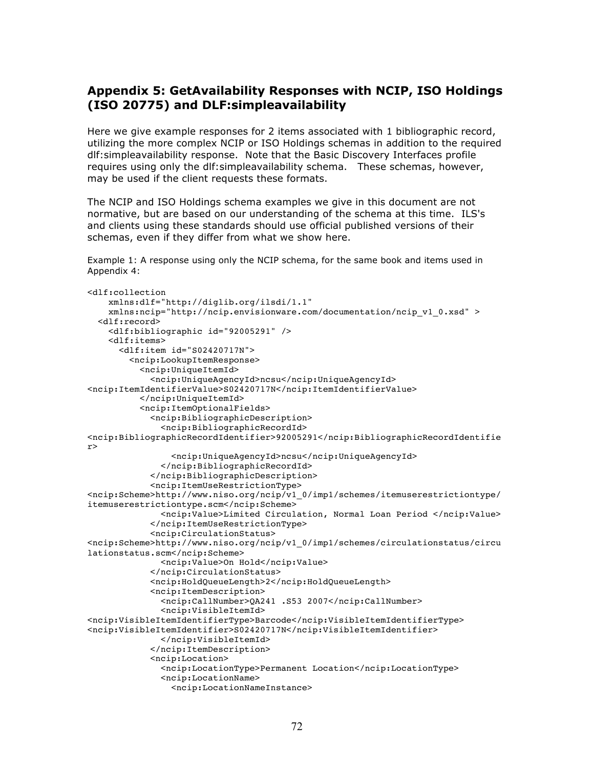# **Appendix 5: GetAvailability Responses with NCIP, ISO Holdings (ISO 20775) and DLF:simpleavailability**

Here we give example responses for 2 items associated with 1 bibliographic record, utilizing the more complex NCIP or ISO Holdings schemas in addition to the required dlf:simpleavailability response. Note that the Basic Discovery Interfaces profile requires using only the dlf:simpleavailability schema. These schemas, however, may be used if the client requests these formats.

The NCIP and ISO Holdings schema examples we give in this document are not normative, but are based on our understanding of the schema at this time. ILS's and clients using these standards should use official published versions of their schemas, even if they differ from what we show here.

Example 1: A response using only the NCIP schema, for the same book and items used in Appendix 4:

```
<dlf:collection
     xmlns:dlf="http://diglib.org/ilsdi/1.1"
     xmlns:ncip="http://ncip.envisionware.com/documentation/ncip_v1_0.xsd" >
   <dlf:record>
     <dlf:bibliographic id="92005291" />
     <dlf:items>
       <dlf:item id="S02420717N">
         <ncip:LookupItemResponse>
           <ncip:UniqueItemId>
             <ncip:UniqueAgencyId>ncsu</ncip:UniqueAgencyId>
<ncip:ItemIdentifierValue>S02420717N</ncip:ItemIdentifierValue>
           </ncip:UniqueItemId>
           <ncip:ItemOptionalFields>
             <ncip:BibliographicDescription>
               <ncip:BibliographicRecordId>
<ncip:BibliographicRecordIdentifier>92005291</ncip:BibliographicRecordIdentifie
r>
                 <ncip:UniqueAgencyId>ncsu</ncip:UniqueAgencyId>
               </ncip:BibliographicRecordId>
             </ncip:BibliographicDescription>
             <ncip:ItemUseRestrictionType>
<ncip:Scheme>http://www.niso.org/ncip/v1_0/imp1/schemes/itemuserestrictiontype/
itemuserestrictiontype.scm</ncip:Scheme>
               <ncip:Value>Limited Circulation, Normal Loan Period </ncip:Value>
             </ncip:ItemUseRestrictionType>
             <ncip:CirculationStatus>
<ncip:Scheme>http://www.niso.org/ncip/v1_0/imp1/schemes/circulationstatus/circu
lationstatus.scm</ncip:Scheme>
               <ncip:Value>On Hold</ncip:Value>
             </ncip:CirculationStatus>
             <ncip:HoldQueueLength>2</ncip:HoldQueueLength>
             <ncip:ItemDescription>
               <ncip:CallNumber>QA241 .S53 2007</ncip:CallNumber>
               <ncip:VisibleItemId>
<ncip:VisibleItemIdentifierType>Barcode</ncip:VisibleItemIdentifierType>
<ncip:VisibleItemIdentifier>S02420717N</ncip:VisibleItemIdentifier>
               </ncip:VisibleItemId>
             </ncip:ItemDescription>
             <ncip:Location>
               <ncip:LocationType>Permanent Location</ncip:LocationType>
               <ncip:LocationName>
                 <ncip:LocationNameInstance>
```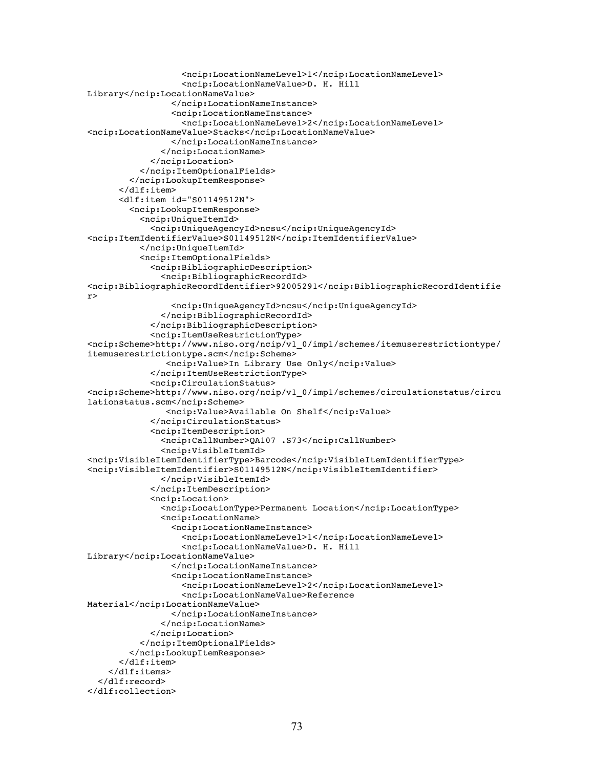```
 <ncip:LocationNameLevel>1</ncip:LocationNameLevel>
                   <ncip:LocationNameValue>D. H. Hill 
Library</ncip:LocationNameValue>
                 </ncip:LocationNameInstance>
                 <ncip:LocationNameInstance>
                   <ncip:LocationNameLevel>2</ncip:LocationNameLevel>
<ncip:LocationNameValue>Stacks</ncip:LocationNameValue>
                 </ncip:LocationNameInstance>
               </ncip:LocationName>
             </ncip:Location>
           </ncip:ItemOptionalFields> 
         </ncip:LookupItemResponse>
       </dlf:item>
       <dlf:item id="S01149512N">
         <ncip:LookupItemResponse>
           <ncip:UniqueItemId>
             <ncip:UniqueAgencyId>ncsu</ncip:UniqueAgencyId>
<ncip:ItemIdentifierValue>S01149512N</ncip:ItemIdentifierValue>
           </ncip:UniqueItemId>
           <ncip:ItemOptionalFields>
             <ncip:BibliographicDescription>
               <ncip:BibliographicRecordId>
<ncip:BibliographicRecordIdentifier>92005291</ncip:BibliographicRecordIdentifie
r>
                 <ncip:UniqueAgencyId>ncsu</ncip:UniqueAgencyId>
               </ncip:BibliographicRecordId>
             </ncip:BibliographicDescription>
             <ncip:ItemUseRestrictionType>
<ncip:Scheme>http://www.niso.org/ncip/v1_0/imp1/schemes/itemuserestrictiontype/
itemuserestrictiontype.scm</ncip:Scheme>
                <ncip:Value>In Library Use Only</ncip:Value>
             </ncip:ItemUseRestrictionType>
             <ncip:CirculationStatus> 
<ncip:Scheme>http://www.niso.org/ncip/v1_0/imp1/schemes/circulationstatus/circu
lationstatus.scm</ncip:Scheme>
                <ncip:Value>Available On Shelf</ncip:Value>
             </ncip:CirculationStatus>
             <ncip:ItemDescription>
               <ncip:CallNumber>QA107 .S73</ncip:CallNumber>
               <ncip:VisibleItemId>
<ncip:VisibleItemIdentifierType>Barcode</ncip:VisibleItemIdentifierType>
<ncip:VisibleItemIdentifier>S01149512N</ncip:VisibleItemIdentifier>
               </ncip:VisibleItemId>
             </ncip:ItemDescription>
             <ncip:Location>
               <ncip:LocationType>Permanent Location</ncip:LocationType>
               <ncip:LocationName>
                 <ncip:LocationNameInstance>
                    <ncip:LocationNameLevel>1</ncip:LocationNameLevel>
                   <ncip:LocationNameValue>D. H. Hill 
Library</ncip:LocationNameValue>
                 </ncip:LocationNameInstance>
                 <ncip:LocationNameInstance>
                   <ncip:LocationNameLevel>2</ncip:LocationNameLevel>
                   <ncip:LocationNameValue>Reference 
Material</ncip:LocationNameValue>
                 </ncip:LocationNameInstance>
               </ncip:LocationName>
             </ncip:Location>
           </ncip:ItemOptionalFields> 
         </ncip:LookupItemResponse>
       </dlf:item>
     </dlf:items>
   </dlf:record>
</dlf:collection>
```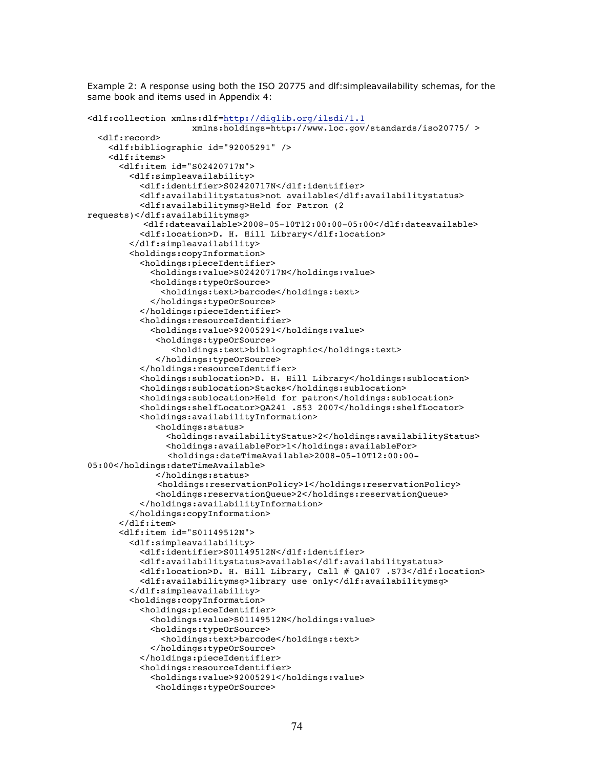Example 2: A response using both the ISO 20775 and dlf:simpleavailability schemas, for the same book and items used in Appendix 4:

```
<dlf:collection xmlns:dlf=http://diglib.org/ilsdi/1.1
                    xmlns:holdings=http://www.loc.gov/standards/iso20775/ >
   <dlf:record>
    <dlf:bibliographic id="92005291" />
     <dlf:items>
       <dlf:item id="S02420717N">
         <dlf:simpleavailability>
           <dlf:identifier>S02420717N</dlf:identifier>
           <dlf:availabilitystatus>not available</dlf:availabilitystatus>
           <dlf:availabilitymsg>Held for Patron (2 
requests)</dlf:availabilitymsg>
            <dlf:dateavailable>2008-05-10T12:00:00-05:00</dlf:dateavailable>
           <dlf:location>D. H. Hill Library</dlf:location>
         </dlf:simpleavailability>
         <holdings:copyInformation>
           <holdings:pieceIdentifier>
             <holdings:value>S02420717N</holdings:value>
             <holdings:typeOrSource>
               <holdings:text>barcode</holdings:text>
             </holdings:typeOrSource>
           </holdings:pieceIdentifier>
           <holdings:resourceIdentifier>
             <holdings:value>92005291</holdings:value>
              <holdings:typeOrSource>
                 <holdings:text>bibliographic</holdings:text>
              </holdings:typeOrSource>
           </holdings:resourceIdentifier>
           <holdings:sublocation>D. H. Hill Library</holdings:sublocation>
           <holdings:sublocation>Stacks</holdings:sublocation>
           <holdings:sublocation>Held for patron</holdings:sublocation>
           <holdings:shelfLocator>QA241 .S53 2007</holdings:shelfLocator>
           <holdings:availabilityInformation>
              <holdings:status>
                <holdings:availabilityStatus>2</holdings:availabilityStatus>
                <holdings:availableFor>1</holdings:availableFor>
                <holdings:dateTimeAvailable>2008-05-10T12:00:00-
05:00</holdings:dateTimeAvailable>
              </holdings:status>
             <holdings:reservationPolicy>1</holdings:reservationPolicy>
              <holdings:reservationQueue>2</holdings:reservationQueue>
           </holdings:availabilityInformation>
         </holdings:copyInformation>
       </dlf:item>
       <dlf:item id="S01149512N">
         <dlf:simpleavailability>
           <dlf:identifier>S01149512N</dlf:identifier>
           <dlf:availabilitystatus>available</dlf:availabilitystatus>
           <dlf:location>D. H. Hill Library, Call # QA107 .S73</dlf:location>
           <dlf:availabilitymsg>library use only</dlf:availabilitymsg>
         </dlf:simpleavailability>
         <holdings:copyInformation>
           <holdings:pieceIdentifier>
             <holdings:value>S01149512N</holdings:value>
             <holdings:typeOrSource>
               <holdings:text>barcode</holdings:text>
             </holdings:typeOrSource>
           </holdings:pieceIdentifier>
           <holdings:resourceIdentifier>
             <holdings:value>92005291</holdings:value>
              <holdings:typeOrSource>
```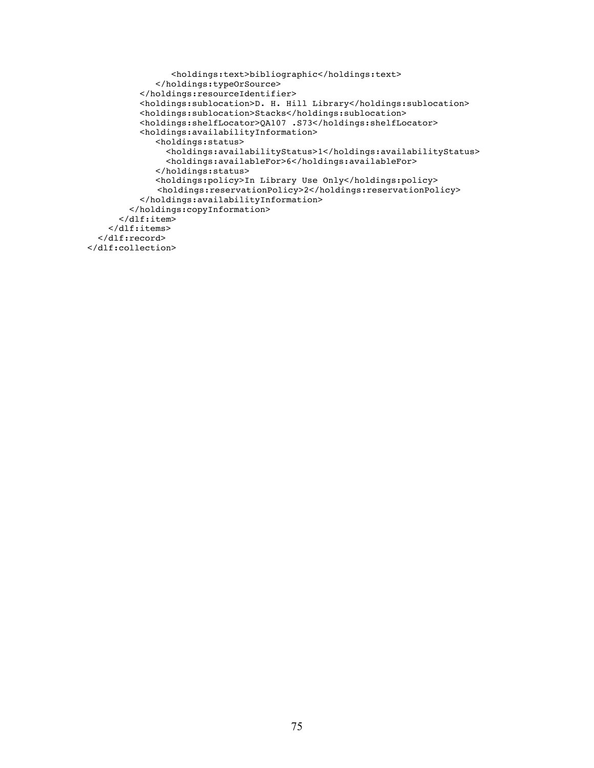```
 <holdings:text>bibliographic</holdings:text>
              </holdings:typeOrSource>
           </holdings:resourceIdentifier>
           <holdings:sublocation>D. H. Hill Library</holdings:sublocation>
           <holdings:sublocation>Stacks</holdings:sublocation>
           <holdings:shelfLocator>QA107 .S73</holdings:shelfLocator>
           <holdings:availabilityInformation>
              <holdings:status>
                <holdings:availabilityStatus>1</holdings:availabilityStatus>
                <holdings:availableFor>6</holdings:availableFor>
              </holdings:status>
              <holdings:policy>In Library Use Only</holdings:policy>
             <holdings:reservationPolicy>2</holdings:reservationPolicy>
           </holdings:availabilityInformation>
         </holdings:copyInformation>
       </dlf:item>
     </dlf:items>
   </dlf:record>
</dlf:collection>
```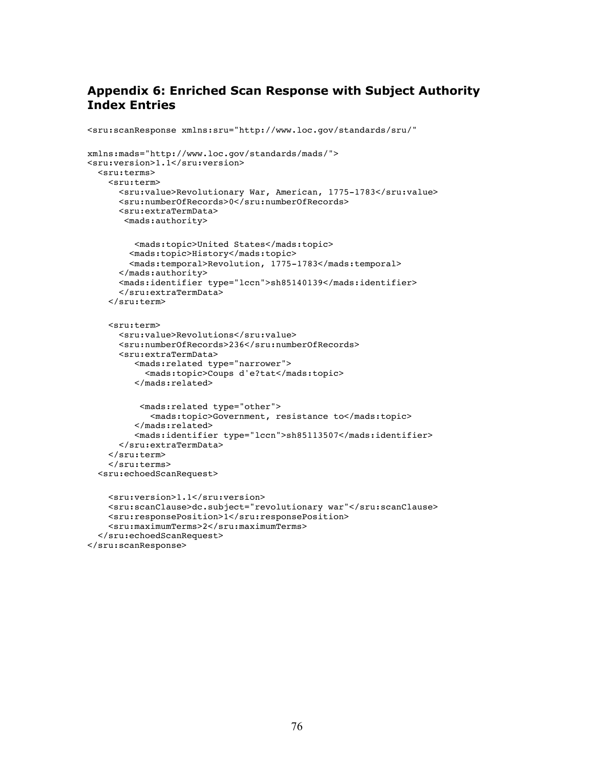## **Appendix 6: Enriched Scan Response with Subject Authority Index Entries**

```
<sru:scanResponse xmlns:sru="http://www.loc.gov/standards/sru/" 
xmlns:mads="http://www.loc.gov/standards/mads/">
<sru:version>1.1</sru:version>
   <sru:terms>
     <sru:term>
       <sru:value>Revolutionary War, American, 1775-1783</sru:value>
       <sru:numberOfRecords>0</sru:numberOfRecords>
       <sru:extraTermData>
        <mads:authority>
          <mads:topic>United States</mads:topic>
         <mads:topic>History</mads:topic>
         <mads:temporal>Revolution, 1775-1783</mads:temporal>
       </mads:authority>
       <mads:identifier type="lccn">sh85140139</mads:identifier>
       </sru:extraTermData>
     </sru:term>
     <sru:term>
       <sru:value>Revolutions</sru:value>
       <sru:numberOfRecords>236</sru:numberOfRecords>
       <sru:extraTermData>
          <mads:related type="narrower">
            <mads:topic>Coups d'e?tat</mads:topic>
          </mads:related>
           <mads:related type="other">
             <mads:topic>Government, resistance to</mads:topic>
          </mads:related>
          <mads:identifier type="lccn">sh85113507</mads:identifier>
       </sru:extraTermData>
     </sru:term>
     </sru:terms>
   <sru:echoedScanRequest>
     <sru:version>1.1</sru:version>
     <sru:scanClause>dc.subject="revolutionary war"</sru:scanClause>
     <sru:responsePosition>1</sru:responsePosition>
     <sru:maximumTerms>2</sru:maximumTerms>
   </sru:echoedScanRequest>
</sru:scanResponse>
```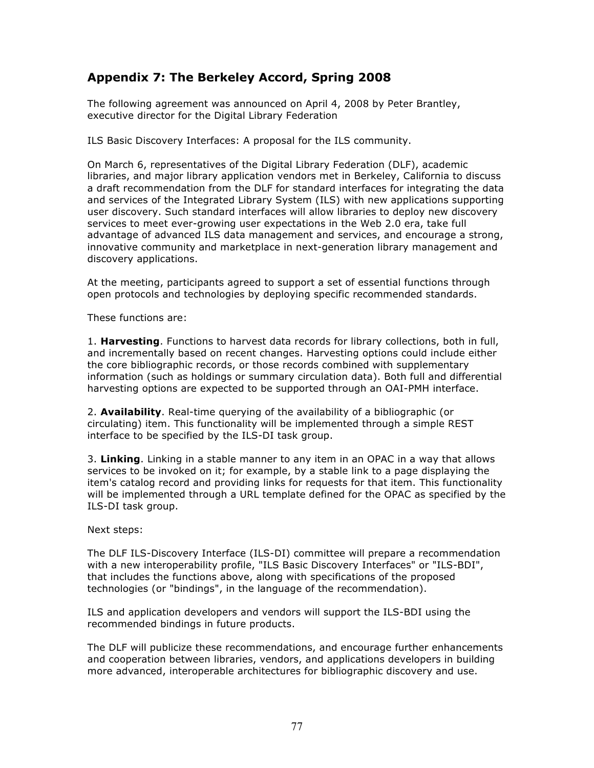## **Appendix 7: The Berkeley Accord, Spring 2008**

The following agreement was announced on April 4, 2008 by Peter Brantley, executive director for the Digital Library Federation

ILS Basic Discovery Interfaces: A proposal for the ILS community.

On March 6, representatives of the Digital Library Federation (DLF), academic libraries, and major library application vendors met in Berkeley, California to discuss a draft recommendation from the DLF for standard interfaces for integrating the data and services of the Integrated Library System (ILS) with new applications supporting user discovery. Such standard interfaces will allow libraries to deploy new discovery services to meet ever-growing user expectations in the Web 2.0 era, take full advantage of advanced ILS data management and services, and encourage a strong, innovative community and marketplace in next-generation library management and discovery applications.

At the meeting, participants agreed to support a set of essential functions through open protocols and technologies by deploying specific recommended standards.

These functions are:

1. **Harvesting**. Functions to harvest data records for library collections, both in full, and incrementally based on recent changes. Harvesting options could include either the core bibliographic records, or those records combined with supplementary information (such as holdings or summary circulation data). Both full and differential harvesting options are expected to be supported through an OAI-PMH interface.

2. **Availability**. Real-time querying of the availability of a bibliographic (or circulating) item. This functionality will be implemented through a simple REST interface to be specified by the ILS-DI task group.

3. **Linking**. Linking in a stable manner to any item in an OPAC in a way that allows services to be invoked on it; for example, by a stable link to a page displaying the item's catalog record and providing links for requests for that item. This functionality will be implemented through a URL template defined for the OPAC as specified by the ILS-DI task group.

## Next steps:

The DLF ILS-Discovery Interface (ILS-DI) committee will prepare a recommendation with a new interoperability profile, "ILS Basic Discovery Interfaces" or "ILS-BDI", that includes the functions above, along with specifications of the proposed technologies (or "bindings", in the language of the recommendation).

ILS and application developers and vendors will support the ILS-BDI using the recommended bindings in future products.

The DLF will publicize these recommendations, and encourage further enhancements and cooperation between libraries, vendors, and applications developers in building more advanced, interoperable architectures for bibliographic discovery and use.